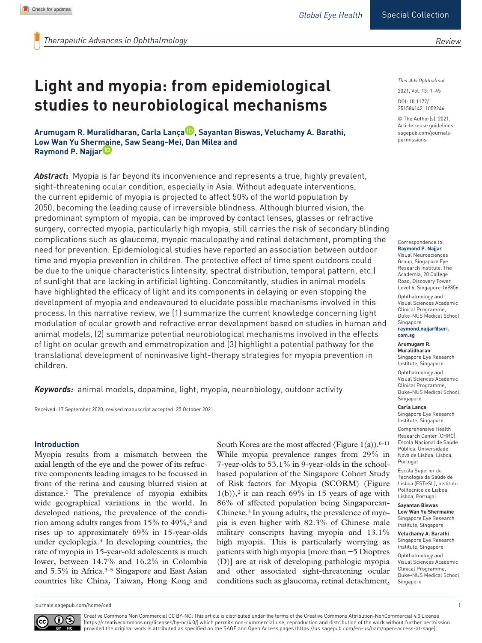*Review*

# **Light and myopia: from epidemiological studies to neurobiological mechanisms**

**Arumugam R. Muralidharan, Carla Lança , Sayantan Biswas, Veluchamy A. Barathi, Low Wan Yu Shermaine, Saw Seang-Mei, Dan Milea and Raymond P. Najjar**

*Abstract***:** Myopia is far beyond its inconvenience and represents a true, highly prevalent, sight-threatening ocular condition, especially in Asia. Without adequate interventions, the current epidemic of myopia is projected to affect 50% of the world population by 2050, becoming the leading cause of irreversible blindness. Although blurred vision, the predominant symptom of myopia, can be improved by contact lenses, glasses or refractive surgery, corrected myopia, particularly high myopia, still carries the risk of secondary blinding complications such as glaucoma, myopic maculopathy and retinal detachment, prompting the need for prevention. Epidemiological studies have reported an association between outdoor time and myopia prevention in children. The protective effect of time spent outdoors could be due to the unique characteristics (intensity, spectral distribution, temporal pattern, etc.) of sunlight that are lacking in artificial lighting. Concomitantly, studies in animal models have highlighted the efficacy of light and its components in delaying or even stopping the development of myopia and endeavoured to elucidate possible mechanisms involved in this process. In this narrative review, we (1) summarize the current knowledge concerning light modulation of ocular growth and refractive error development based on studies in human and animal models, (2) summarize potential neurobiological mechanisms involved in the effects of light on ocular growth and emmetropization and (3) highlight a potential pathway for the translational development of noninvasive light-therapy strategies for myopia prevention in children.

*Keywords:* animal models, dopamine, light, myopia, neurobiology, outdoor activity

Received: 17 September 2020; revised manuscript accepted: 25 October 2021.

#### **Introduction**

Myopia results from a mismatch between the axial length of the eye and the power of its refractive components leading images to be focussed in front of the retina and causing blurred vision at distance.1 The prevalence of myopia exhibits wide geographical variations in the world. In developed nations, the prevalence of the condition among adults ranges from  $15\%$  to  $49\%,$ <sup>2</sup> and rises up to approximately 69% in 15-year-olds under cycloplegia.3 In developing countries, the rate of myopia in 15-year-old adolescents is much lower, between 14.7% and 16.2% in Colombia and 5.5% in Africa.<sup>3–5</sup> Singapore and East Asian countries like China, Taiwan, Hong Kong and South Korea are the most affected (Figure  $1(a)$ ).<sup>6–11</sup> While myopia prevalence ranges from 29% in 7-year-olds to 53.1% in 9-year-olds in the schoolbased population of the Singapore Cohort Study of Risk factors for Myopia (SCORM) (Figure  $1(b)$ ,<sup>2</sup> it can reach 69% in 15 years of age with 86% of affected population being Singaporean-Chinese.3 In young adults, the prevalence of myopia is even higher with 82.3% of Chinese male military conscripts having myopia and 13.1% high myopia. This is particularly worrying as patients with high myopia [more than −5 Dioptres (D)] are at risk of developing pathologic myopia and other associated sight-threatening ocular conditions such as glaucoma, retinal detachment,

*Ther Adv Ophthalmol*

DOI: 10.1177/ 2021, Vol. 13: 1–45

© The Author(s), 2021. Article reuse guidelines: [sagepub.com/journals](https://uk.sagepub.com/en-gb/journals-permissions)[permissions](https://uk.sagepub.com/en-gb/journals-permissions)

25158414211059246

Correspondence to: **Raymond P. Najjar** Visual Neurosciences Group, Singapore Eye Research Institute, The Academia, 20 College Road, Discovery Tower Level 6, Singapore 169856. Ophthalmology and Visual Sciences Academic Clinical Programme, Duke-NUS Medical School, Singapore **[raymond.najjar@seri.](mailto:raymond.najjar@seri.com.sg)**

**[com.sg](mailto:raymond.najjar@seri.com.sg)**

#### **Arumugam R. Muralidharan**

Singapore Eye Research Institute, Singapore

Ophthalmology and Visual Sciences Academic Clinical Programme, Duke-NUS Medical School, Singapore

#### **Carla Lança**

Singapore Eye Research Institute, Singapore Comprehensive Health Research Center (CHRC), Escola Nacional de Saúde Pública, Universidade Nova de Lisboa, Lisboa,

Portugal Escola Superior de Tecnologia da Saúde de Lisboa (ESTeSL), Instituto Politécnico de Lisboa, Lisboa, Portugal

#### **Sayantan Biswas**

**Low Wan Yu Shermaine** Singapore Eye Research Institute, Singapore

**Veluchamy A. Barathi** Singapore Eye Research Institute, Singapore Ophthalmology and Visual Sciences Academic Clinical Programme, Duke-NUS Medical School, Singapore

[journals.sagepub.com/home/oed](http://journals.sagepub.com/home/oed) 1



Creative Commons Non Commercial CC BY-NC: This article is distributed under the terms of the Creative Commons Attribution-NonCommercial 4.0 License (https://creativecommons.org/licenses/by-nc/4.0/) which permits non-commercial use, reproduction and distribution of the work without further permission provided the original work is attributed as specified on the SAGE and Open Access pages (https://us.sagepub.com/en-us/nam/open-access-at-sage).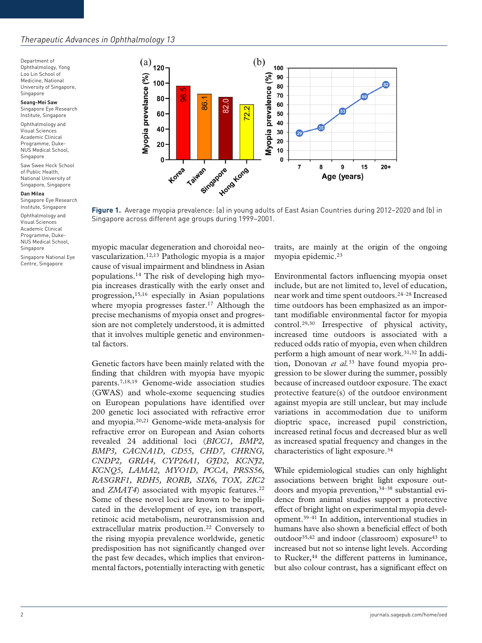Department of Ophthalmology, Yong Loo Lin School of Medicine, National University of Singapore, Singapore

**Seang-Mei Saw** Singapore Eye Research Institute, Singapore

Ophthalmology and Visual Sciences Academic Clinical Programme, Duke-NUS Medical School, Singapore

Saw Swee Hock School of Public Health, National University of Singapore, Singapore

**Dan Milea**

Singapore Eye Research Institute, Singapore

Ophthalmology and Visual Sciences Academic Clinical Programme, Duke-NUS Medical School, Singapore

Singapore National Eye Centre, Singapore



**Figure 1.** Average myopia prevalence: (a) in young adults of East Asian Countries during 2012–2020 and (b) in Singapore across different age groups during 1999–2001.

myopic macular degeneration and choroidal neovascularization.12,13 Pathologic myopia is a major cause of visual impairment and blindness in Asian populations.14 The risk of developing high myopia increases drastically with the early onset and progression,15,16 especially in Asian populations where myopia progresses faster.<sup>17</sup> Although the precise mechanisms of myopia onset and progression are not completely understood, it is admitted that it involves multiple genetic and environmental factors.

Genetic factors have been mainly related with the finding that children with myopia have myopic parents.7,18,19 Genome-wide association studies (GWAS) and whole-exome sequencing studies on European populations have identified over 200 genetic loci associated with refractive error and myopia.20,21 Genome-wide meta-analysis for refractive error on European and Asian cohorts revealed 24 additional loci (*BICC1, BMP2, BMP3, CACNA1D, CD55, CHD7, CHRNG, CNDP2, GRIA4, CYP26A1, GJD2, KCNJ2, KCNQ5, LAMA2, MYO1D, PCCA, PRSS56, RASGRF1, RDH5, RORB, SIX6, TOX, ZIC2*  and *ZMAT4*) associated with myopic features.<sup>22</sup> Some of these novel loci are known to be implicated in the development of eye, ion transport, retinoic acid metabolism, neurotransmission and extracellular matrix production.<sup>22</sup> Conversely to the rising myopia prevalence worldwide, genetic predisposition has not significantly changed over the past few decades, which implies that environmental factors, potentially interacting with genetic traits, are mainly at the origin of the ongoing myopia epidemic.23

Environmental factors influencing myopia onset include, but are not limited to, level of education, near work and time spent outdoors.24–28 Increased time outdoors has been emphasized as an important modifiable environmental factor for myopia control.29,30 Irrespective of physical activity, increased time outdoors is associated with a reduced odds ratio of myopia, even when children perform a high amount of near work.31,32 In addition, Donovan *et al.*33 have found myopia progression to be slower during the summer, possibly because of increased outdoor exposure. The exact protective feature(s) of the outdoor environment against myopia are still unclear, but may include variations in accommodation due to uniform dioptric space, increased pupil constriction, increased retinal focus and decreased blur as well as increased spatial frequency and changes in the characteristics of light exposure.34

While epidemiological studies can only highlight associations between bright light exposure outdoors and myopia prevention,<sup>34–38</sup> substantial evidence from animal studies support a protective effect of bright light on experimental myopia development.39–41 In addition, interventional studies in humans have also shown a beneficial effect of both outdoor<sup>35,42</sup> and indoor (classroom) exposure<sup>43</sup> to increased but not so intense light levels. According to Rucker,<sup>44</sup> the different patterns in luminance, but also colour contrast, has a significant effect on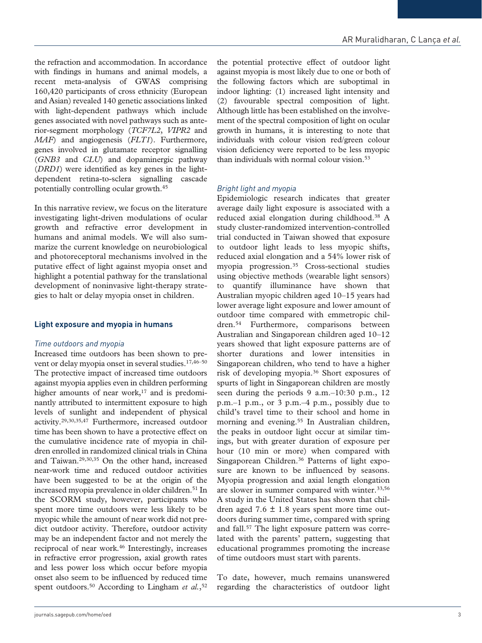the refraction and accommodation. In accordance with findings in humans and animal models, a recent meta-analysis of GWAS comprising 160,420 participants of cross ethnicity (European and Asian) revealed 140 genetic associations linked with light-dependent pathways which include genes associated with novel pathways such as anterior-segment morphology (*TCF7L2*, *VIPR2* and *MAF*) and angiogenesis (*FLT1*). Furthermore, genes involved in glutamate receptor signalling (*GNB3* and *CLU*) and dopaminergic pathway (*DRD1*) were identified as key genes in the lightdependent retina-to-sclera signalling cascade potentially controlling ocular growth.45

In this narrative review, we focus on the literature investigating light-driven modulations of ocular growth and refractive error development in humans and animal models. We will also summarize the current knowledge on neurobiological and photoreceptoral mechanisms involved in the putative effect of light against myopia onset and highlight a potential pathway for the translational development of noninvasive light-therapy strategies to halt or delay myopia onset in children.

## **Light exposure and myopia in humans**

## *Time outdoors and myopia*

Increased time outdoors has been shown to prevent or delay myopia onset in several studies.<sup>17,46-50</sup> The protective impact of increased time outdoors against myopia applies even in children performing higher amounts of near work,<sup>17</sup> and is predominantly attributed to intermittent exposure to high levels of sunlight and independent of physical activity.29,30,35,47 Furthermore, increased outdoor time has been shown to have a protective effect on the cumulative incidence rate of myopia in children enrolled in randomized clinical trials in China and Taiwan.29,30,35 On the other hand, increased near-work time and reduced outdoor activities have been suggested to be at the origin of the increased myopia prevalence in older children.<sup>51</sup> In the SCORM study, however, participants who spent more time outdoors were less likely to be myopic while the amount of near work did not predict outdoor activity. Therefore, outdoor activity may be an independent factor and not merely the reciprocal of near work.46 Interestingly, increases in refractive error progression, axial growth rates and less power loss which occur before myopia onset also seem to be influenced by reduced time spent outdoors.<sup>50</sup> According to Lingham *et al.*,<sup>52</sup>

the potential protective effect of outdoor light against myopia is most likely due to one or both of the following factors which are suboptimal in indoor lighting: (1) increased light intensity and (2) favourable spectral composition of light. Although little has been established on the involvement of the spectral composition of light on ocular growth in humans, it is interesting to note that individuals with colour vision red/green colour vision deficiency were reported to be less myopic than individuals with normal colour vision.53

## *Bright light and myopia*

Epidemiologic research indicates that greater average daily light exposure is associated with a reduced axial elongation during childhood.38 A study cluster-randomized intervention-controlled trial conducted in Taiwan showed that exposure to outdoor light leads to less myopic shifts, reduced axial elongation and a 54% lower risk of myopia progression.35 Cross-sectional studies using objective methods (wearable light sensors) to quantify illuminance have shown that Australian myopic children aged 10–15 years had lower average light exposure and lower amount of outdoor time compared with emmetropic children.54 Furthermore, comparisons between Australian and Singaporean children aged 10–12 years showed that light exposure patterns are of shorter durations and lower intensities in Singaporean children, who tend to have a higher risk of developing myopia.36 Short exposures of spurts of light in Singaporean children are mostly seen during the periods 9 a.m.–10:30 p.m., 12 p.m.–1 p.m., or 3 p.m.–4 p.m., possibly due to child's travel time to their school and home in morning and evening.<sup>55</sup> In Australian children, the peaks in outdoor light occur at similar timings, but with greater duration of exposure per hour (10 min or more) when compared with Singaporean Children.36 Patterns of light exposure are known to be influenced by seasons. Myopia progression and axial length elongation are slower in summer compared with winter.33,56 A study in the United States has shown that children aged 7.6  $\pm$  1.8 years spent more time outdoors during summer time, compared with spring and fall.57 The light exposure pattern was correlated with the parents' pattern, suggesting that educational programmes promoting the increase of time outdoors must start with parents.

To date, however, much remains unanswered regarding the characteristics of outdoor light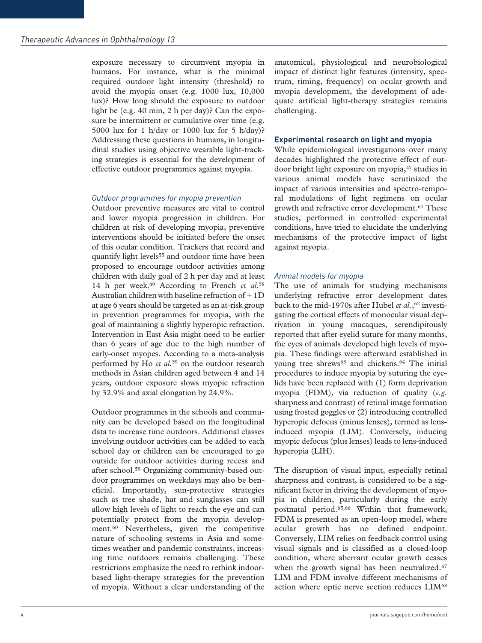exposure necessary to circumvent myopia in humans. For instance, what is the minimal required outdoor light intensity (threshold) to avoid the myopia onset (e.g. 1000 lux, 10,000 lux)? How long should the exposure to outdoor light be (e.g. 40 min, 2 h per day)? Can the exposure be intermittent or cumulative over time (e.g. 5000 lux for 1 h/day or 1000 lux for 5 h/day)? Addressing these questions in humans, in longitudinal studies using objective wearable light-tracking strategies is essential for the development of effective outdoor programmes against myopia.

#### *Outdoor programmes for myopia prevention*

Outdoor preventive measures are vital to control and lower myopia progression in children. For children at risk of developing myopia, preventive interventions should be initiated before the onset of this ocular condition. Trackers that record and quantify light levels<sup>55</sup> and outdoor time have been proposed to encourage outdoor activities among children with daily goal of 2 h per day and at least 14 h per week.49 According to French *et al.*<sup>58</sup> Australian children with baseline refraction of  $+1D$ at age 6 years should be targeted as an at-risk group in prevention programmes for myopia, with the goal of maintaining a slightly hyperopic refraction. Intervention in East Asia might need to be earlier than 6 years of age due to the high number of early-onset myopes. According to a meta-analysis performed by Ho *et al.*59 on the outdoor research methods in Asian children aged between 4 and 14 years, outdoor exposure slows myopic refraction by 32.9% and axial elongation by 24.9%.

Outdoor programmes in the schools and community can be developed based on the longitudinal data to increase time outdoors. Additional classes involving outdoor activities can be added to each school day or children can be encouraged to go outside for outdoor activities during recess and after school.59 Organizing community-based outdoor programmes on weekdays may also be beneficial. Importantly, sun-protective strategies such as tree shade, hat and sunglasses can still allow high levels of light to reach the eye and can potentially protect from the myopia development.<sup>60</sup> Nevertheless, given the competitive nature of schooling systems in Asia and sometimes weather and pandemic constraints, increasing time outdoors remains challenging. These restrictions emphasize the need to rethink indoorbased light-therapy strategies for the prevention of myopia. Without a clear understanding of the anatomical, physiological and neurobiological impact of distinct light features (intensity, spectrum, timing, frequency) on ocular growth and myopia development, the development of adequate artificial light-therapy strategies remains challenging.

#### **Experimental research on light and myopia**

While epidemiological investigations over many decades highlighted the protective effect of outdoor bright light exposure on myopia,47 studies in various animal models have scrutinized the impact of various intensities and spectro-temporal modulations of light regimens on ocular growth and refractive error development.<sup>61</sup> These studies, performed in controlled experimental conditions, have tried to elucidate the underlying mechanisms of the protective impact of light against myopia.

#### *Animal models for myopia*

The use of animals for studying mechanisms underlying refractive error development dates back to the mid-1970s after Hubel et al.,<sup>62</sup> investigating the cortical effects of monocular visual deprivation in young macaques, serendipitously reported that after eyelid suture for many months, the eyes of animals developed high levels of myopia. These findings were afterward established in young tree shrews<sup>63</sup> and chickens.<sup>64</sup> The initial procedures to induce myopia by suturing the eyelids have been replaced with (1) form deprivation myopia (FDM), via reduction of quality (*e.g.* sharpness and contrast) of retinal image formation using frosted goggles or (2) introducing controlled hyperopic defocus (minus lenses), termed as lensinduced myopia (LIM). Conversely, inducing myopic defocus (plus lenses) leads to lens-induced hyperopia (LIH).

The disruption of visual input, especially retinal sharpness and contrast, is considered to be a significant factor in driving the development of myopia in children, particularly during the early postnatal period.65,66 Within that framework, FDM is presented as an open-loop model, where ocular growth has no defined endpoint. Conversely, LIM relies on feedback control using visual signals and is classified as a closed-loop condition, where aberrant ocular growth ceases when the growth signal has been neutralized.<sup>67</sup> LIM and FDM involve different mechanisms of action where optic nerve section reduces LIM<sup>68</sup>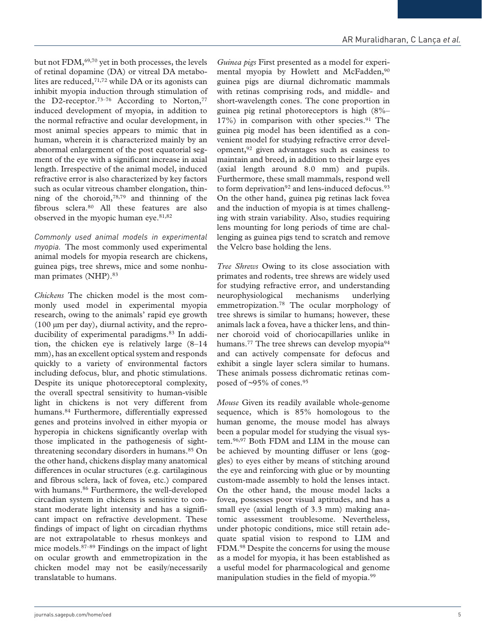but not FDM,<sup>69,70</sup> yet in both processes, the levels of retinal dopamine (DA) or vitreal DA metabolites are reduced,71,72 while DA or its agonists can inhibit myopia induction through stimulation of the D2-receptor.<sup>73-76</sup> According to Norton,<sup>77</sup> induced development of myopia, in addition to the normal refractive and ocular development, in most animal species appears to mimic that in human, wherein it is characterized mainly by an abnormal enlargement of the post equatorial segment of the eye with a significant increase in axial length. Irrespective of the animal model, induced refractive error is also characterized by key factors such as ocular vitreous chamber elongation, thinning of the choroid,78,79 and thinning of the fibrous sclera.80 All these features are also observed in the myopic human eye.<sup>81,82</sup>

*Commonly used animal models in experimental myopia.* The most commonly used experimental animal models for myopia research are chickens, guinea pigs, tree shrews, mice and some nonhuman primates (NHP).<sup>83</sup>

*Chickens* The chicken model is the most commonly used model in experimental myopia research, owing to the animals' rapid eye growth  $(100 \mu m \text{ per day})$ , diurnal activity, and the reproducibility of experimental paradigms.83 In addition, the chicken eye is relatively large (8–14 mm), has an excellent optical system and responds quickly to a variety of environmental factors including defocus, blur, and photic stimulations. Despite its unique photoreceptoral complexity, the overall spectral sensitivity to human-visible light in chickens is not very different from humans.84 Furthermore, differentially expressed genes and proteins involved in either myopia or hyperopia in chickens significantly overlap with those implicated in the pathogenesis of sightthreatening secondary disorders in humans.<sup>85</sup> On the other hand, chickens display many anatomical differences in ocular structures (e.g. cartilaginous and fibrous sclera, lack of fovea, etc.) compared with humans.<sup>86</sup> Furthermore, the well-developed circadian system in chickens is sensitive to constant moderate light intensity and has a significant impact on refractive development. These findings of impact of light on circadian rhythms are not extrapolatable to rhesus monkeys and mice models.87–89 Findings on the impact of light on ocular growth and emmetropization in the chicken model may not be easily/necessarily translatable to humans.

*Guinea pigs* First presented as a model for experimental myopia by Howlett and McFadden,<sup>90</sup> guinea pigs are diurnal dichromatic mammals with retinas comprising rods, and middle- and short-wavelength cones. The cone proportion in guinea pig retinal photoreceptors is high (8%–  $17\%$ ) in comparison with other species.<sup>91</sup> The guinea pig model has been identified as a convenient model for studying refractive error development,92 given advantages such as easiness to maintain and breed, in addition to their large eyes (axial length around 8.0 mm) and pupils. Furthermore, these small mammals, respond well to form deprivation<sup>92</sup> and lens-induced defocus.<sup>93</sup> On the other hand, guinea pig retinas lack fovea and the induction of myopia is at times challenging with strain variability. Also, studies requiring lens mounting for long periods of time are challenging as guinea pigs tend to scratch and remove the Velcro base holding the lens.

*Tree Shrews* Owing to its close association with primates and rodents, tree shrews are widely used for studying refractive error, and understanding neurophysiological mechanisms underlying emmetropization.78 The ocular morphology of tree shrews is similar to humans; however, these animals lack a fovea, have a thicker lens, and thinner choroid void of choriocapillaries unlike in humans.<sup>77</sup> The tree shrews can develop myopia<sup>94</sup> and can actively compensate for defocus and exhibit a single layer sclera similar to humans. These animals possess dichromatic retinas composed of ~95% of cones.95

*Mouse* Given its readily available whole-genome sequence, which is 85% homologous to the human genome, the mouse model has always been a popular model for studying the visual system.96,97 Both FDM and LIM in the mouse can be achieved by mounting diffuser or lens (goggles) to eyes either by means of stitching around the eye and reinforcing with glue or by mounting custom-made assembly to hold the lenses intact. On the other hand, the mouse model lacks a fovea, possesses poor visual aptitudes, and has a small eye (axial length of 3.3 mm) making anatomic assessment troublesome. Nevertheless, under photopic conditions, mice still retain adequate spatial vision to respond to LIM and FDM.98 Despite the concerns for using the mouse as a model for myopia, it has been established as a useful model for pharmacological and genome manipulation studies in the field of myopia.99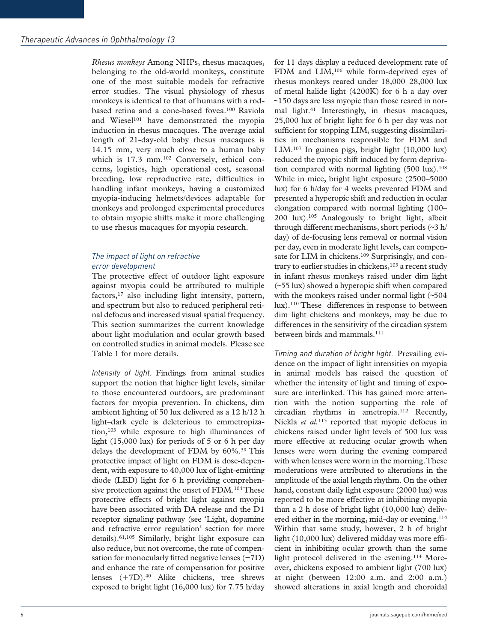*Rhesus monkeys* Among NHPs, rhesus macaques, belonging to the old-world monkeys, constitute one of the most suitable models for refractive error studies. The visual physiology of rhesus monkeys is identical to that of humans with a rodbased retina and a cone-based fovea.100 Raviola and Wiesel<sup>101</sup> have demonstrated the myopia induction in rhesus macaques. The average axial length of 21-day-old baby rhesus macaques is 14.15 mm, very much close to a human baby which is 17.3 mm.<sup>102</sup> Conversely, ethical concerns, logistics, high operational cost, seasonal breeding, low reproductive rate, difficulties in handling infant monkeys, having a customized myopia-inducing helmets/devices adaptable for monkeys and prolonged experimental procedures to obtain myopic shifts make it more challenging to use rhesus macaques for myopia research.

## *The impact of light on refractive error development*

The protective effect of outdoor light exposure against myopia could be attributed to multiple factors,<sup>17</sup> also including light intensity, pattern, and spectrum but also to reduced peripheral retinal defocus and increased visual spatial frequency. This section summarizes the current knowledge about light modulation and ocular growth based on controlled studies in animal models. Please see Table 1 for more details.

*Intensity of light.* Findings from animal studies support the notion that higher light levels, similar to those encountered outdoors, are predominant factors for myopia prevention. In chickens, dim ambient lighting of 50 lux delivered as a 12 h/12 h light–dark cycle is deleterious to emmetropization,103 while exposure to high illuminances of light (15,000 lux) for periods of 5 or 6 h per day delays the development of FDM by 60%.<sup>39</sup> This protective impact of light on FDM is dose-dependent, with exposure to 40,000 lux of light-emitting diode (LED) light for 6 h providing comprehensive protection against the onset of FDM.<sup>104</sup> These protective effects of bright light against myopia have been associated with DA release and the D1 receptor signaling pathway (see 'Light, dopamine and refractive error regulation' section for more details).61,105 Similarly, bright light exposure can also reduce, but not overcome, the rate of compensation for monocularly fitted negative lenses (−7D) and enhance the rate of compensation for positive lenses (+7D).<sup>40</sup> Alike chickens, tree shrews exposed to bright light (16,000 lux) for 7.75 h/day

for 11 days display a reduced development rate of FDM and LIM,<sup>106</sup> while form-deprived eyes of rhesus monkeys reared under 18,000–28,000 lux of metal halide light (4200K) for 6 h a day over ~150 days are less myopic than those reared in normal light.41 Interestingly, in rhesus macaques, 25,000 lux of bright light for 6 h per day was not sufficient for stopping LIM, suggesting dissimilarities in mechanisms responsible for FDM and LIM.107 In guinea pigs, bright light (10,000 lux) reduced the myopic shift induced by form deprivation compared with normal lighting  $(500 \text{ lux}).^{108}$ While in mice, bright light exposure (2500–5000 lux) for 6 h/day for 4 weeks prevented FDM and presented a hyperopic shift and reduction in ocular elongation compared with normal lighting (100– 200 lux).105 Analogously to bright light, albeit through different mechanisms, short periods (~3 h/ day) of de-focusing lens removal or normal vision per day, even in moderate light levels, can compensate for LIM in chickens.<sup>109</sup> Surprisingly, and contrary to earlier studies in chickens,<sup>103</sup> a recent study in infant rhesus monkeys raised under dim light (~55 lux) showed a hyperopic shift when compared with the monkeys raised under normal light (~504) lux).110 These differences in response to between dim light chickens and monkeys, may be due to differences in the sensitivity of the circadian system between birds and mammals.<sup>111</sup>

*Timing and duration of bright light.* Prevailing evidence on the impact of light intensities on myopia in animal models has raised the question of whether the intensity of light and timing of exposure are interlinked. This has gained more attention with the notion supporting the role of circadian rhythms in ametropia.112 Recently, Nickla *et al.*113 reported that myopic defocus in chickens raised under light levels of 500 lux was more effective at reducing ocular growth when lenses were worn during the evening compared with when lenses were worn in the morning. These moderations were attributed to alterations in the amplitude of the axial length rhythm. On the other hand, constant daily light exposure (2000 lux) was reported to be more effective at inhibiting myopia than a 2 h dose of bright light (10,000 lux) delivered either in the morning, mid-day or evening.<sup>114</sup> Within that same study, however, 2 h of bright light (10,000 lux) delivered midday was more efficient in inhibiting ocular growth than the same light protocol delivered in the evening.<sup>114</sup> Moreover, chickens exposed to ambient light (700 lux) at night (between 12:00 a.m. and 2:00 a.m.) showed alterations in axial length and choroidal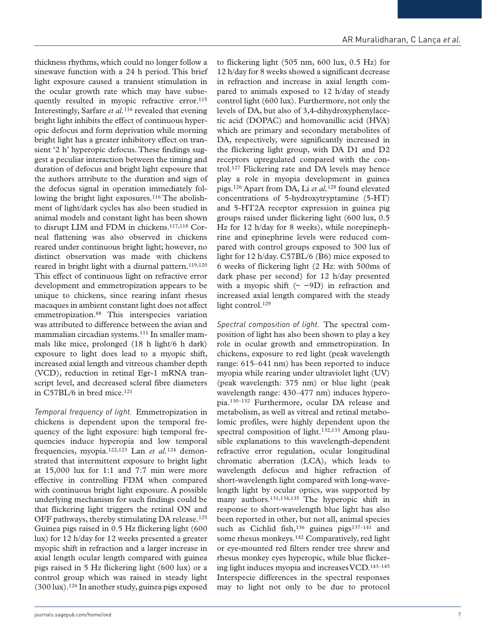thickness rhythms, which could no longer follow a sinewave function with a 24 h period. This brief light exposure caused a transient stimulation in the ocular growth rate which may have subsequently resulted in myopic refractive error.<sup>115</sup> Interestingly, Sarfare *et al.*116 revealed that evening bright light inhibits the effect of continuous hyperopic defocus and form deprivation while morning bright light has a greater inhibitory effect on transient '2 h' hyperopic defocus. These findings suggest a peculiar interaction between the timing and duration of defocus and bright light exposure that the authors attribute to the duration and sign of the defocus signal in operation immediately following the bright light exposures.<sup>116</sup> The abolishment of light/dark cycles has also been studied in animal models and constant light has been shown to disrupt LIM and FDM in chickens.<sup>117,118</sup> Corneal flattening was also observed in chickens reared under continuous bright light; however, no distinct observation was made with chickens reared in bright light with a diurnal pattern.<sup>119,120</sup> This effect of continuous light on refractive error development and emmetropization appears to be unique to chickens, since rearing infant rhesus macaques in ambient constant light does not affect emmetropization.88 This interspecies variation was attributed to difference between the avian and mammalian circadian systems.111 In smaller mammals like mice, prolonged (18 h light/6 h dark) exposure to light does lead to a myopic shift, increased axial length and vitreous chamber depth (VCD), reduction in retinal Egr-1 mRNA transcript level, and decreased scleral fibre diameters in C57BL/6 in bred mice. $121$ 

*Temporal frequency of light.* Emmetropization in chickens is dependent upon the temporal frequency of the light exposure: high temporal frequencies induce hyperopia and low temporal frequencies, myopia.122,123 Lan *et al.*124 demonstrated that intermittent exposure to bright light at 15,000 lux for 1:1 and 7:7 min were more effective in controlling FDM when compared with continuous bright light exposure. A possible underlying mechanism for such findings could be that flickering light triggers the retinal ON and OFF pathways, thereby stimulating DA release.<sup>125</sup> Guinea pigs raised in 0.5 Hz flickering light (600 lux) for 12 h/day for 12 weeks presented a greater myopic shift in refraction and a larger increase in axial length ocular length compared with guinea pigs raised in 5 Hz flickering light (600 lux) or a control group which was raised in steady light  $(300 \text{ lux})$ .<sup>126</sup> In another study, guinea pigs exposed

to flickering light (505 nm, 600 lux, 0.5 Hz) for 12 h/day for 8 weeks showed a significant decrease in refraction and increase in axial length compared to animals exposed to 12 h/day of steady control light (600 lux). Furthermore, not only the levels of DA, but also of 3,4-dihydroxyphenylacetic acid (DOPAC) and homovanillic acid (HVA) which are primary and secondary metabolites of DA, respectively, were significantly increased in the flickering light group, with DA D1 and D2 receptors upregulated compared with the control.127 Flickering rate and DA levels may hence play a role in myopia development in guinea pigs.126 Apart from DA, Li *et al.*128 found elevated concentrations of 5-hydroxytryptamine (5-HT) and 5-HT2A receptor expression in guinea pig groups raised under flickering light (600 lux, 0.5 Hz for 12 h/day for 8 weeks), while norepinephrine and epinephrine levels were reduced compared with control groups exposed to 300 lux of light for 12 h/day. C57BL/6 (B6) mice exposed to 6 weeks of flickering light (2 Hz: with 500ms of dark phase per second) for 12 h/day presented with a myopic shift  $(~ -9D)$  in refraction and increased axial length compared with the steady light control.<sup>129</sup>

*Spectral composition of light.* The spectral composition of light has also been shown to play a key role in ocular growth and emmetropization. In chickens, exposure to red light (peak wavelength range: 615–641 nm) has been reported to induce myopia while rearing under ultraviolet light (UV) (peak wavelength: 375 nm) or blue light (peak wavelength range: 430–477 nm) induces hyperopia.130–132 Furthermore, ocular DA release and metabolism, as well as vitreal and retinal metabolomic profiles, were highly dependent upon the spectral composition of light.<sup>132,133</sup> Among plausible explanations to this wavelength-dependent refractive error regulation, ocular longitudinal chromatic aberration (LCA), which leads to wavelength defocus and higher refraction of short-wavelength light compared with long-wavelength light by ocular optics, was supported by many authors.<sup>131,134,135</sup> The hyperopic shift in response to short-wavelength blue light has also been reported in other, but not all, animal species such as Cichlid fish,<sup>136</sup> guinea pigs<sup>137-141</sup> and some rhesus monkeys.142 Comparatively, red light or eye-mounted red filters render tree shrew and rhesus monkey eyes hyperopic, while blue flickering light induces myopia and increases VCD.143–145 Interspecie differences in the spectral responses may to light not only to be due to protocol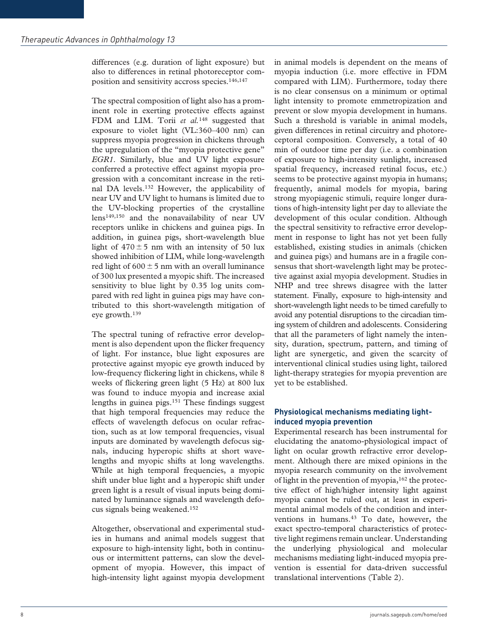differences (e.g. duration of light exposure) but also to differences in retinal photoreceptor composition and sensitivity accross species.146,147

The spectral composition of light also has a prominent role in exerting protective effects against FDM and LIM. Torii et al.<sup>148</sup> suggested that exposure to violet light (VL:360–400 nm) can suppress myopia progression in chickens through the upregulation of the "myopia protective gene" *EGR1*. Similarly, blue and UV light exposure conferred a protective effect against myopia progression with a concomitant increase in the retinal DA levels.132 However, the applicability of near UV and UV light to humans is limited due to the UV-blocking properties of the crystalline lens149,150 and the nonavailability of near UV receptors unlike in chickens and guinea pigs. In addition, in guinea pigs, short-wavelength blue light of  $470 \pm 5$  nm with an intensity of 50 lux showed inhibition of LIM, while long-wavelength red light of  $600 \pm 5$  nm with an overall luminance of 300 lux presented a myopic shift. The increased sensitivity to blue light by 0.35 log units compared with red light in guinea pigs may have contributed to this short-wavelength mitigation of eye growth.139

The spectral tuning of refractive error development is also dependent upon the flicker frequency of light. For instance, blue light exposures are protective against myopic eye growth induced by low-frequency flickering light in chickens, while 8 weeks of flickering green light (5 Hz) at 800 lux was found to induce myopia and increase axial lengths in guinea pigs.151 These findings suggest that high temporal frequencies may reduce the effects of wavelength defocus on ocular refraction, such as at low temporal frequencies, visual inputs are dominated by wavelength defocus signals, inducing hyperopic shifts at short wavelengths and myopic shifts at long wavelengths. While at high temporal frequencies, a myopic shift under blue light and a hyperopic shift under green light is a result of visual inputs being dominated by luminance signals and wavelength defocus signals being weakened.152

Altogether, observational and experimental studies in humans and animal models suggest that exposure to high-intensity light, both in continuous or intermittent patterns, can slow the development of myopia. However, this impact of high-intensity light against myopia development

in animal models is dependent on the means of myopia induction (i.e. more effective in FDM compared with LIM). Furthermore, today there is no clear consensus on a minimum or optimal light intensity to promote emmetropization and prevent or slow myopia development in humans. Such a threshold is variable in animal models, given differences in retinal circuitry and photoreceptoral composition. Conversely, a total of 40 min of outdoor time per day (i.e. a combination of exposure to high-intensity sunlight, increased spatial frequency, increased retinal focus, etc.) seems to be protective against myopia in humans; frequently, animal models for myopia, baring strong myopiagenic stimuli, require longer durations of high-intensity light per day to alleviate the development of this ocular condition. Although the spectral sensitivity to refractive error development in response to light has not yet been fully established, existing studies in animals (chicken and guinea pigs) and humans are in a fragile consensus that short-wavelength light may be protective against axial myopia development. Studies in NHP and tree shrews disagree with the latter statement. Finally, exposure to high-intensity and short-wavelength light needs to be timed carefully to avoid any potential disruptions to the circadian timing system of children and adolescents. Considering that all the parameters of light namely the intensity, duration, spectrum, pattern, and timing of light are synergetic, and given the scarcity of interventional clinical studies using light, tailored light-therapy strategies for myopia prevention are yet to be established.

## **Physiological mechanisms mediating lightinduced myopia prevention**

Experimental research has been instrumental for elucidating the anatomo-physiological impact of light on ocular growth refractive error development. Although there are mixed opinions in the myopia research community on the involvement of light in the prevention of myopia,  $162$  the protective effect of high/higher intensity light against myopia cannot be ruled out, at least in experimental animal models of the condition and interventions in humans.<sup>43</sup> To date, however, the exact spectro-temporal characteristics of protective light regimens remain unclear. Understanding the underlying physiological and molecular mechanisms mediating light-induced myopia prevention is essential for data-driven successful translational interventions (Table 2).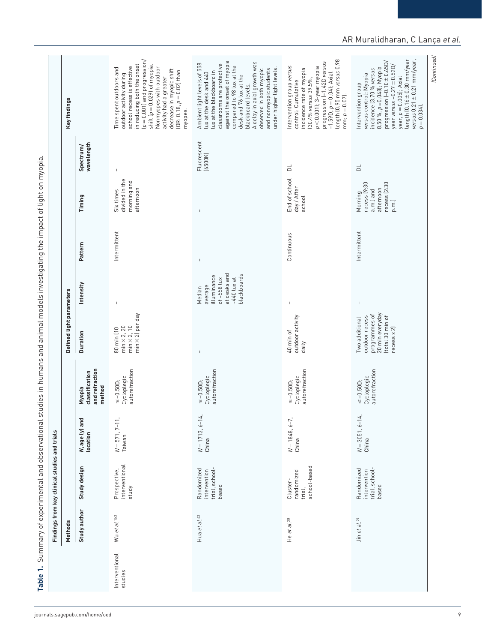|                           | Methods                  | Findings from key clinical studies and trials         |                                    |                                                      | Defined light parameters                                                                                |                                                                                                   |              |                                                                           |                         | Key findings                                                                                                                                                                                                                                                                                                                                  |
|---------------------------|--------------------------|-------------------------------------------------------|------------------------------------|------------------------------------------------------|---------------------------------------------------------------------------------------------------------|---------------------------------------------------------------------------------------------------|--------------|---------------------------------------------------------------------------|-------------------------|-----------------------------------------------------------------------------------------------------------------------------------------------------------------------------------------------------------------------------------------------------------------------------------------------------------------------------------------------|
|                           | Study author             | Study design                                          | <b>N, age (y) and<br/>location</b> | and refraction<br>classification<br>method<br>Myopia | <b>Duration</b>                                                                                         | Intensity                                                                                         | Pattern      | Timing                                                                    | wavelength<br>Spectrum/ |                                                                                                                                                                                                                                                                                                                                               |
| Interventional<br>studies | Wu et al. <sup>153</sup> | interventional<br>Prospective,<br>study               | $N = 571, 7 - 11,$<br>Taiwan       | autorefraction<br>Cycloplegic<br>$\le -0.50D$ ;      | $min \times 2j$ per day<br>min $\times$ 2, 20<br>min $\times$ 2, 10<br>80 min (10                       | $\mathbf I$                                                                                       | Intermittent | divided in the<br>morning and<br>afternoon<br>Six times                   | $\overline{1}$          | $(p = 0.001)$ and progression/<br>in reducing both the onset<br>shift $(p = 0.029)$ of myopia.<br>school recess is effective<br>Nonmyopes with outdoor<br>Time spent outdoors and<br>decrease in myopic shift<br>(OR: 0.18, $p = 0.02$ ) than<br>outdoor activity during<br>activity had a greater<br>myopes.                                 |
|                           | Hua et al. <sup>43</sup> | trial, school-<br>Randomized<br>intervention<br>based | $N = 1713, 6 - 14,$<br>China       | autorefraction<br>Cycloplegic<br>$\le -0.50D$ ;      | $\mathbf I$                                                                                             | at desks and<br>blackboards<br>illuminance<br>of $~558$ lux<br>$-440$ lux at<br>average<br>Median | $\mathsf I$  | $\mathbf{I}$                                                              | Fluorescent<br>(6500K)  | against the onset of myopia<br>A delay in axial growth was<br>Ambient light levels of 558<br>classrooms are protective<br>compared to 98 lux at the<br>and nonmyopic students<br>under higher light levels.<br>observed in both myopic<br>lux at the blackboard in<br>lux at the desk and 440<br>desk and 76 lux at the<br>blackboard levels. |
|                           | He et al. 30             | school-based<br>randomized<br>Cluster-<br>trial,      | $N = 1848, 6 - 7,$<br>China        | autorefraction<br>Cycloplegic<br>$\le -0.50D$ ;      | outdoor activity<br>40 min of<br>daily                                                                  | $\overline{1}$                                                                                    | Continuous   | End of school<br>day / After<br>school                                    | $\overline{\square}$    | $-1.59D$ , $p = 0.04$ ); Axial<br>length (0.95 mm versus 0.98<br>progression (-1.42D versus<br>Intervention group versus<br>$p < 0.001$ ]; 3-year myopia<br>incidence rate of myopia<br>[30.4% versus 39.5%,<br>control: Cumulative<br>$mm; p = 0.07$ .                                                                                       |
|                           | Jin et al. <sup>29</sup> | trial, school-<br>Randomized<br>intervention<br>based | $N = 3051, 6 - 14,$<br>China       | autorefraction<br>Cycloplegic<br>$\leq -0.50$ ;      | 20 min everyday<br>programmes of<br>(total 30 min of<br>outdoor recess<br>Two additional<br>recess x 2) | $\mathbb{L}$                                                                                      | Intermittent | recess (2:30<br>Morning<br>recess (9:30<br>afternoon<br>a.m.) and<br>p.m. | $\Xi$                   | length $(0.16 \pm 0.30$ mm/year<br>versus $0.21 \pm 0.21$ mm/year,<br>progression $(-0.10 \pm 0.65D)$<br>year versus $-0.27 \pm 0.52D/$<br>8.50 %, $p = 0.048$ ]; Myopia<br>incidence (3.70 % versus<br>versus control: Myopia<br>year, $p = 0.005$ ); Axial<br>Intervention group<br>$p = 0.034$ .                                           |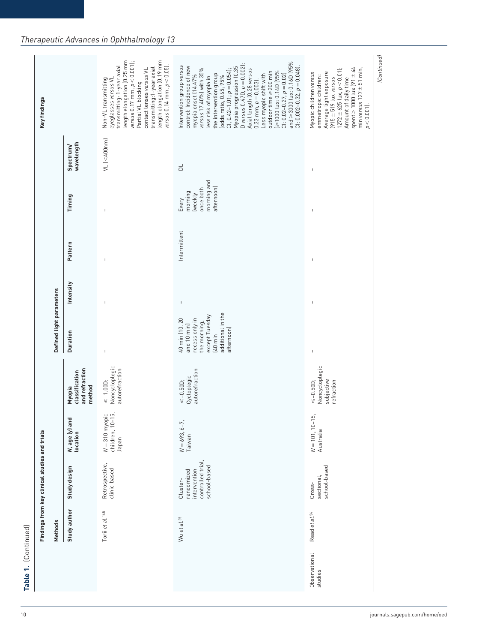|                          | Methods                     | Findings from key clinical studies and trials                                |                                                              |                                                               | Defined light parameters                                                                                                                   |                          |                          |                                                                       |                          | Key findings                                                                                                                                                                                                                                                                                                                                                                                                                                                                                                                                 |
|--------------------------|-----------------------------|------------------------------------------------------------------------------|--------------------------------------------------------------|---------------------------------------------------------------|--------------------------------------------------------------------------------------------------------------------------------------------|--------------------------|--------------------------|-----------------------------------------------------------------------|--------------------------|----------------------------------------------------------------------------------------------------------------------------------------------------------------------------------------------------------------------------------------------------------------------------------------------------------------------------------------------------------------------------------------------------------------------------------------------------------------------------------------------------------------------------------------------|
|                          | Study author                | Study design                                                                 | <b>N</b> , age (y) and<br>location                           | and refraction<br>classification<br>method<br>Myopia          | Duration                                                                                                                                   | Intensity                | Pattern                  | Timing                                                                | wavelength<br>Spectrum/  |                                                                                                                                                                                                                                                                                                                                                                                                                                                                                                                                              |
|                          | Torii et al. <sup>148</sup> | Retrospective,<br>clinic-based                                               | <u>.e</u><br>L5<br>$N = 310$ myopi<br>children, 10-<br>Japan | Noncycloplegic<br>autorefraction<br>$\leq -1.00D;$            | $\mathbf{I}$                                                                                                                               | $\overline{1}$           | -1                       | $\overline{1}$                                                        | $VL$ (<400nm)            | length elongation (0.19 mm<br>length elongation (0.25 mm<br>$versus$ 0.17 mm, $p < 0.001$ ];<br>versus $0.14$ mm, $p < 0.05$ ].<br>transmitting: 1-year axial<br>transmitting:1-year axial<br>contact lenses versus VL<br>eyeglasses versus VL<br>Non-VL transmitting<br>Partial VL blocking                                                                                                                                                                                                                                                 |
|                          | Wu et al. 35                | controlled trial,<br>school-based<br>intervention-<br>randomized<br>Cluster- | $N = 693, 6 - 7,$<br>Taiwan                                  | autorefraction<br>Cycloplegic<br>$\leq -0.50$ .               | additional in the<br>except Tuesday<br>40 min (10, 20<br>recess only in<br>the morning,<br>and 10 min)<br>afternoon)<br>$(40 \text{ min})$ | $\mathsf I$              | Intermittent             | morning and<br>afternoon)<br>once both<br>morning<br>(weekly<br>Every | $\Xi$                    | CI: 0.02-0.27, $\rho$ = 0.02)<br>and ≥ 3000 lux: 0.16D (95%<br>D versus $0.47D$ , $p = 0.002$ );<br>Intervention group versus<br>$C$  : 0.002-0.32, $p = 0.048$ ].<br>control: Incidence of new<br>Myopia progression (0.35<br>versus 17.40%) with 35%<br>Axial length (0.28 versus<br>CI, $0.42 - 1.01$ ; $p = 0.054$ );<br>269 dyl: 0:140 145%<br>$outdoor time \geq 200 min$<br>the intervention group<br>Less myopic shift with<br>myopia onset (14.47%<br>lodds ratio, 0.65; 95%<br>less risk of myopia in<br>$0.33$ mm, $p = 0.003$ ). |
| Observational<br>studies | Read et al. <sup>54</sup>   | school-based<br>sectional,<br>Cross-                                         | E,<br>$N = 101, 10-1$<br>Australia                           | Noncycloplegic<br>$\leq -0.50$ D;<br>subjective<br>refraction | $\overline{\phantom{a}}$                                                                                                                   | $\overline{\phantom{a}}$ | $\overline{\phantom{a}}$ | $\overline{\phantom{a}}$                                              | $\overline{\phantom{a}}$ | spent $> 1000$ lux (91 $\pm$ 44<br>$(1272 \pm 625 \text{ lux}, p < 0.01);$<br>min versus $127 \pm 51$ min,<br>Average light exposure<br>Myopic children versus<br>emmetropic children:<br>Amount of daily time<br>$(915 \pm 519$ lux versus<br>$p < 0.001$ ].                                                                                                                                                                                                                                                                                |
|                          |                             |                                                                              |                                                              |                                                               |                                                                                                                                            |                          |                          |                                                                       |                          | (Continued)                                                                                                                                                                                                                                                                                                                                                                                                                                                                                                                                  |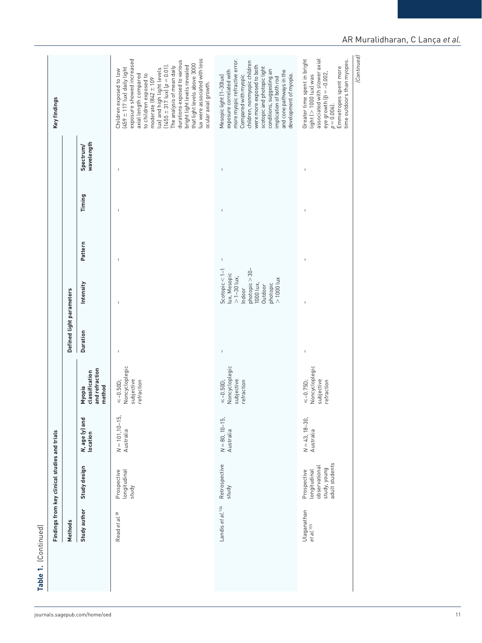| associated with slower axial<br>Greater time spent in bright<br>time outdoors than myopes.<br>p = 0.006).<br>Emmetropes spent more<br>eye growth $\beta = -0.002$ ,<br>axial length compared<br>to children exposed to<br>development of myopia.<br>Compared with myopic<br>$light$ ( $>$ 1000 $lux$ ) was<br>Mesopic light (1-30lux)<br>implication of both rod<br>moderate $(842 \pm 109$<br>ocular axial growth.<br>wavelength<br>Spectrum/<br>$\mathsf I$<br>$\overline{1}$<br>$\mathsf I$<br>Timing<br>$\mathsf I$<br>$\begin{array}{c} \end{array}$<br>$\overline{1}$<br>Pattern<br>$\mathsf I$<br>$\overline{1}$<br>$\mathsf I$<br>photopic > 30-<br>Scotopic $< 1-1$<br>lux, Mesopic<br>> 1-30 lux,<br>$> 1000$ lux<br>1000 lux,<br>Intensity<br>photopic<br>Outdoor<br>Indoor<br>$\mathbf{I}$<br>$\mathbf{I}$<br>Duration<br>$\perp$<br>$\mathbb{I}$<br>$\mathsf I$<br>Noncycloplegic<br>Noncycloplegic<br>Noncycloplegic<br>and refraction<br>classification<br>subjective<br>subjective<br>subjective<br>refraction<br>refraction<br>$\leq -0.75D$ ;<br>$\leq -0.50$ D;<br>$\le -0.50D$ ;<br>refraction<br>method<br>Myopia<br>N = 101,10-15,<br>Australia<br>$N = 43, 18 - 30,$<br><b>N</b> , age (y) and<br>location<br>$N = 80, 10-15,$ Australia<br>Australia<br>study, young<br>adult students<br>Retrospective<br>Study design<br>observational<br>Prospective<br>longitudinal<br>Prospective<br>longitudinal<br>study<br>study<br>Landis et al. <sup>154</sup><br>Study author<br>Ulaganathan<br>Read et al. 38<br>et al.155 | Methods | Findings from key clinical studies and trials |  | Defined light parameters |  |  | Key findings                                                                                                                                                                                                                                                                                                               |
|------------------------------------------------------------------------------------------------------------------------------------------------------------------------------------------------------------------------------------------------------------------------------------------------------------------------------------------------------------------------------------------------------------------------------------------------------------------------------------------------------------------------------------------------------------------------------------------------------------------------------------------------------------------------------------------------------------------------------------------------------------------------------------------------------------------------------------------------------------------------------------------------------------------------------------------------------------------------------------------------------------------------------------------------------------------------------------------------------------------------------------------------------------------------------------------------------------------------------------------------------------------------------------------------------------------------------------------------------------------------------------------------------------------------------------------------------------------------------------------------------------------------------------------------|---------|-----------------------------------------------|--|--------------------------|--|--|----------------------------------------------------------------------------------------------------------------------------------------------------------------------------------------------------------------------------------------------------------------------------------------------------------------------------|
|                                                                                                                                                                                                                                                                                                                                                                                                                                                                                                                                                                                                                                                                                                                                                                                                                                                                                                                                                                                                                                                                                                                                                                                                                                                                                                                                                                                                                                                                                                                                                |         |                                               |  |                          |  |  |                                                                                                                                                                                                                                                                                                                            |
|                                                                                                                                                                                                                                                                                                                                                                                                                                                                                                                                                                                                                                                                                                                                                                                                                                                                                                                                                                                                                                                                                                                                                                                                                                                                                                                                                                                                                                                                                                                                                |         |                                               |  |                          |  |  | lux were associated with less<br>exposure showed increased<br>durations exposed to various<br>that light levels above 3000<br>bright light levels revealed<br>$(1455 \pm 317$ lux $ p = 0.01$ ].<br>The analysis of mean daily<br>$(459 \pm 117$ lux) daily light<br>lux) and high light levels<br>Children exposed to low |
|                                                                                                                                                                                                                                                                                                                                                                                                                                                                                                                                                                                                                                                                                                                                                                                                                                                                                                                                                                                                                                                                                                                                                                                                                                                                                                                                                                                                                                                                                                                                                |         |                                               |  |                          |  |  | more myopic refractive error.<br>children, nonmyopic children<br>were more exposed to both<br>scotopic and photopic light<br>conditions, suggesting an<br>and cone pathways in the<br>exposure correlated with                                                                                                             |
|                                                                                                                                                                                                                                                                                                                                                                                                                                                                                                                                                                                                                                                                                                                                                                                                                                                                                                                                                                                                                                                                                                                                                                                                                                                                                                                                                                                                                                                                                                                                                |         |                                               |  |                          |  |  |                                                                                                                                                                                                                                                                                                                            |

## AR Muralidharan, C Lança *et al.*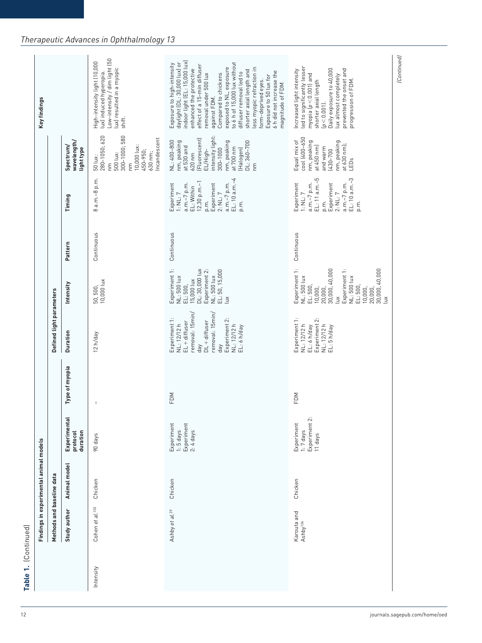| to 6 h of 15,000 lux without<br>Exposure to high-intensity<br>effect of a 15-min diffuser<br>exposed to NL, exposure<br>led to significantly lesser<br>lux) resulted in a myopic<br>less myopic refraction in<br>enhanced the protective<br>Daily exposure to 40,000<br>prevented the onset and<br>shorter axial length and<br>Increased light intensity<br>6 h did not increase the<br>lux) induced hyperopia.<br>diffuser removal led to<br>removal under 500 lux<br>Compared to chickens<br>lux almost completely<br>myopia $[p < 0.001]$ and<br>Exposure to 50 lux for<br>progression of FDM.<br>form-deprived eyes.<br>shorter axial length<br>magnitude of FDM<br>against FDM.<br>$[p < 0.001]$ .<br>shift.<br>intensity light:<br>50 lux:<br>280-1050; 620<br>300-1000; 580<br>cool (400-650<br>Incandescent<br>[Fluorescent]<br>NL: 400-800<br>wavelength/<br>Equal mix of<br>nm, peaking<br>nm, peaking<br>DL: 360-700<br>nm, peaking<br>nm, peaking<br>at $630$ nm);<br>10,000 lux:<br>Spectrum/<br>at 530 and<br>at $450$ nm)<br>and warm<br>at 700 nm<br>light type<br>300-1000<br>(Halogen)<br>$(430 - 700$<br>EL/High-<br>450-950;<br>500 lux:<br>630 nm;<br>620 nm<br>LEDs<br>E<br>Εm<br>ξ<br>8 a.m.-8 p.m.<br>EL: 11 a.m.-5<br>EL: 10 a.m.-3<br>EL: 10 a.m.-4<br>$12.30 p.m.-1$<br>Experiment<br>a.m.-7 p.m.<br>Experiment<br>a.m.-7 p.m.<br>Experiment<br>a.m.-7 p.m.<br>Experiment<br>a.m.-7 p.m.<br>EL: Within<br>1: NL: 7<br>2: NLL: 7<br>2: NLL: 7<br>1: NL: 7<br>Timing<br>p.m.<br>p.m.<br>p.m.<br>p.m.<br>Continuous<br>Continuous<br>Continuous<br>Pattern<br>Experiment 1:<br>Experiment 1:<br>DL: 30,000 lux<br>30,000, 40,000<br>30,000, 40,000<br>Experiment 2:<br>Experiment 1:<br>NL: 500 lux<br>EL: 50, 15,000<br>NL: 500 lux<br>NL: 500 lux<br>NL: 500 lux<br>15,000 lux<br>50, 500,<br>10,000 lux<br>Intensity<br>EL: 500,<br>EL: 500,<br>EL: 500,<br>10,000,<br>10,000,<br>20,000,<br>20,000,<br>Lux<br>$\mathbb{E}$<br>š<br>removal: 15min/<br>removal: 15min/<br>Experiment 1:<br>Experiment 1:<br>Experiment 2:<br>Experiment 2:<br>$DL + diffuser$<br>$EL + diffuser$<br>NL: 12/12 h<br>NL: 12/12 h<br>NL: 12/12 h<br>NL: 12/12 h<br>EL: 6 h/day<br>EL: 6 h/day<br>EL: 5 h/day<br><b>Duration</b><br>12 h/day<br>day<br>day<br>Type of myopia<br>FDM<br>FDM<br>Experiment 2:<br>Experimental<br>Experiment<br>1:5 days<br>Experiment<br>2:4 days<br>Experiment<br>$1:7$ days<br>duration<br>protocol<br>11 days<br>90 days<br>Animal model<br>Chicken<br>Chicken<br>Chicken<br>Cohen et al. <sup>103</sup><br>Study author<br>Ashby et al. <sup>39</sup><br>Karouta and<br>Ashby <sup>104</sup><br>Intensity | Methods and baseline data | Findings in experimental animal models |  | Defined light parameters |  |  | Key findings                                                  |
|----------------------------------------------------------------------------------------------------------------------------------------------------------------------------------------------------------------------------------------------------------------------------------------------------------------------------------------------------------------------------------------------------------------------------------------------------------------------------------------------------------------------------------------------------------------------------------------------------------------------------------------------------------------------------------------------------------------------------------------------------------------------------------------------------------------------------------------------------------------------------------------------------------------------------------------------------------------------------------------------------------------------------------------------------------------------------------------------------------------------------------------------------------------------------------------------------------------------------------------------------------------------------------------------------------------------------------------------------------------------------------------------------------------------------------------------------------------------------------------------------------------------------------------------------------------------------------------------------------------------------------------------------------------------------------------------------------------------------------------------------------------------------------------------------------------------------------------------------------------------------------------------------------------------------------------------------------------------------------------------------------------------------------------------------------------------------------------------------------------------------------------------------------------------------------------------------------------------------------------------------------------------------------------------------------------------------------------------------------------------------------------------------------------------------------------------------------------------------------------------------------------------------------------------------------------------------------------------------------------------------------------------------|---------------------------|----------------------------------------|--|--------------------------|--|--|---------------------------------------------------------------|
|                                                                                                                                                                                                                                                                                                                                                                                                                                                                                                                                                                                                                                                                                                                                                                                                                                                                                                                                                                                                                                                                                                                                                                                                                                                                                                                                                                                                                                                                                                                                                                                                                                                                                                                                                                                                                                                                                                                                                                                                                                                                                                                                                                                                                                                                                                                                                                                                                                                                                                                                                                                                                                                    |                           |                                        |  |                          |  |  |                                                               |
|                                                                                                                                                                                                                                                                                                                                                                                                                                                                                                                                                                                                                                                                                                                                                                                                                                                                                                                                                                                                                                                                                                                                                                                                                                                                                                                                                                                                                                                                                                                                                                                                                                                                                                                                                                                                                                                                                                                                                                                                                                                                                                                                                                                                                                                                                                                                                                                                                                                                                                                                                                                                                                                    |                           |                                        |  |                          |  |  | Low-intensity / dim light (50<br>High-intensity light (10,000 |
|                                                                                                                                                                                                                                                                                                                                                                                                                                                                                                                                                                                                                                                                                                                                                                                                                                                                                                                                                                                                                                                                                                                                                                                                                                                                                                                                                                                                                                                                                                                                                                                                                                                                                                                                                                                                                                                                                                                                                                                                                                                                                                                                                                                                                                                                                                                                                                                                                                                                                                                                                                                                                                                    |                           |                                        |  |                          |  |  | indoor light (EL: 15,000 lux)<br>daylight (DL: 30,000 lux) or |
|                                                                                                                                                                                                                                                                                                                                                                                                                                                                                                                                                                                                                                                                                                                                                                                                                                                                                                                                                                                                                                                                                                                                                                                                                                                                                                                                                                                                                                                                                                                                                                                                                                                                                                                                                                                                                                                                                                                                                                                                                                                                                                                                                                                                                                                                                                                                                                                                                                                                                                                                                                                                                                                    |                           |                                        |  |                          |  |  |                                                               |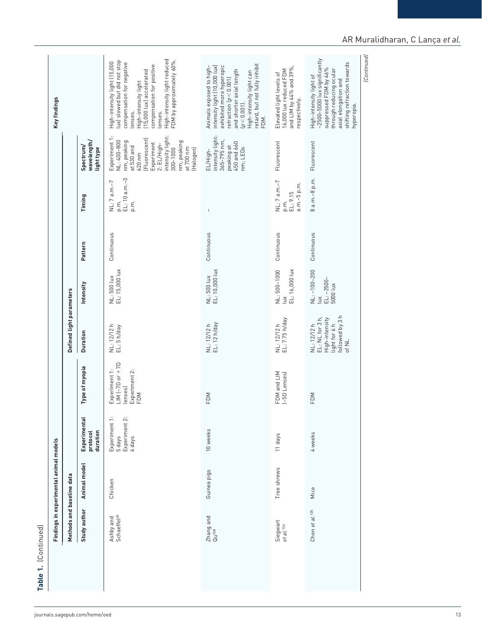| (Continued)<br>~2500-5000 lux significantly<br>shifting refraction towards<br>compensation for negative<br>High-intensity light can<br>retard, but not fully inhibit<br>compensation for positive<br>exhibited more hyperopic<br>intensity light (10,000 lux)<br>Animals exposed to high-<br>and LIM by 44% and 39%,<br>suppressed FDM by 46%<br>through reducing ocular<br>and shorter axial length<br>16,000 lux reduced FDM<br>High-intensity light<br>(15,000 lux) accelerated<br>Elevated light levels of<br>High-intensity light of<br>refraction $(p < 0.001)$<br>axial elongation and<br>respectively.<br>$[p < 0.001]$ .<br>hyperopia.<br>lenses.<br>lenses.<br>FDM.<br>intensity light:<br>intensity light:<br>Experiment 1:<br>[Fluorescent]<br>365-795 nm,<br>NL: 400-800<br>wavelength/<br>nm, peaking<br>nm, peaking<br>Fluorescent<br>Fluorescent<br>450 and 660<br>Experiment<br>2: EL/High-<br>Spectrum/<br>peaking at<br>at 530 and<br>nm; LEDs<br>at 700 nm<br>light type<br>(Halogen)<br>$300 - 1000$<br>EL/High-<br>$620$ nm<br>8 a.m.-8 p.m.<br>p.m.<br>EL: 10 a.m.–3<br>NL: 7 a.m.-7<br>NL: 7 a.m.-7<br>a.m.-5 p.m.<br>EL: 9.15<br>Timing<br>$\mathop{\mathsf{E}}\limits_{\mathsf{D} \cdot \mathsf{I}}$<br>p.m.<br>$\mathbf{I}$<br>Continuous<br>Continuous<br>Continuous<br>Continuous<br>Pattern<br>NL: 500 lux<br>EL: 15,000 lux<br>NL: 500 lux<br>EL: 10,000 lux<br>NL: 500-1000<br>EL: 16,000 lux<br>$NL: -100 - 200$<br>EL: ~2500-<br>5000 lux<br>Intensity<br>$\leq$<br>$\tilde{\Xi}$<br>followed by 3 h<br>EL: NL for 3 h,<br>NL: 12/12 h<br>EL: 7.75 h/day<br>High-intensity<br>NL: 12/12 h<br>EL: 12 h/day<br>light for 6 h<br>NL: 12/12 h<br>NL: 12/12 h<br>EL: 5 h/day<br>Duration<br>of NL<br>$LM$ (-7D or $+ 7D$<br>Type of myopia<br>Experiment 1:<br>Experiment 2:<br>FDM and LIM<br>(-5D Lenses)<br>lenses)<br>FDM<br>FDM<br>FDM<br>Experimental<br>Experiment 1:<br>5 days<br>Experiment 2:<br>10 weeks<br>duration<br>protocol<br>4 weeks<br>11 days<br>4 days<br>Animal model<br>Tree shrews<br>Guinea pigs<br>Chicken<br>Mice<br>Study author<br>Chen et al. 105<br>Ashby and<br>Schaeffel <sup>40</sup><br>Zhang and<br>Qu <sup>108</sup><br>Siegwart<br>et al. <sup>106</sup> | Methods and baseline data | Findings in experimental animal models |  | Defined light parameters |  |  | Key findings                                                                                                              |
|-----------------------------------------------------------------------------------------------------------------------------------------------------------------------------------------------------------------------------------------------------------------------------------------------------------------------------------------------------------------------------------------------------------------------------------------------------------------------------------------------------------------------------------------------------------------------------------------------------------------------------------------------------------------------------------------------------------------------------------------------------------------------------------------------------------------------------------------------------------------------------------------------------------------------------------------------------------------------------------------------------------------------------------------------------------------------------------------------------------------------------------------------------------------------------------------------------------------------------------------------------------------------------------------------------------------------------------------------------------------------------------------------------------------------------------------------------------------------------------------------------------------------------------------------------------------------------------------------------------------------------------------------------------------------------------------------------------------------------------------------------------------------------------------------------------------------------------------------------------------------------------------------------------------------------------------------------------------------------------------------------------------------------------------------------------------------------------------------------------------------------------------------------------------------------------------------------------------------------|---------------------------|----------------------------------------|--|--------------------------|--|--|---------------------------------------------------------------------------------------------------------------------------|
|                                                                                                                                                                                                                                                                                                                                                                                                                                                                                                                                                                                                                                                                                                                                                                                                                                                                                                                                                                                                                                                                                                                                                                                                                                                                                                                                                                                                                                                                                                                                                                                                                                                                                                                                                                                                                                                                                                                                                                                                                                                                                                                                                                                                                             |                           |                                        |  |                          |  |  |                                                                                                                           |
|                                                                                                                                                                                                                                                                                                                                                                                                                                                                                                                                                                                                                                                                                                                                                                                                                                                                                                                                                                                                                                                                                                                                                                                                                                                                                                                                                                                                                                                                                                                                                                                                                                                                                                                                                                                                                                                                                                                                                                                                                                                                                                                                                                                                                             |                           |                                        |  |                          |  |  | High-intensity light reduced<br>FDM by approximately 60%.<br>High-intensity light (15,000<br>lux) slowed but did not stop |
|                                                                                                                                                                                                                                                                                                                                                                                                                                                                                                                                                                                                                                                                                                                                                                                                                                                                                                                                                                                                                                                                                                                                                                                                                                                                                                                                                                                                                                                                                                                                                                                                                                                                                                                                                                                                                                                                                                                                                                                                                                                                                                                                                                                                                             |                           |                                        |  |                          |  |  |                                                                                                                           |
|                                                                                                                                                                                                                                                                                                                                                                                                                                                                                                                                                                                                                                                                                                                                                                                                                                                                                                                                                                                                                                                                                                                                                                                                                                                                                                                                                                                                                                                                                                                                                                                                                                                                                                                                                                                                                                                                                                                                                                                                                                                                                                                                                                                                                             |                           |                                        |  |                          |  |  |                                                                                                                           |
|                                                                                                                                                                                                                                                                                                                                                                                                                                                                                                                                                                                                                                                                                                                                                                                                                                                                                                                                                                                                                                                                                                                                                                                                                                                                                                                                                                                                                                                                                                                                                                                                                                                                                                                                                                                                                                                                                                                                                                                                                                                                                                                                                                                                                             |                           |                                        |  |                          |  |  |                                                                                                                           |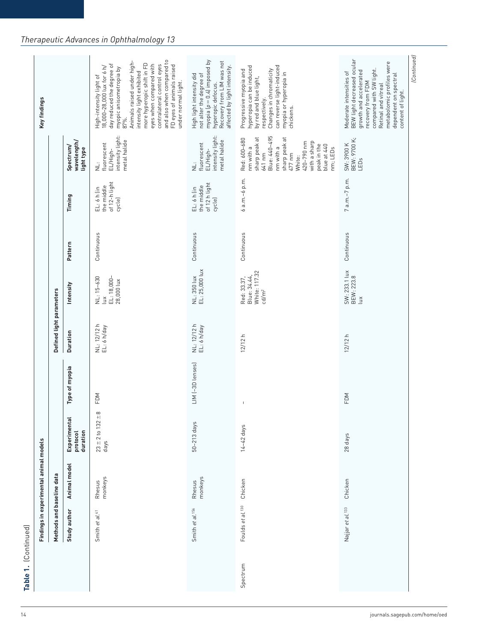|          | Methods and baseline data    | Findings in experimental animal models |                                                 |                                | Defined light parameters   |                                                                   |            |                                                        |                                                                                                                                                                                                 | Key findings                                                                                                                                                                                                                                                                                                                                             |
|----------|------------------------------|----------------------------------------|-------------------------------------------------|--------------------------------|----------------------------|-------------------------------------------------------------------|------------|--------------------------------------------------------|-------------------------------------------------------------------------------------------------------------------------------------------------------------------------------------------------|----------------------------------------------------------------------------------------------------------------------------------------------------------------------------------------------------------------------------------------------------------------------------------------------------------------------------------------------------------|
|          | Study author                 | Animal model                           | Experimental<br>protocol<br>duration            | Type of myopia                 | Duration                   | Intensity                                                         | Pattern    | Timing                                                 | wavelength/<br>Spectrum/<br>light type                                                                                                                                                          |                                                                                                                                                                                                                                                                                                                                                          |
|          | Smith et al. <sup>41</sup>   | monkeys<br>Rhesus                      | ${}^{\circ}$<br>$23 \pm 2$ to $132 \pm$<br>days | FDM                            | NL: 12/12 h<br>EL: 6 h/day | EL: 18,000-<br>28,000 lux<br>NL: 15-630<br>$\leq$                 | Continuous | of 12-h light<br>the middle<br>$EL: 6 h$ (in<br>cycle) | intensity light:<br>metal halide<br>fluorescent<br>EL/High-<br>Ë                                                                                                                                | and also when compared to<br>Animals raised under high-<br>more hyperopic shift in FD<br>eyes when compared with<br>contralateral control eyes<br>day reduced the degree of<br>FD eyes of animals raised<br>18,000-28,000 lux for 6 h/<br>myopic anisometropia by<br>87%.<br>intensity light exhibited<br>High-intensity light of<br>under normal light. |
|          | Smith et al. <sup>156</sup>  | monkeys<br>Rhesus                      | 50-213 days                                     | LIM (-3D lenses)               | NL: 12/12 h<br>EL: 6 h/day | NL: 350 lux<br>EL: 25,000 lux                                     | Continuous | of 12 h light<br>the middle<br>$EL: 6 h$ (in<br>cycle) | intensity light:<br>metal halide<br>fluorescent<br>EL/High-<br>ت<br>ا                                                                                                                           | myopia $(p = 0.4)$ imposed by<br>Recovery from LIM was not<br>affected by light intensity.<br>High light intensity did<br>not alter the degree of<br>hyperopic defocus.                                                                                                                                                                                  |
| Spectrum | Foulds et al. <sup>130</sup> | Chicken                                | $14-42$ days                                    | $\begin{array}{c} \end{array}$ | 12/12h                     | White: 117.32<br>Blue: 34.44,<br>Red: 33.37,<br>cd/m <sup>2</sup> | Continuous | 6 a.m.-6 p.m.                                          | Blue: 440-495<br>sharp peak at<br>sharp peak at<br>Red: 600-680<br>with a sharp<br>420-790 nm<br>peak in the<br>blue at 440<br>nm with a<br>nm with a<br>nm; LEDs<br>477 nm<br>641 nm<br>White: | can reverse light-induced<br>hyperopia can be induced<br>Progressive myopia and<br>Changes in chromaticity<br>myopia or hyperopia in<br>chickens.<br>by red and blue light,<br>respectively.                                                                                                                                                             |
|          | Najjar et al. <sup>133</sup> | Chicken                                | 28 days                                         | FDM                            | 12/12h                     | SW: 233.1 lux<br>BEW: 223.8<br>$\tilde{u}$                        | Continuous | $7a.m.-7 p.m.$                                         | SW: 3900 K<br>BEW: 9700 K;<br>LEDs                                                                                                                                                              | Moderate intensities of<br>BEW light decreased ocular<br>metabolomic profiles were<br>compared with SW light.<br>growth and accelerated<br>dependent on spectral<br>content of light.<br>recovery from FDM<br>Retinal and vitreal                                                                                                                        |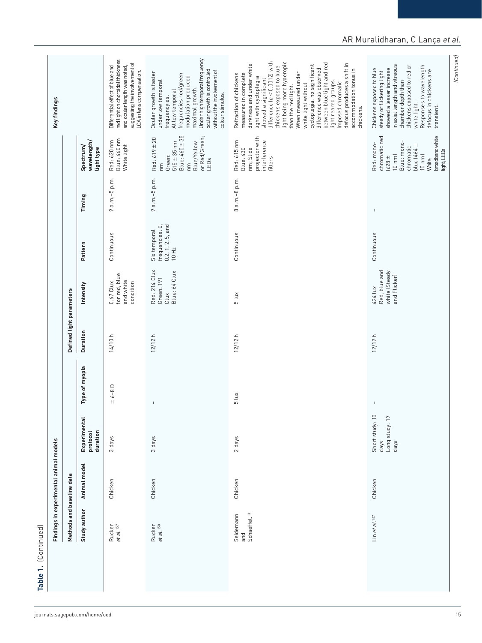| Continuous<br>Continuous<br>Continuous<br>Pattern<br>Red: 214 Clux<br>Red, blue and<br>Blue: 64 Clux<br>white (Steady<br>for red, blue<br>and Flicker)<br>Green: 191<br>and white<br>condition<br>$0.67$ Clux<br>Intensity<br>424 lux<br>Defined light parameters<br>Clux<br>$5 \, \text{lux}$<br>Duration<br>12/12h<br>14/10 h<br>12/12h<br>12/12 h<br>Type of myopia<br>$\pm 6 - 8$ D<br>$5 \text{ lux}$<br>$\mathsf I$<br>$\sf I$<br>Short study: 10<br>Long study: 17<br>days<br>Experimental<br>protocol<br>duration<br>3 days<br>2 days<br>3 days<br>days<br>Animal model<br>Methods and baseline data<br>Chicken<br>Chicken<br>Chicken<br>Chicken<br>Study author<br>Schaeffel. <sup>131</sup><br>Seidemann<br>Lin et al. $147$<br>Rucker<br>et al. <sup>158</sup><br>Rucker<br>et al. <sup>157</sup><br>and | Findings in experimental animal models |  |                                                                          |               |                                                                                                                                                                     | Key findings                                                                                                                                                                                                                                                                                                                                                                                                                                                                                             |
|---------------------------------------------------------------------------------------------------------------------------------------------------------------------------------------------------------------------------------------------------------------------------------------------------------------------------------------------------------------------------------------------------------------------------------------------------------------------------------------------------------------------------------------------------------------------------------------------------------------------------------------------------------------------------------------------------------------------------------------------------------------------------------------------------------------------|----------------------------------------|--|--------------------------------------------------------------------------|---------------|---------------------------------------------------------------------------------------------------------------------------------------------------------------------|----------------------------------------------------------------------------------------------------------------------------------------------------------------------------------------------------------------------------------------------------------------------------------------------------------------------------------------------------------------------------------------------------------------------------------------------------------------------------------------------------------|
|                                                                                                                                                                                                                                                                                                                                                                                                                                                                                                                                                                                                                                                                                                                                                                                                                     |                                        |  |                                                                          |               |                                                                                                                                                                     |                                                                                                                                                                                                                                                                                                                                                                                                                                                                                                          |
|                                                                                                                                                                                                                                                                                                                                                                                                                                                                                                                                                                                                                                                                                                                                                                                                                     |                                        |  |                                                                          | Timing        | wavelength/<br>Spectrum/<br>light type                                                                                                                              |                                                                                                                                                                                                                                                                                                                                                                                                                                                                                                          |
|                                                                                                                                                                                                                                                                                                                                                                                                                                                                                                                                                                                                                                                                                                                                                                                                                     |                                        |  |                                                                          | 9 a.m.-5 p.m. | Blue: 460 nm<br>Red: 620 nm<br>White light                                                                                                                          | red light on choroidal thickness<br>suggesting the involvement of<br>Differential effect of blue and<br>and ocular length was noted,<br>LCA in lens compensation.                                                                                                                                                                                                                                                                                                                                        |
|                                                                                                                                                                                                                                                                                                                                                                                                                                                                                                                                                                                                                                                                                                                                                                                                                     |                                        |  | frequencies: 0,<br>$0.2, 1, 2, 5,$ and $10 \; \text{Hz}$<br>Six temporal | 9 a.m.-5 p.m. | Blue: $460 \pm 35$<br>or Red/Green;<br>Red: 619 ± 20<br>$515 \pm 35$ nm<br>Blue/Yellow<br>Green:<br>LEDs<br>E<br>Γm                                                 | Under high temporal frequency<br>ocular growth is controlled<br>without the involvement of<br>Ocular growth is faster<br>frequencies red/green<br>modulation produced<br>under low temporal<br>maximal growth.<br>At low temporal<br>colour stimulus.<br>frequencyies.                                                                                                                                                                                                                                   |
|                                                                                                                                                                                                                                                                                                                                                                                                                                                                                                                                                                                                                                                                                                                                                                                                                     |                                        |  |                                                                          | 8 a.m.-8 p.m. | projector with<br>interference<br>Red: 615 nm<br>Blue: 430<br>nm; Slide<br>filters                                                                                  | difference $(p < 0.0012)$ with<br>light being more hyperopic<br>between blue light and red<br>defocus produces a shift in<br>darkness and under white<br>cycloplegia, no significant<br>chickens exposed to blue<br>accommodation tonus in<br>difference was observed<br>When measured under<br>measured in complete<br>Refraction of chickens<br>light with cycloplegia<br>showed a significant<br>light reared groups.<br>Imposed chromatic<br>white light without<br>than the red light.<br>chickens. |
|                                                                                                                                                                                                                                                                                                                                                                                                                                                                                                                                                                                                                                                                                                                                                                                                                     |                                        |  |                                                                          | $\mathsf I$   | chromatic red<br>broadband white<br>Blue: mono-<br>Red: mono-<br>blue (464 ±<br>chromatic<br>light; LEDs<br>$10 \text{ nm}$<br>$10 \text{ nm}$<br>$628 +$<br>White: | in axial length and vitreous<br>chickens exposed to red or<br>Responses to wavelength<br>showed a lesser increase<br>Chickens exposed to blue<br>defocus in chickens are<br>steady or flickering light<br>chamber depth than<br>white light.<br>transient.                                                                                                                                                                                                                                               |

## AR Muralidharan, C Lança *et al.*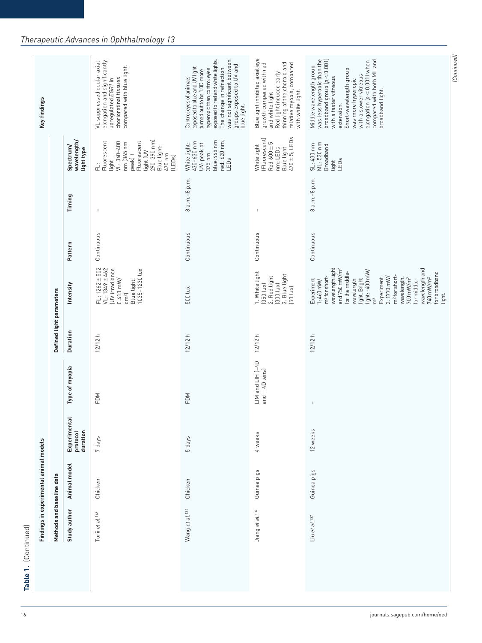|                             | Findings in experimental animal models<br>Methods and baseline data |                                      |                                            | Defined light parameters |                                                                                                                                                                                                                                                                                                                                                                             |            |                          |                                                                                                                                                      | Key findings                                                                                                                                                                                                                                                                                          |
|-----------------------------|---------------------------------------------------------------------|--------------------------------------|--------------------------------------------|--------------------------|-----------------------------------------------------------------------------------------------------------------------------------------------------------------------------------------------------------------------------------------------------------------------------------------------------------------------------------------------------------------------------|------------|--------------------------|------------------------------------------------------------------------------------------------------------------------------------------------------|-------------------------------------------------------------------------------------------------------------------------------------------------------------------------------------------------------------------------------------------------------------------------------------------------------|
|                             | Animal model                                                        | Experimental<br>protocol<br>duration | Type of myopia                             | Duration                 | Intensity                                                                                                                                                                                                                                                                                                                                                                   | Pattern    | Timing                   | wavelength/<br>Spectrum/<br>light type                                                                                                               |                                                                                                                                                                                                                                                                                                       |
|                             | Chicken                                                             | 7 days                               | FDM                                        | 12/12h                   | $FL: 1262 + 502$<br>$VL: 1349 \pm 462$<br>(UV irradiance<br>1035-1230 lux<br>$0.413$ mW/<br>Blue light:<br>cm <sup>2</sup>                                                                                                                                                                                                                                                  | Continuous | $\overline{\phantom{a}}$ | 290-390 nm)<br>Fluorescent<br>Fluorescent<br>$VL: 360 - 400$<br>nm (365 nm<br>Blue light:<br>light (UV<br>$peak$ +<br>470 nm<br>(LEDs)<br>light<br>긑 | elongation and significantly<br>VL suppressed ocular axial<br>compared with blue light.<br>upregulated EGR1 in<br>chorioretinal tissues                                                                                                                                                               |
| Wang et al. <sup>132</sup>  | Chicken                                                             | 5 days                               | FDM                                        | 12/12h                   | 500 lux                                                                                                                                                                                                                                                                                                                                                                     | Continuous | 8 a.m.-8 p.m.            | red: 620 nm;<br>blue:465 nm<br>430-630 nm<br>White light:<br>UV: peak at<br>$375$ nm<br>LEDs                                                         | was not significant between<br>exposed to red and white lights.<br>groups exposed to UV and<br>exposed to blue and UV light<br>The change in refraction<br>hyperopic than control eyes<br>turned out to be 1.0D more<br>Control eyes of animals<br>blue light.                                        |
| Jiang et al. <sup>139</sup> | Guinea pigs                                                         | 4 weeks                              | $LM$ and $LHH$ $(-4D)$<br>and $+$ 4D lens) | 12/12h                   | 1. White light<br>3. Blue light<br>2. Red light<br>$(350$ lux)<br>$[300$ $l$ ux $]$<br>[50 lux]                                                                                                                                                                                                                                                                             | Continuous | $\overline{1}$           | $470 \pm 5$ ; LEDs<br>(Fluorescent)<br>Red $600 \pm 5$<br>White light<br>nm; LEDs<br>Blue light                                                      | Blue light inhibited axial eye<br>thinning of the choroid and<br>relative myopia, compared<br>growth compared with red<br>Red light induced early<br>with white light.<br>and white light                                                                                                             |
| Liu et al. 137              | Guinea pigs                                                         | 12 weeks                             | $\mathsf I$                                | 12/12h                   | wavelength light<br>wavelength and<br>and 750 mW/m <sup>2</sup><br>light: ~400 mW/<br>for broadband<br>light.<br>for the middle-<br>m <sup>2</sup> for short-<br>m <sup>2</sup> for short-<br>$2:1770$ mW/<br>wavelength,<br>700 mW/m <sup>2</sup><br>740 mW/m <sup>2</sup><br>Experiment<br>wavelength<br>light. Bright<br>for middle-<br>Experiment<br>$1:460$ mW/<br>ิัธ | Continuous | 8 a.m.-8 p.m.            | ML: 530 nm<br>SL: 430 nm<br>Broadband<br>light<br>LEDs                                                                                               | was less hyperopic than the<br>broadband group $\left[\rho < 0.001\right]$<br>compared with both ML and<br>elongation (p<0.001) when<br>Middle wavelength group<br>Short-wavelength group<br>with a slower vitreous<br>with a faster vitreous<br>was more hyperopic<br>broadband light.<br>extension. |

(Continued) *(Continued)*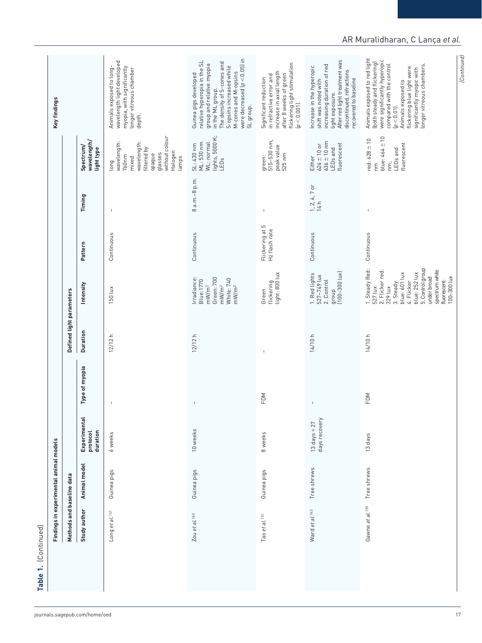| were decreased $[p < 0.05]$ in<br>Animals exposed to red light<br>were significantly hyperopic<br>After red light treatment was<br>wavelength light developed<br>relative hyperopia in the SL<br>The density of S-cones and<br>(both steady and flickering)<br>flickering light stimulation<br>compared with the control<br>group and relative myopia<br>longer vitreous chambers.<br>increasing duration of red<br>myopia, with significantly<br>Increase in the hyperopic<br>Animals exposed to long-<br>S-opsins increased while<br>flickering blue light were<br>significantly myopic with<br>longer vitreous chamber<br>discontinued, refractions<br>M-cones and M-opsins<br>increase in axial length<br>Guinea pigs developed<br>after 8 weeks of green<br>in refractive error and<br>Significant reduction<br>recovered to baseline<br>shift was noted with<br>Animals exposed to<br>in the ML group.<br>light exposure.<br>$[p < 0.001]$ .<br>SL group.<br>$(p < 0.01)$ .<br>depth.<br>without colour<br>lights, 5000 K;<br>LEDs<br>blue: $464 \pm 10$<br>$red: 628 \pm 10$<br>green:<br>515–530 nm,<br>wavelength/<br>wavelength:<br>$636 \pm 10$ nm<br>wavelength:<br>WL: normal<br>SL: 430 nm<br>ML: 530 nm<br>fluorescent<br>fluorescent<br>$624 \pm 10$ or<br>peak value<br>Spectrum/<br>filtered by<br>LEDs and<br>LED <sub>s</sub> and<br>light type<br>Halogen<br>525 nm<br>glasses<br>opaque<br>760 <sub>nm</sub><br>mixed<br>lamps<br>Either<br>long<br>Ë<br>E<br>8 a.m.-8 p.m.<br>$1, 2, 4, 7$ or<br>Timing<br>14 h<br>$\mathsf I$<br>$\mathsf I$<br>$\overline{\phantom{a}}$<br>Flickering at 5<br>Hz flash rate<br>Continuous<br>Continuous<br>Continuous<br>Continuous<br>Pattern<br>1. Steady Red:<br>5. Control group<br>2. Flicker red:<br>spectrum white<br>group<br>(100–300 lux)<br>blue: 252 lux<br>blue: 601 lux<br>light: 800 lux<br>1. Red lights<br>527-749 lux<br>under broad<br>100-300 lux<br>rradiance:<br>Green: 700<br>White: 740<br>2. Control<br><b>Blue:1770</b><br>fluorescent:<br>4. Flicker<br>flickering<br>3. Steady<br>Intensity<br>mW/m <sup>2</sup><br>mW/m <sup>2</sup><br>mW/m <sup>2</sup><br>329 lux<br>527 lux<br>150 lux<br>Green<br><b>Duration</b><br>12/12h<br>12/12h<br>14/10 h<br>14/10 h<br>$\mathbb{I}$<br>Type of myopia<br>FDM<br>FDM<br>$\mathsf I$<br>$\mathsf I$<br>$\mathbb{I}$<br>Experimental<br>days recovery<br>13 days $+27$<br>10 weeks<br>protocol<br>duration<br>8 weeks<br>6 weeks<br>13 days<br>Animal model<br>Tree shrews<br>Tree shrews<br>Guinea pigs<br>Guinea pigs<br>Guinea pigs<br>Gawne et al. <sup>159</sup><br>Study author<br>Ward et al. <sup>143</sup><br>Long et al. <sup>141</sup><br>Zou et al. <sup>140</sup><br>Tao et al. 151 | Methods and baseline data | Findings in experimental animal models |  | Defined light parameters |  |  | Key findings |
|----------------------------------------------------------------------------------------------------------------------------------------------------------------------------------------------------------------------------------------------------------------------------------------------------------------------------------------------------------------------------------------------------------------------------------------------------------------------------------------------------------------------------------------------------------------------------------------------------------------------------------------------------------------------------------------------------------------------------------------------------------------------------------------------------------------------------------------------------------------------------------------------------------------------------------------------------------------------------------------------------------------------------------------------------------------------------------------------------------------------------------------------------------------------------------------------------------------------------------------------------------------------------------------------------------------------------------------------------------------------------------------------------------------------------------------------------------------------------------------------------------------------------------------------------------------------------------------------------------------------------------------------------------------------------------------------------------------------------------------------------------------------------------------------------------------------------------------------------------------------------------------------------------------------------------------------------------------------------------------------------------------------------------------------------------------------------------------------------------------------------------------------------------------------------------------------------------------------------------------------------------------------------------------------------------------------------------------------------------------------------------------------------------------------------------------------------------------------------------------------------------------------------------------------------------------------------------------------------------------------------------------------------------------------------------------------------------------------------------|---------------------------|----------------------------------------|--|--------------------------|--|--|--------------|
|                                                                                                                                                                                                                                                                                                                                                                                                                                                                                                                                                                                                                                                                                                                                                                                                                                                                                                                                                                                                                                                                                                                                                                                                                                                                                                                                                                                                                                                                                                                                                                                                                                                                                                                                                                                                                                                                                                                                                                                                                                                                                                                                                                                                                                                                                                                                                                                                                                                                                                                                                                                                                                                                                                                                  |                           |                                        |  |                          |  |  |              |
|                                                                                                                                                                                                                                                                                                                                                                                                                                                                                                                                                                                                                                                                                                                                                                                                                                                                                                                                                                                                                                                                                                                                                                                                                                                                                                                                                                                                                                                                                                                                                                                                                                                                                                                                                                                                                                                                                                                                                                                                                                                                                                                                                                                                                                                                                                                                                                                                                                                                                                                                                                                                                                                                                                                                  |                           |                                        |  |                          |  |  |              |
|                                                                                                                                                                                                                                                                                                                                                                                                                                                                                                                                                                                                                                                                                                                                                                                                                                                                                                                                                                                                                                                                                                                                                                                                                                                                                                                                                                                                                                                                                                                                                                                                                                                                                                                                                                                                                                                                                                                                                                                                                                                                                                                                                                                                                                                                                                                                                                                                                                                                                                                                                                                                                                                                                                                                  |                           |                                        |  |                          |  |  |              |
|                                                                                                                                                                                                                                                                                                                                                                                                                                                                                                                                                                                                                                                                                                                                                                                                                                                                                                                                                                                                                                                                                                                                                                                                                                                                                                                                                                                                                                                                                                                                                                                                                                                                                                                                                                                                                                                                                                                                                                                                                                                                                                                                                                                                                                                                                                                                                                                                                                                                                                                                                                                                                                                                                                                                  |                           |                                        |  |                          |  |  |              |
|                                                                                                                                                                                                                                                                                                                                                                                                                                                                                                                                                                                                                                                                                                                                                                                                                                                                                                                                                                                                                                                                                                                                                                                                                                                                                                                                                                                                                                                                                                                                                                                                                                                                                                                                                                                                                                                                                                                                                                                                                                                                                                                                                                                                                                                                                                                                                                                                                                                                                                                                                                                                                                                                                                                                  |                           |                                        |  |                          |  |  |              |
|                                                                                                                                                                                                                                                                                                                                                                                                                                                                                                                                                                                                                                                                                                                                                                                                                                                                                                                                                                                                                                                                                                                                                                                                                                                                                                                                                                                                                                                                                                                                                                                                                                                                                                                                                                                                                                                                                                                                                                                                                                                                                                                                                                                                                                                                                                                                                                                                                                                                                                                                                                                                                                                                                                                                  |                           |                                        |  |                          |  |  |              |

## AR Muralidharan, C Lança *et al.*

*(Continued)*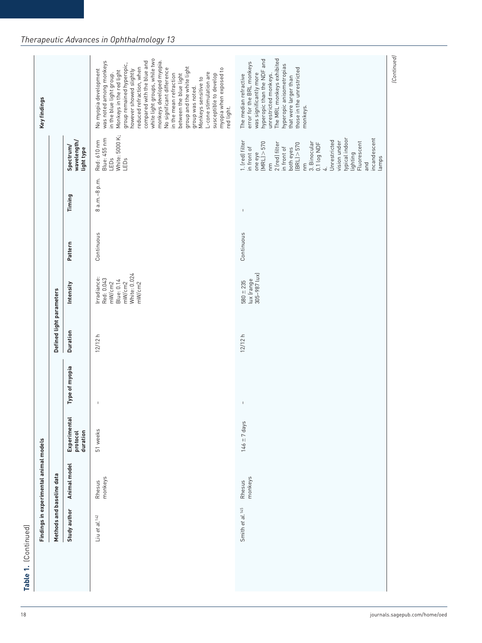| white light groups, while two<br>The MRL monkeys exhibited<br>hyperopic than the NDF and<br>compared with the blue and<br>monkeys developed myopia.<br>was noted among monkeys<br>in the blue light group.<br>error for the BRL monkeys<br>group remained hyperopic,<br>hyperopic anisometropias<br>group and the white light<br>group was noted.<br>reduced refraction, when<br>No significant difference<br>those in the unrestricted<br>myopia when exposed to<br>however showed slightly<br>No myopia development<br>Monkeys in the red light<br>L-cone stimulation are<br>was significantly more<br>in the mean refraction<br>unrestricted monkeys.<br>between the blue light<br>susceptible to develop<br>The median refractive<br>that were larger than<br>Monkeys sensitive to<br>monkeys.<br>red light.<br>White: 5000 K;<br>LEDs<br>Blue: 455 nm<br>typical indoor<br>incandescent<br>Red: 610 nm<br>Unrestricted<br>wavelength/<br>1. (red) filter<br>vision under<br>Fluorescent<br>$MRL$ > 570<br>3. Binocular<br>2 (red) filter<br>0.1 log NDF<br>$(BRL)$ > 570<br>Spectrum/<br>in front of<br>in front of<br>both eyes<br>light type<br>one eye<br>lighting<br>lamps<br>LEDs<br>and<br>E<br>$\overline{\epsilon}$<br>4<br>8 a.m.-8 p.m.<br>Timing<br>$\sf I$<br>Continuous<br>Continuous<br>Pattern<br>lux (range<br>305-987 lux)<br>White: 0.024<br>Irradiance:<br>Red: 0.043<br><b>Blue: 0.14</b><br>$580 \pm 235$<br>mW/cm2<br>mW/cm2<br>mW/cm2<br>Intensity<br>Duration<br>12/12h<br>12/12h<br>Type of myopia<br>$\overline{\phantom{a}}$<br>$\mathsf I$<br>Experimental<br>$146 \pm 7$ days<br>51 weeks<br>protocol<br>duration<br>Animal model<br>monkeys<br>monkeys<br>Rhesus<br>Rhesus<br>Smith et al. <sup>145</sup><br>Study author<br>Liu et al. <sup>142</sup> | Methods and baseline data | Findings in experimental animal models |  | Defined light parameters |  |  | Key findings |
|-------------------------------------------------------------------------------------------------------------------------------------------------------------------------------------------------------------------------------------------------------------------------------------------------------------------------------------------------------------------------------------------------------------------------------------------------------------------------------------------------------------------------------------------------------------------------------------------------------------------------------------------------------------------------------------------------------------------------------------------------------------------------------------------------------------------------------------------------------------------------------------------------------------------------------------------------------------------------------------------------------------------------------------------------------------------------------------------------------------------------------------------------------------------------------------------------------------------------------------------------------------------------------------------------------------------------------------------------------------------------------------------------------------------------------------------------------------------------------------------------------------------------------------------------------------------------------------------------------------------------------------------------------------------------------------------------------------------------------------------------------------------------------------------|---------------------------|----------------------------------------|--|--------------------------|--|--|--------------|
|                                                                                                                                                                                                                                                                                                                                                                                                                                                                                                                                                                                                                                                                                                                                                                                                                                                                                                                                                                                                                                                                                                                                                                                                                                                                                                                                                                                                                                                                                                                                                                                                                                                                                                                                                                                           |                           |                                        |  |                          |  |  |              |
|                                                                                                                                                                                                                                                                                                                                                                                                                                                                                                                                                                                                                                                                                                                                                                                                                                                                                                                                                                                                                                                                                                                                                                                                                                                                                                                                                                                                                                                                                                                                                                                                                                                                                                                                                                                           |                           |                                        |  |                          |  |  |              |
|                                                                                                                                                                                                                                                                                                                                                                                                                                                                                                                                                                                                                                                                                                                                                                                                                                                                                                                                                                                                                                                                                                                                                                                                                                                                                                                                                                                                                                                                                                                                                                                                                                                                                                                                                                                           |                           |                                        |  |                          |  |  |              |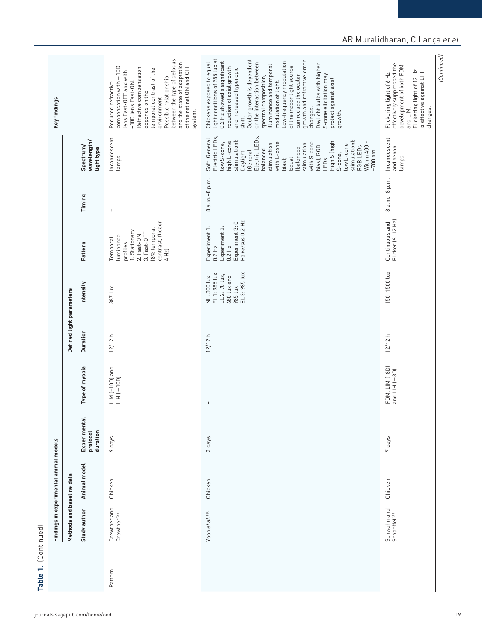| ۰      |
|--------|
|        |
|        |
|        |
|        |
|        |
|        |
|        |
|        |
|        |
|        |
|        |
|        |
| t      |
|        |
| i      |
|        |
|        |
|        |
| ŗ      |
| ï<br>Ξ |

|         | Methods and baseline data               | Findings in experimental animal models |                                      |                                     | Defined light parameters |                                                                                          |                                                                                                                               |                          |                                                                                                                                                                                                                                                                                                                                                                  | Key findings                                                                                                                                                                                                                                                                                                                                                                                                                                                                                                                    |
|---------|-----------------------------------------|----------------------------------------|--------------------------------------|-------------------------------------|--------------------------|------------------------------------------------------------------------------------------|-------------------------------------------------------------------------------------------------------------------------------|--------------------------|------------------------------------------------------------------------------------------------------------------------------------------------------------------------------------------------------------------------------------------------------------------------------------------------------------------------------------------------------------------|---------------------------------------------------------------------------------------------------------------------------------------------------------------------------------------------------------------------------------------------------------------------------------------------------------------------------------------------------------------------------------------------------------------------------------------------------------------------------------------------------------------------------------|
|         | Study author                            | Animal model                           | Experimental<br>protocol<br>duration | Type of myopia                      | <b>Duration</b>          | Intensity                                                                                | Pattern                                                                                                                       | Timing                   | wavelength/<br>Spectrum/<br>light type                                                                                                                                                                                                                                                                                                                           |                                                                                                                                                                                                                                                                                                                                                                                                                                                                                                                                 |
| Pattern | Crewther and<br>Crewther <sup>123</sup> | Chicken                                | 9 days                               | LIM (-10D) and<br>$LHH$ $(+10D)$    | 12/12h                   | 387 lux                                                                                  | contrast, flicker<br>(8% temporal<br>1. Stationary<br>3. Fast-OFF<br>2. Fast-ON<br>luminance<br>Temporal<br>profiles<br>4 Hz) | $\overline{\phantom{a}}$ | Incandescent<br>lamps                                                                                                                                                                                                                                                                                                                                            | between the type of defocus<br>and the state of adaptation<br>of the retinal ON and OFF<br>compensation with + 10D<br>Refractive compensation<br>temporal contrast of the<br>lens Fast-OFF and with<br>Possible relationship<br>-10D lens Fast-ON.<br>Reduced refractive<br>depends on the<br>environment.<br>system.                                                                                                                                                                                                           |
|         | Yoon et al. <sup>160</sup>              | Chicken                                | 3 days                               | $\mathsf I$                         | 12/12 h                  | 985 lux<br>EL 3: 985 lux<br>EL 1: 985 lux<br>EL 2: 70 lux,<br>680 lux and<br>NL: 300 lux | Hz versus 0.2 Hz<br>Experiment 3: 0<br>Experiment 1:<br>Experiment 2:<br>$0.2$ Hz<br>$0.2$ Hz                                 | 8 a.m.-8 p.m.            | Electric LEDs,<br>Electric LEDs,<br>Soft (General<br>stimulation);<br>stimulation);<br>low S-cone,<br>high L-cone<br>High S (high<br>with L-cone<br>with S-cone<br>stimulation<br>stimulation<br>low L-cone<br>RGB LEDs<br>Within 400<br>bias); RGB<br>(balanced<br>balanced<br>$~100~\mathrm{nm}$<br>(General<br>Daylight<br>S-cone,<br>Equal<br>LEDs<br>bias); | light conditions of 985 lux at<br>0.2 Hz showed a significant<br>Ocular growth is dependent<br>growth and refractive error<br>Low-frequency modulation<br>Chickens exposed to equal<br>on the interaction between<br>illuminance and temporal<br>Daylight bulbs with higher<br>of the indoor light source<br>reduction of axial growth<br>and increased hyperopic<br>S-cone elicitation may<br>can reduce the ocular<br>spectral composition,<br>protect against axial<br>modulation of light.<br>changes.<br>growth.<br>shift. |
|         | Schwahn and<br>Schaeffel <sup>122</sup> | Chicken                                | 7 days                               | FDM, LIM (-8D)<br>and $LHH$ $(+8D)$ | 12/12 h                  | 150-1500 lux                                                                             | Continuous and<br>Flicker (6–12 Hz)                                                                                           | 8 a.m.-8 p.m.            | Incandescent<br>and xenon<br>lamps                                                                                                                                                                                                                                                                                                                               | effectively suppressed the<br>development of both FDM<br>Flickering light of 12 Hz<br>is effective against LIH<br>Flickering light of 6 Hz<br>and LIM.<br>changes.                                                                                                                                                                                                                                                                                                                                                              |

## AR Muralidharan, C Lança *et al.*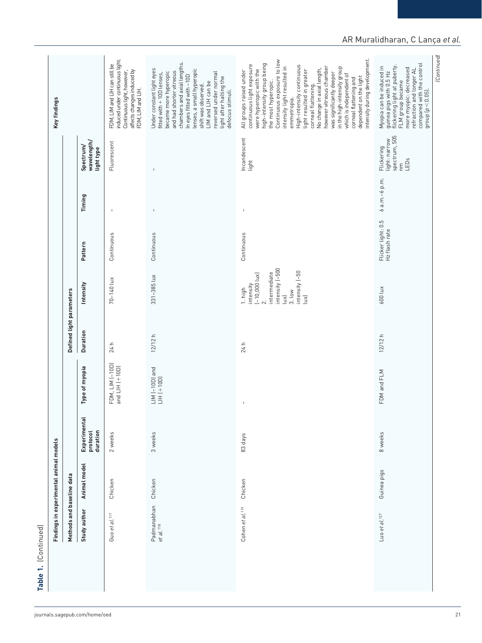| ı. |  |
|----|--|
|    |  |
|    |  |
|    |  |
|    |  |
|    |  |
|    |  |
|    |  |
|    |  |
|    |  |
|    |  |
|    |  |
|    |  |
|    |  |
| í  |  |
|    |  |
|    |  |
|    |  |
|    |  |

| Methods and baseline data            | Findings in experimental animal models |                                      |                                                                                                                                                                                                                                                                                                                                                                                  | Defined light parameters |                                                                                                                                                     |                                     |               |                                                            | Key findings                                                                                                                                                                                                                                                                                                                                                                                                                                                                                                                           |
|--------------------------------------|----------------------------------------|--------------------------------------|----------------------------------------------------------------------------------------------------------------------------------------------------------------------------------------------------------------------------------------------------------------------------------------------------------------------------------------------------------------------------------|--------------------------|-----------------------------------------------------------------------------------------------------------------------------------------------------|-------------------------------------|---------------|------------------------------------------------------------|----------------------------------------------------------------------------------------------------------------------------------------------------------------------------------------------------------------------------------------------------------------------------------------------------------------------------------------------------------------------------------------------------------------------------------------------------------------------------------------------------------------------------------------|
| Study author                         | Animal model                           | Experimental<br>protocol<br>duration | Type of myopia                                                                                                                                                                                                                                                                                                                                                                   | <b>Duration</b>          | Intensity                                                                                                                                           | Pattern                             | Timing        | wavelength/<br>Spectrum/<br>light type                     |                                                                                                                                                                                                                                                                                                                                                                                                                                                                                                                                        |
| Guo et al. <sup>117</sup>            | Chicken                                | 2 weeks                              | FDM, LIM (-10D)<br>and $LH$ $(+10D)$                                                                                                                                                                                                                                                                                                                                             | 24 h                     | 70-140 lux                                                                                                                                          | Continuous                          | $\mathbf{I}$  | Fluorescent                                                | induced under continuous light.<br>FDM, LIM and LIH can still be<br>affects changes induced by<br>Continuous light, however,<br>FDM, LIM and LIH.                                                                                                                                                                                                                                                                                                                                                                                      |
| Padmanabhan<br>et al. <sup>118</sup> | Chicken                                | 3 weeks                              | $\begin{array}{lll} \textsf{LIN}\ (-10\textsf{D})\ \textsf{and}\\ \textsf{LIH}\ (+10\textsf{D}) \end{array}$                                                                                                                                                                                                                                                                     | 12/12h                   | 331-385 lux                                                                                                                                         | Continuous                          | $\mathsf I$   |                                                            | chambers and axial lengths.<br>Under constant light eyes<br>lenses, a small hyperopic<br>and had shorter vitreous<br>became more hyperopic<br>reversed under normal<br>fitted with + 10D lenses,<br>In eyes fitted with -10D<br>light after halting the<br>LIM and LIH can be<br>shift was observed.<br>defocus stimuli.                                                                                                                                                                                                               |
| Cohen et al. <sup>119</sup>          | Chicken                                | 83 days                              | $\begin{array}{c} \rule{0pt}{2.5ex} \rule{0pt}{2.5ex} \rule{0pt}{2.5ex} \rule{0pt}{2.5ex} \rule{0pt}{2.5ex} \rule{0pt}{2.5ex} \rule{0pt}{2.5ex} \rule{0pt}{2.5ex} \rule{0pt}{2.5ex} \rule{0pt}{2.5ex} \rule{0pt}{2.5ex} \rule{0pt}{2.5ex} \rule{0pt}{2.5ex} \rule{0pt}{2.5ex} \rule{0pt}{2.5ex} \rule{0pt}{2.5ex} \rule{0pt}{2.5ex} \rule{0pt}{2.5ex} \rule{0pt}{2.5ex} \rule{0$ | 24 h                     | intensity (~500<br>intensity (~50<br>intermediate<br>$[-10,000 \text{ lux}]$<br>intensity<br>1. high<br>3.10W<br>$\widetilde{B}$<br>$\widetilde{B}$ | Continuous                          | I             | Incandescent<br>light                                      | dependent on the light<br>intensity during development.<br>Continuous exposure to low<br>high-intensity group being<br>continuous light exposure<br>High-intensity continuous<br>intensity light resulted in<br>however vitreous chamber<br>in the high-intensity group<br>No change in axial length,<br>were hyperopic with the<br>light resulted in greater<br>All groups raised under<br>was significantly deeper<br>which is independent of<br>corneal flattening and<br>the most hyperopic.<br>corneal flattening.<br>emmetropia. |
| Luo et al. $127$                     | Guinea pigs                            | 8 weeks                              | FDM and FLM                                                                                                                                                                                                                                                                                                                                                                      | 12/12 h                  | 600 lux                                                                                                                                             | Flicker light: 0.5<br>Hz flash rate | 6 a.m.-6 p.m. | spectrum, 505<br>light: narrow<br>Flickering<br>nm<br>LEDs | refraction and longer AL<br>compared with the control<br>group (p $<$ 0.05).<br>guinea pigs with 0.5 Hz<br>flickering light at puberty.<br>Myopia can be induced in<br>more myopic: decreased<br>FLM group became                                                                                                                                                                                                                                                                                                                      |

## AR Muralidharan, C Lança *et al.*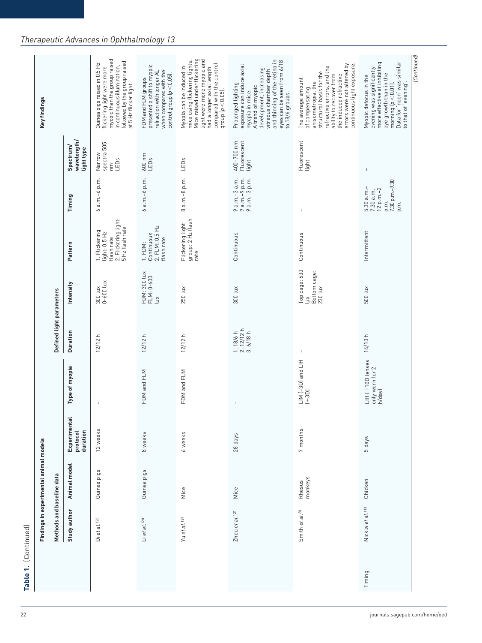|        | Methods and baseline data    | Findings in experimental animal models |                                      |                                               | Defined light parameters                |                                                    |                                                                                         |                                                                              |                                        | Key findings                                                                                                                                                                                                                          |
|--------|------------------------------|----------------------------------------|--------------------------------------|-----------------------------------------------|-----------------------------------------|----------------------------------------------------|-----------------------------------------------------------------------------------------|------------------------------------------------------------------------------|----------------------------------------|---------------------------------------------------------------------------------------------------------------------------------------------------------------------------------------------------------------------------------------|
|        | Study author                 | Animal model                           | Experimental<br>protocol<br>duration | Type of myopia                                | Duration                                | Intensity                                          | Pattern                                                                                 | Timing                                                                       | wavelength/<br>Spectrum/<br>light type |                                                                                                                                                                                                                                       |
|        | Dietal. <sup>126</sup>       | Guinea pigs                            | 12 weeks                             | $\,$ I                                        | 12/12h                                  | $0 - 600$ lux<br>300 lux                           | 2. Flickering light:<br>5 Hz flash rate<br>1. Flickering<br>light: 0.5 Hz<br>flash rate | 6 a.m.-6 p.m.                                                                | spectra 505<br>Narrow<br>LEDs<br>ξ     | myopic than the group raised<br>followed by the group raised<br>Guinea pigs raised in 0.5 Hz<br>in continuous illumination,<br>flickering light were more<br>at 5 Hz flicker light.                                                   |
|        | Li et al. 128                | Guinea pigs                            | 8 weeks                              | FDM and FLM                                   | 12/12h                                  | FDM: 300 lux<br>FLM: 0-600<br>$\tilde{\Xi}$        | 2. FLM: 0.5 Hz<br>Continuous<br>flash rate<br>1. FDM:                                   | 6 a.m.-6 p.m.                                                                | $600$ nm<br>LEDs                       | presented a shift to myopic<br>when compared with the<br>refraction with longer AL<br>control group $p < 0.05$ ).<br>FDM and FLM groups                                                                                               |
|        | Yu et al. <sup>129</sup>     | Mice                                   | 6 weeks                              | FDM and FLM                                   | 12/12 h                                 | 250 lux                                            | Flickering light<br>group: 2 Hz flash<br>rate                                           | 8 a.m.-8 p.m.                                                                | LEDs                                   | Mice raised under flickering<br>light were more myopic and<br>mice using flickering lights.<br>had a longer axial length<br>compared with the control<br>Myopia can be induced in<br>group $(p < 0.05)$ .                             |
|        | Zhou et al. <sup>121</sup>   | Mice                                   | 28 days                              | $\mathfrak l$                                 | $1.18/6 h$<br>$2.12/12 h$<br>$3.6/18 h$ | 300 lux                                            | Continuous                                                                              | 9 a.m.-3 a.m.<br>9 a.m.-9 p.m.<br>9 a.m.-3 p.m.                              | 400-700 nm<br>Fluorescent<br>light     | and thinning of the retina in<br>eyes can be seen from 6/18<br>exposure can induce axial<br>development, increasing<br>vitreous chamber depth<br>Prolonged lighting<br>A trend of myopic<br>myopia in mice.<br>to 18/6 groups.        |
|        | Smith et al. 88              | monkeys<br>Rhesus                      | 7 months                             | LIN (-3D) and LIH<br>$(+3D)$                  | $\mathsf I$                             | Top cage: 630<br>Bottom cage:<br>230 lux<br>$\leq$ | Continuous                                                                              | $\mathsf I$                                                                  | Fluorescent<br>light                   | errors were not altered by<br>continuous light exposure<br>refractive errors, and the<br>structural basis for the<br>ability to recover from<br>the induced refractive<br>The average amount<br>anisometropia, the<br>of compensating |
| Timing | Nickla et al. <sup>113</sup> | Chicken                                | 5 days                               | LIH (+10D lenses<br>only worn for 2<br>h/day) | 14/10 h                                 | 500 lux                                            | Intermittent                                                                            | 7.30 p.m.-9.30<br>5.30 a.m.-<br>$12 p.m.-2$<br>7.30 a.m.<br>p.m.<br>ρ.<br>Π. | $\overline{\phantom{a}}$               | morning (p < 0.01).<br>Data for 'noon' was similar<br>to that of 'evening'.<br>more effective at inhibiting<br>evening was significantly<br>eye growth than in the<br>Myopic defocus in the                                           |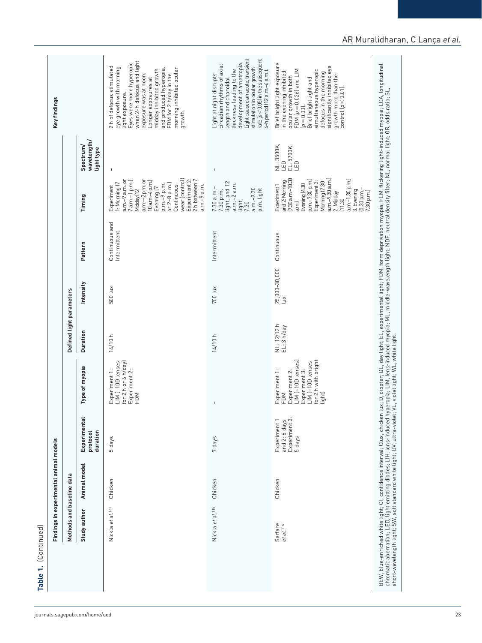| Methods and baseline data        | Findings in experimental animal models |                                                          |                                                                                                                                 | Defined light parameters   |                                |                                |                                                                                                                                                                                                                                                        |                                          | Key findings                                                                                                                                                                                                                                                                                             |
|----------------------------------|----------------------------------------|----------------------------------------------------------|---------------------------------------------------------------------------------------------------------------------------------|----------------------------|--------------------------------|--------------------------------|--------------------------------------------------------------------------------------------------------------------------------------------------------------------------------------------------------------------------------------------------------|------------------------------------------|----------------------------------------------------------------------------------------------------------------------------------------------------------------------------------------------------------------------------------------------------------------------------------------------------------|
| Study author                     | Animal model                           | Experimental<br>protocol<br>duration                     | Type of myopia                                                                                                                  | Duration                   | Intensity                      | Pattern                        | Timing                                                                                                                                                                                                                                                 | wavelength/<br>Spectrum/<br>light type   |                                                                                                                                                                                                                                                                                                          |
| al.161<br>Nickla et              | Chicken                                | days<br>S                                                | for 2 h or 6 h/day)<br>LIM (-10D lenses<br>Experiment 1:<br>Experiment 2:<br>FDM                                                | 14/10 h                    | 500 lux                        | Continuous and<br>Intermittent | Experiment 2:<br>wear (control)<br>2 h between 7<br>p.m.—2 p.m. or<br>a.m.-9 a.m. or<br>$7a.m.-1 p.m.]$<br>$10$ a.m. $-4$ p.m.<br>$or 2-8 p.m.$<br>1: Morning (7<br>p.m.-9 p.m.<br>Continuous<br>a.m.-9 p.m.<br>Experiment<br>Evening [7<br>Midday (12 | $\overline{\phantom{a}}$                 | Eyes were more hyperopic<br>when 2-h defocus and light<br>2 h of defocus stimulated<br>eye growth with morning<br>morning inhibited ocular<br>and produced hyperopia.<br>Longer exposures at<br>midday inhibited growth<br>exposure was at noon.<br>FDM for 2 h/day in the<br>light exposure.<br>growth. |
| Nickla et al. <sup>115</sup>     | Chicken                                | 7 days                                                   | $\mathbf{I}$                                                                                                                    | 14/10h                     | 700 lux                        | Intermittent                   | light, and 12<br>$a.m.-2 a.m.$<br>7.30 a.m.-<br>$a.m.-9.30$<br>p.m. light<br>7.30 p.m.<br>light,<br>7.30                                                                                                                                               | $\mathsf I$                              | Light caused an acute, transient<br>$rate(p<0.05)$ in the subsequent<br>development of ametropia.<br>circadian rhythms of axial<br>stimulation in ocular growth<br>thickness leading to the<br>6-h period (12 a.m.-6 a.m.).<br>Light at night disrupts<br>ength and choroidal                            |
| Sarfare<br>et al. <sup>116</sup> | Chicken                                | and 2: 6 days<br>Experiment 3:<br>5 days<br>Experiment 1 | LIM (-10D lenses)<br>for 2 h with bright<br>LIM (-10D lenses<br>Experiment 3:<br>Experiment 1:<br>Experiment 2:<br>light<br>FDM | NL: 12/12 h<br>EL: 3 h/day | 25,000-30,000<br>$\tilde{\Xi}$ | Continuous                     | Morning (7.30<br>a.m.-9.30 a.m.)<br>and 2: Morning<br>[7.30 a.m. –10.30<br>a.m.-1.30 p.m.)<br>p.m.–7.30 p.m.)<br>Experiment 3:<br>Evening (4.30<br>Experiment 1<br>$[5.30 p.m.-7.30 p.m.]$<br>3. Evening<br>2. Midday<br>(11.30)<br>a.m.J              | NL: 3500K,<br>EL: 5700K,<br>LED<br>$\Xi$ | Brief bright light exposure<br>significantly inhibited eye<br>FDM $[p = 0.026]$ and LIM<br>simultaneous hyperopic<br>in the evening inhibited<br>ocular growth in both<br>defocus in the morning<br>growth more than the<br>Brief bright light and<br>$control(p < 0.01)$ .<br>$p = 0.03$                |
|                                  |                                        |                                                          |                                                                                                                                 |                            |                                |                                |                                                                                                                                                                                                                                                        |                                          | BEW, blue-enriched white light; CI, confidence interval; Clux, chicken lux; D, diopter; DL, day light; EL, experimental light; FDM, form deprivation myopia; FLM, flickering light-induced myopia; LCA, longitudinal<br>chromatic                                                                        |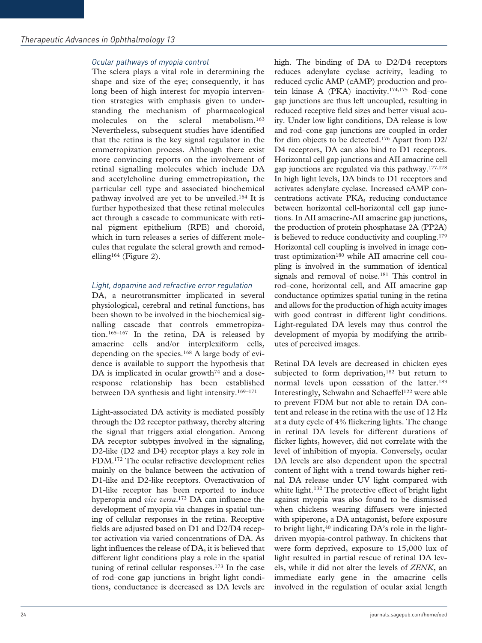## *Ocular pathways of myopia control*

The sclera plays a vital role in determining the shape and size of the eye; consequently, it has long been of high interest for myopia intervention strategies with emphasis given to understanding the mechanism of pharmacological molecules on the scleral metabolism.163 Nevertheless, subsequent studies have identified that the retina is the key signal regulator in the emmetropization process. Although there exist more convincing reports on the involvement of retinal signalling molecules which include DA and acetylcholine during emmetropization, the particular cell type and associated biochemical pathway involved are yet to be unveiled.164 It is further hypothesized that these retinal molecules act through a cascade to communicate with retinal pigment epithelium (RPE) and choroid, which in turn releases a series of different molecules that regulate the scleral growth and remodelling164 (Figure 2).

## *Light, dopamine and refractive error regulation*

DA, a neurotransmitter implicated in several physiological, cerebral and retinal functions, has been shown to be involved in the biochemical signalling cascade that controls emmetropization.165–167 In the retina, DA is released by amacrine cells and/or interplexiform cells, depending on the species.<sup>168</sup> A large body of evidence is available to support the hypothesis that DA is implicated in ocular growth<sup>74</sup> and a doseresponse relationship has been established between DA synthesis and light intensity.169–171

Light-associated DA activity is mediated possibly through the D2 receptor pathway, thereby altering the signal that triggers axial elongation. Among DA receptor subtypes involved in the signaling, D2-like (D2 and D4) receptor plays a key role in FDM.172 The ocular refractive development relies mainly on the balance between the activation of D1-like and D2-like receptors. Overactivation of D1-like receptor has been reported to induce hyperopia and *vice versa*.173 DA can influence the development of myopia via changes in spatial tuning of cellular responses in the retina. Receptive fields are adjusted based on D1 and D2/D4 receptor activation via varied concentrations of DA. As light influences the release of DA, it is believed that different light conditions play a role in the spatial tuning of retinal cellular responses.173 In the case of rod–cone gap junctions in bright light conditions, conductance is decreased as DA levels are

high. The binding of DA to D2/D4 receptors reduces adenylate cyclase activity, leading to reduced cyclic AMP (cAMP) production and protein kinase A (PKA) inactivity.174,175 Rod–cone gap junctions are thus left uncoupled, resulting in reduced receptive field sizes and better visual acuity. Under low light conditions, DA release is low and rod–cone gap junctions are coupled in order for dim objects to be detected.176 Apart from D2/ D4 receptors, DA can also bind to D1 receptors. Horizontal cell gap junctions and AII amacrine cell gap junctions are regulated via this pathway.177,178 In high light levels, DA binds to D1 receptors and activates adenylate cyclase. Increased cAMP concentrations activate PKA, reducing conductance between horizontal cell-horizontal cell gap junctions. In AII amacrine-AII amacrine gap junctions, the production of protein phosphatase 2A (PP2A) is believed to reduce conductivity and coupling.<sup>179</sup> Horizontal cell coupling is involved in image contrast optimization<sup>180</sup> while AII amacrine cell coupling is involved in the summation of identical signals and removal of noise.<sup>181</sup> This control in rod–cone, horizontal cell, and AII amacrine gap conductance optimizes spatial tuning in the retina and allows for the production of high acuity images with good contrast in different light conditions. Light-regulated DA levels may thus control the development of myopia by modifying the attributes of perceived images.

Retinal DA levels are decreased in chicken eyes subjected to form deprivation,<sup>182</sup> but return to normal levels upon cessation of the latter.<sup>183</sup> Interestingly, Schwahn and Schaeffel<sup>122</sup> were able to prevent FDM but not able to retain DA content and release in the retina with the use of 12 Hz at a duty cycle of 4% flickering lights. The change in retinal DA levels for different durations of flicker lights, however, did not correlate with the level of inhibition of myopia. Conversely, ocular DA levels are also dependent upon the spectral content of light with a trend towards higher retinal DA release under UV light compared with white light.<sup>132</sup> The protective effect of bright light against myopia was also found to be dismissed when chickens wearing diffusers were injected with spiperone, a DA antagonist, before exposure to bright light, $40$  indicating DA's role in the lightdriven myopia-control pathway. In chickens that were form deprived, exposure to 15,000 lux of light resulted in partial rescue of retinal DA levels, while it did not alter the levels of *ZENK*, an immediate early gene in the amacrine cells involved in the regulation of ocular axial length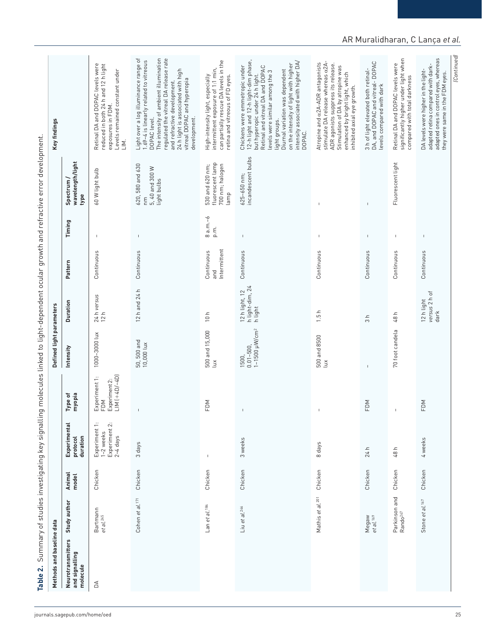| adapted ones in control eyes, whereas<br>Light over a log illuminance range of<br>1.69-4 is linearly related to vitreous<br>The intensity of ambient illumination<br>regulated the vitreal DA release rate<br>significantly higher under light when<br>can partially rescue DA levels in the<br>12-h light and 12-h light-dim phase,<br>intensity associated with higher DA/<br>stimulate DA release whereas a2A-<br>3 h of light elevated both retinal-<br>DA, and DOPAC and vitreal- DOPAC<br>Atropine and a2A-ADR antagonists<br>on the intensity of light with higher<br>ADR agonists suppress its release.<br>Retinal DA and DOPAC levels were<br>Retinal DA and DOPAC levels were<br>reduced in both 24 h and 12 h light<br>adapted retina compared with dark-<br>Chickens were emmetropic under<br>Retinal and vitreal DA and DOPAC<br>Stimulation of DA by atropine was<br>intermittent exposure of 1:1 min,<br>24 h light is associated with high<br>Diurnal variation was dependent<br>DA levels were higher in the light-<br>Levels remained constant under<br>levels were similar among the 3<br>enhanced by bright light, which<br>they were same in the FDM eyes.<br>but hyperopic under 24 h light.<br>retina and vitreous of FD eyes.<br>High-intensity light, especially<br>compared with total darkness<br>vitreal DOPAC and hyperopia<br>and refractive development.<br>levels compared with dark<br>inhibited axial eye growth.<br>exposures in FDM.<br>development.<br>DOPAC level.<br>light groups.<br>DOPAC.<br>$\overline{\Xi}$ .<br>incandescent bulbs<br>wavelength/light<br>fluorescent lamp<br>Fluorescent light<br>530 and 620 nm;<br>700 nm; halogen<br>620, 580 and 630<br>5, 40 and 300 W<br>60 W light bulb<br>$625 - 650$ nm;<br>Spectrum /<br>light bulbs<br>lamp<br>type<br>E<br>$\mathsf{I}$<br>$\mathbf{I}$<br>$8 a.m.-6$<br>Timing<br>p.m.<br>$\mathsf{L}$<br>$\mathsf I$<br>$\mathsf I$<br>$\mathbf{I}$<br>$\mathsf I$<br>$\mathbf{I}$<br>$\mathbf{I}$<br>Intermittent<br>Continuous<br>Continuous<br>Continuous<br>Continuous<br>Continuous<br>Continuous<br>Continuous<br>Continuous<br>Pattern<br>and<br>12 h light, 12<br>h light-dim, 24<br>h light<br>12 h and 24 h<br>versus 2 h of<br>24 h versus<br>12 h<br>12 h light<br><b>Duration</b><br>ᅩ<br>$d$ ark<br>10h<br>ᇰ<br>$\frac{5}{1}$<br>$\mathrel{\mathop{\mathsf{=}}}$<br>48<br>$\infty$<br>1-1500 µW/cm <sup>2</sup><br>70 foot candela<br>500 and 15,000<br>1000-3000 lux<br>500 and 8500<br>50, 500 and<br>10,000 lux<br>$0.01 - 500$<br>Intensity<br>1500,<br>Δĭ<br>ίŭχ<br>$\overline{1}$<br>$LIM$ $(+4D/-4D)$<br>Experiment 1:<br>FDM<br>Experiment 2:<br>Type of<br>myopia<br>FDM<br>FDM<br>FDM<br>$\mathbf{I}$<br>$\overline{1}$<br>Experiment 1:<br>Experiment 2:<br>2-4 days<br>Experimental<br>1-2 weeks<br>duration<br>protocol<br>3 weeks<br>4 weeks<br>3 days<br>8 days<br>24 h<br>48 h<br>$\mathsf I$<br>Chicken<br>Chicken<br>Chicken<br>Chicken<br>Chicken<br>Chicken<br>Chicken<br>Chicken<br>Animal<br>model<br>Parkinson and<br>Mathis et al. <sup>201</sup><br>Cohen et al. <sup>171</sup><br>Stone et al. <sup>167</sup><br>Study author<br>Lan et al. 184<br>Liu et al. <sup>246</sup><br>Bartmann<br>et al. <sup>245</sup><br>Rando <sup>247</sup><br>Megaw<br>et al. <sup>169</sup><br>Neurotransmitters<br>and signalling<br>molecule<br>á | Methods and baseline data |  |  | Defined light parameters |  |  | Key findings |
|-------------------------------------------------------------------------------------------------------------------------------------------------------------------------------------------------------------------------------------------------------------------------------------------------------------------------------------------------------------------------------------------------------------------------------------------------------------------------------------------------------------------------------------------------------------------------------------------------------------------------------------------------------------------------------------------------------------------------------------------------------------------------------------------------------------------------------------------------------------------------------------------------------------------------------------------------------------------------------------------------------------------------------------------------------------------------------------------------------------------------------------------------------------------------------------------------------------------------------------------------------------------------------------------------------------------------------------------------------------------------------------------------------------------------------------------------------------------------------------------------------------------------------------------------------------------------------------------------------------------------------------------------------------------------------------------------------------------------------------------------------------------------------------------------------------------------------------------------------------------------------------------------------------------------------------------------------------------------------------------------------------------------------------------------------------------------------------------------------------------------------------------------------------------------------------------------------------------------------------------------------------------------------------------------------------------------------------------------------------------------------------------------------------------------------------------------------------------------------------------------------------------------------------------------------------------------------------------------------------------------------------------------------------------------------------------------------------------------------------------------------------------------------------------------------------------------------------------------------------------------------------------------------------------------------------------------------------------------------------------------------------------------------------------------------------------------------------------------------------------------------------------------------------------------------------------------------------------------------------------------------------------------------------------------------------------------------------------------------------------------|---------------------------|--|--|--------------------------|--|--|--------------|
|                                                                                                                                                                                                                                                                                                                                                                                                                                                                                                                                                                                                                                                                                                                                                                                                                                                                                                                                                                                                                                                                                                                                                                                                                                                                                                                                                                                                                                                                                                                                                                                                                                                                                                                                                                                                                                                                                                                                                                                                                                                                                                                                                                                                                                                                                                                                                                                                                                                                                                                                                                                                                                                                                                                                                                                                                                                                                                                                                                                                                                                                                                                                                                                                                                                                                                                                                                         |                           |  |  |                          |  |  |              |
|                                                                                                                                                                                                                                                                                                                                                                                                                                                                                                                                                                                                                                                                                                                                                                                                                                                                                                                                                                                                                                                                                                                                                                                                                                                                                                                                                                                                                                                                                                                                                                                                                                                                                                                                                                                                                                                                                                                                                                                                                                                                                                                                                                                                                                                                                                                                                                                                                                                                                                                                                                                                                                                                                                                                                                                                                                                                                                                                                                                                                                                                                                                                                                                                                                                                                                                                                                         |                           |  |  |                          |  |  |              |
|                                                                                                                                                                                                                                                                                                                                                                                                                                                                                                                                                                                                                                                                                                                                                                                                                                                                                                                                                                                                                                                                                                                                                                                                                                                                                                                                                                                                                                                                                                                                                                                                                                                                                                                                                                                                                                                                                                                                                                                                                                                                                                                                                                                                                                                                                                                                                                                                                                                                                                                                                                                                                                                                                                                                                                                                                                                                                                                                                                                                                                                                                                                                                                                                                                                                                                                                                                         |                           |  |  |                          |  |  |              |
|                                                                                                                                                                                                                                                                                                                                                                                                                                                                                                                                                                                                                                                                                                                                                                                                                                                                                                                                                                                                                                                                                                                                                                                                                                                                                                                                                                                                                                                                                                                                                                                                                                                                                                                                                                                                                                                                                                                                                                                                                                                                                                                                                                                                                                                                                                                                                                                                                                                                                                                                                                                                                                                                                                                                                                                                                                                                                                                                                                                                                                                                                                                                                                                                                                                                                                                                                                         |                           |  |  |                          |  |  |              |
|                                                                                                                                                                                                                                                                                                                                                                                                                                                                                                                                                                                                                                                                                                                                                                                                                                                                                                                                                                                                                                                                                                                                                                                                                                                                                                                                                                                                                                                                                                                                                                                                                                                                                                                                                                                                                                                                                                                                                                                                                                                                                                                                                                                                                                                                                                                                                                                                                                                                                                                                                                                                                                                                                                                                                                                                                                                                                                                                                                                                                                                                                                                                                                                                                                                                                                                                                                         |                           |  |  |                          |  |  |              |
|                                                                                                                                                                                                                                                                                                                                                                                                                                                                                                                                                                                                                                                                                                                                                                                                                                                                                                                                                                                                                                                                                                                                                                                                                                                                                                                                                                                                                                                                                                                                                                                                                                                                                                                                                                                                                                                                                                                                                                                                                                                                                                                                                                                                                                                                                                                                                                                                                                                                                                                                                                                                                                                                                                                                                                                                                                                                                                                                                                                                                                                                                                                                                                                                                                                                                                                                                                         |                           |  |  |                          |  |  |              |
|                                                                                                                                                                                                                                                                                                                                                                                                                                                                                                                                                                                                                                                                                                                                                                                                                                                                                                                                                                                                                                                                                                                                                                                                                                                                                                                                                                                                                                                                                                                                                                                                                                                                                                                                                                                                                                                                                                                                                                                                                                                                                                                                                                                                                                                                                                                                                                                                                                                                                                                                                                                                                                                                                                                                                                                                                                                                                                                                                                                                                                                                                                                                                                                                                                                                                                                                                                         |                           |  |  |                          |  |  |              |
|                                                                                                                                                                                                                                                                                                                                                                                                                                                                                                                                                                                                                                                                                                                                                                                                                                                                                                                                                                                                                                                                                                                                                                                                                                                                                                                                                                                                                                                                                                                                                                                                                                                                                                                                                                                                                                                                                                                                                                                                                                                                                                                                                                                                                                                                                                                                                                                                                                                                                                                                                                                                                                                                                                                                                                                                                                                                                                                                                                                                                                                                                                                                                                                                                                                                                                                                                                         |                           |  |  |                          |  |  |              |
|                                                                                                                                                                                                                                                                                                                                                                                                                                                                                                                                                                                                                                                                                                                                                                                                                                                                                                                                                                                                                                                                                                                                                                                                                                                                                                                                                                                                                                                                                                                                                                                                                                                                                                                                                                                                                                                                                                                                                                                                                                                                                                                                                                                                                                                                                                                                                                                                                                                                                                                                                                                                                                                                                                                                                                                                                                                                                                                                                                                                                                                                                                                                                                                                                                                                                                                                                                         |                           |  |  |                          |  |  |              |

## AR Muralidharan, C Lança *et al.*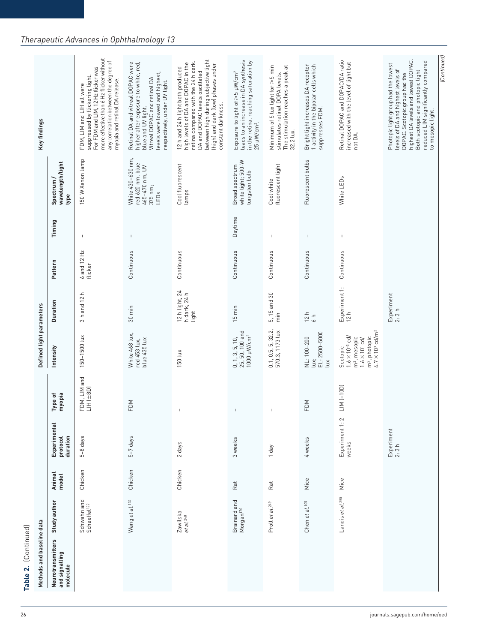| more effective than 6 Hz flicker without<br>between high during subjective light<br>highest DA levels and lowest DOPAC.<br>leads to an increase in DA synthesis<br>Retinal DOPAC and DOPAC/DA ratio<br>reduced LIM significantly compared<br>any correlation between the degree of<br>in the retina, reaching saturation by<br>retina compared with the 24 h dark.<br>higher after exposure to white, red,<br>Retinal DA and vitreal DOPAC were<br>increased with the level of light but<br>high levels of DA and DOPAC in the<br>(high) and dark (low) phases under<br>Photopic light group had the lowest<br>Bright light increases DA receptor<br>1 activity in the bipolar cells which<br>The stimulation reaches a peak at<br>Minimum of 5 lux light for ≥ 5 min<br>For FDM and LIM, 12 Hz flicker was<br>12 h and 24 h light both produced<br>levels of DA and highest levels of<br>Both scotopic and photopic light<br>Exposure to light of ≥5 µW/cm <sup>2</sup><br>DA and DOPAC levels oscillated<br>levels were lowest and highest,<br>stimulates retinal DOPA levels.<br>DOPAC. Scotopic group had the<br>suppressed by flickering light.<br>Vitreal DOPAC and retinal DA<br>myopia and retinal DA release.<br>respectively, under UV light.<br>FDM, LIM and LIH all were<br>constant darkness.<br>blue and UV light.<br>suppresses FDM.<br>to mesopic light.<br>25 µW/cm <sup>2</sup> .<br>32.2 lux.<br>not DA.<br>White 430-630 nm,<br>150 W Xenon lamp<br>Fluorescent bulbs<br>white light; 500-W<br>wavelength/light<br>red 620 nm, blue<br>Cool fluorescent<br>fluorescent light<br>465-470 nm, UV<br>Broad spectrum<br>tungsten bulb<br>White LEDs<br>Spectrum /<br>Cool white<br>375 nm;<br>lamps<br>LEDs<br>type<br>Daytime<br>I.<br>$\mathsf I$<br>J.<br>$\blacksquare$<br>$\overline{\phantom{a}}$<br>6 and 12 Hz<br>Continuous<br>Continuous<br>Continuous<br>Continuous<br>Continuous<br>Continuous<br>Pattern<br>flicker<br>Experiment 1:<br>12 h light, 24<br>3 h and 12 h<br>h dark, 24 h<br>5, 15 and 30<br>Experiment<br>2:3 h<br>Duration<br>$15 \text{ min}$<br>$30 \text{ min}$<br>light<br>12 h<br>12 h<br>$\frac{1}{2}$<br>$\frac{1}{6}$<br>m <sup>2</sup> , photopic<br>4.7 $\times$ 10 <sup>3</sup> cd/m <sup>2</sup><br>$0.1, 0.5, 5, 32.2, 570.3, 1173$ lux<br>$0, 1, 3, 5, 10,$<br>25, 50, 100 and<br>1000 µW/cm <sup>2</sup><br>$EL: 2500 - 5000$<br>White 468 lux,<br>150-1500 lux<br>$1.6 \times 10^{-3}$ cd/<br>NL: 100-200<br>m <sup>2</sup> , mesopic<br>blue 435 lux<br>red 453 lux,<br>$1.6 \times 10$ <sup>1</sup> cd/<br>Intensity<br>Scotopic<br>150 lux<br>lux;<br>$\tilde{\mathbf{u}}$<br>FDM, LIM and<br>$LM$ $(-10D)$<br>$LHH$ ( $\pm$ 8D)<br>Type of<br>myopia<br>FDM<br>FDM<br>$\sf I$<br>$\mathbb{I}$<br>Experiment 1:2<br>Experimental<br>Experiment<br>2:3h<br>duration<br>$5-7$ days<br>protocol<br>5-8 days<br>3 weeks<br>4 weeks<br>2 days<br>weeks<br>1 day<br>Chicken<br>Chicken<br>Chicken<br>Animal<br>model<br>Mice<br>Mice<br>Rat<br>Rat<br>Landis et al. <sup>250</sup><br>Schwahn and<br>Schaeffel <sup>122</sup><br>Wang et al. <sup>132</sup><br>Brainard and<br>Chen et al. 105<br>Proll et al. <sup>249</sup><br>Morgan <sup>170</sup><br>Zawilska<br>et al. <sup>248</sup><br>Neurotransmitters<br>and signalling | Methods and baseline data |              |  | Defined light parameters |  |        | Key findings |
|---------------------------------------------------------------------------------------------------------------------------------------------------------------------------------------------------------------------------------------------------------------------------------------------------------------------------------------------------------------------------------------------------------------------------------------------------------------------------------------------------------------------------------------------------------------------------------------------------------------------------------------------------------------------------------------------------------------------------------------------------------------------------------------------------------------------------------------------------------------------------------------------------------------------------------------------------------------------------------------------------------------------------------------------------------------------------------------------------------------------------------------------------------------------------------------------------------------------------------------------------------------------------------------------------------------------------------------------------------------------------------------------------------------------------------------------------------------------------------------------------------------------------------------------------------------------------------------------------------------------------------------------------------------------------------------------------------------------------------------------------------------------------------------------------------------------------------------------------------------------------------------------------------------------------------------------------------------------------------------------------------------------------------------------------------------------------------------------------------------------------------------------------------------------------------------------------------------------------------------------------------------------------------------------------------------------------------------------------------------------------------------------------------------------------------------------------------------------------------------------------------------------------------------------------------------------------------------------------------------------------------------------------------------------------------------------------------------------------------------------------------------------------------------------------------------------------------------------------------------------------------------------------------------------------------------------------------------------------------------------------------------------------------------------------------------------------------------------------------------------------------------------------------------------------------------------------------------------------------------------------------------------------------------------|---------------------------|--------------|--|--------------------------|--|--------|--------------|
|                                                                                                                                                                                                                                                                                                                                                                                                                                                                                                                                                                                                                                                                                                                                                                                                                                                                                                                                                                                                                                                                                                                                                                                                                                                                                                                                                                                                                                                                                                                                                                                                                                                                                                                                                                                                                                                                                                                                                                                                                                                                                                                                                                                                                                                                                                                                                                                                                                                                                                                                                                                                                                                                                                                                                                                                                                                                                                                                                                                                                                                                                                                                                                                                                                                                                             |                           | Study author |  |                          |  | Timing |              |
|                                                                                                                                                                                                                                                                                                                                                                                                                                                                                                                                                                                                                                                                                                                                                                                                                                                                                                                                                                                                                                                                                                                                                                                                                                                                                                                                                                                                                                                                                                                                                                                                                                                                                                                                                                                                                                                                                                                                                                                                                                                                                                                                                                                                                                                                                                                                                                                                                                                                                                                                                                                                                                                                                                                                                                                                                                                                                                                                                                                                                                                                                                                                                                                                                                                                                             |                           |              |  |                          |  |        |              |
|                                                                                                                                                                                                                                                                                                                                                                                                                                                                                                                                                                                                                                                                                                                                                                                                                                                                                                                                                                                                                                                                                                                                                                                                                                                                                                                                                                                                                                                                                                                                                                                                                                                                                                                                                                                                                                                                                                                                                                                                                                                                                                                                                                                                                                                                                                                                                                                                                                                                                                                                                                                                                                                                                                                                                                                                                                                                                                                                                                                                                                                                                                                                                                                                                                                                                             |                           |              |  |                          |  |        |              |
|                                                                                                                                                                                                                                                                                                                                                                                                                                                                                                                                                                                                                                                                                                                                                                                                                                                                                                                                                                                                                                                                                                                                                                                                                                                                                                                                                                                                                                                                                                                                                                                                                                                                                                                                                                                                                                                                                                                                                                                                                                                                                                                                                                                                                                                                                                                                                                                                                                                                                                                                                                                                                                                                                                                                                                                                                                                                                                                                                                                                                                                                                                                                                                                                                                                                                             |                           |              |  |                          |  |        |              |
|                                                                                                                                                                                                                                                                                                                                                                                                                                                                                                                                                                                                                                                                                                                                                                                                                                                                                                                                                                                                                                                                                                                                                                                                                                                                                                                                                                                                                                                                                                                                                                                                                                                                                                                                                                                                                                                                                                                                                                                                                                                                                                                                                                                                                                                                                                                                                                                                                                                                                                                                                                                                                                                                                                                                                                                                                                                                                                                                                                                                                                                                                                                                                                                                                                                                                             |                           |              |  |                          |  |        |              |
|                                                                                                                                                                                                                                                                                                                                                                                                                                                                                                                                                                                                                                                                                                                                                                                                                                                                                                                                                                                                                                                                                                                                                                                                                                                                                                                                                                                                                                                                                                                                                                                                                                                                                                                                                                                                                                                                                                                                                                                                                                                                                                                                                                                                                                                                                                                                                                                                                                                                                                                                                                                                                                                                                                                                                                                                                                                                                                                                                                                                                                                                                                                                                                                                                                                                                             |                           |              |  |                          |  |        |              |
|                                                                                                                                                                                                                                                                                                                                                                                                                                                                                                                                                                                                                                                                                                                                                                                                                                                                                                                                                                                                                                                                                                                                                                                                                                                                                                                                                                                                                                                                                                                                                                                                                                                                                                                                                                                                                                                                                                                                                                                                                                                                                                                                                                                                                                                                                                                                                                                                                                                                                                                                                                                                                                                                                                                                                                                                                                                                                                                                                                                                                                                                                                                                                                                                                                                                                             |                           |              |  |                          |  |        |              |
|                                                                                                                                                                                                                                                                                                                                                                                                                                                                                                                                                                                                                                                                                                                                                                                                                                                                                                                                                                                                                                                                                                                                                                                                                                                                                                                                                                                                                                                                                                                                                                                                                                                                                                                                                                                                                                                                                                                                                                                                                                                                                                                                                                                                                                                                                                                                                                                                                                                                                                                                                                                                                                                                                                                                                                                                                                                                                                                                                                                                                                                                                                                                                                                                                                                                                             |                           |              |  |                          |  |        |              |
|                                                                                                                                                                                                                                                                                                                                                                                                                                                                                                                                                                                                                                                                                                                                                                                                                                                                                                                                                                                                                                                                                                                                                                                                                                                                                                                                                                                                                                                                                                                                                                                                                                                                                                                                                                                                                                                                                                                                                                                                                                                                                                                                                                                                                                                                                                                                                                                                                                                                                                                                                                                                                                                                                                                                                                                                                                                                                                                                                                                                                                                                                                                                                                                                                                                                                             |                           |              |  |                          |  |        |              |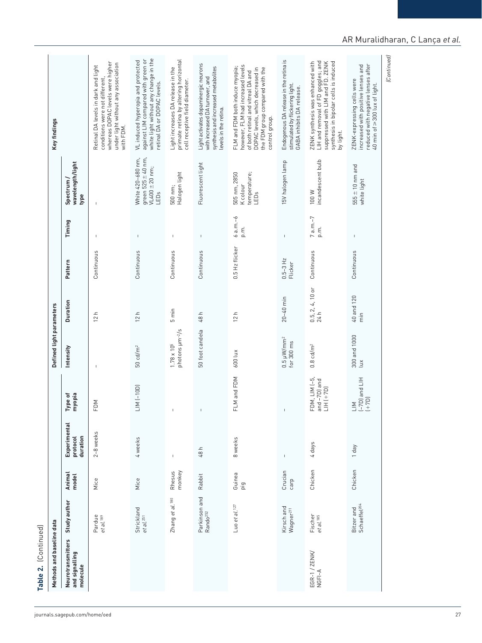| ZENK synthesis was enhanced with<br>synthesis in bipolar cells is induced<br>under light without any association<br>Light activates dopaminergic neurons<br>reduced with negative lenses after<br>however, FLM had increased levels<br>increased with positive lenses and<br>Retinal DA levels in dark and light<br>synthesis and increased metabolites<br>FLM and FDM both induce myopia;<br>Light increases DA release in the<br>DOPAC levels, which decreased in<br>the FDM group compared with the<br>of both retinal and vitreal DA and<br>conditions were not different,<br>with increased DA turnover, and<br>ZENK-expressing cells were<br>cell receptive field diameter.<br>retinal DA or DOPAC levels.<br>stimulated by flickering light.<br>40 min of≥300 lux of light.<br>GABA inhibits DA release.<br>levels in the retina.<br>control group.<br>with FDM.<br>by light.<br>White 420-680 nm,<br>green $525 \pm 40$ nm,<br>VL400 $\pm 20$ nm;<br>incandescent bulb<br>15V halogen lamp<br>wavelength/light<br>Fluorescent light<br>$555 \pm 10$ nm and<br>Halogen light<br>505 nm, 2850<br>temperature;<br>Spectrum/<br>white light<br>K colour<br>500 nm;<br>100W<br>LEDs<br>LEDs<br>type<br>$6 a.m.-6$<br>$7 a.m.-7$<br>Timing<br>p.m.<br>p.m.<br>$\mathsf I$<br>$\mathsf I$<br>$\mathsf I$<br>$\mathbf{I}$<br>$\mathbf{I}$<br>$\mathbf{I}$<br>0.5 Hz flicker<br>Continuous<br>Continuous<br>Continuous<br>Continuous<br>Continuous<br>Continuous<br>$0.5 - 3$ Hz<br>Pattern<br>Flicker<br>$0.5, 2, 4, 10$ or<br>24 h<br>40 and 120<br>$20 - 40$ min<br><b>Duration</b><br>5 min<br>12 h<br>48 h<br>12 h<br>12h<br>$\frac{1}{E}$<br>50 foot candela<br>photons µm <sup>-2</sup> /s<br>$300$ and $1000$<br>lux<br>$0.5 \mu$ W/mm <sup>2</sup><br>for 300 ms<br>$1.78 \times 10^{5}$<br>$0.8$ cd/m <sup>2</sup><br>$50 \text{ cd/m}^2$<br>Intensity<br>600 lux<br>FLM and FDM<br>FDM, LIM (-5,<br>(-7D) and LIH<br>$and -7D]$ and<br>$LM$ $(-10D)$<br>$LHH$ $(+7D)$<br>Type of<br>myopia<br>$(1+7D)$<br>FDM<br>$\overline{\mathbb{Z}}$<br>$\mathsf I$<br>$\mathbf{I}$<br>Experimental<br>2-8 weeks<br>duration<br>protocol<br>4 weeks<br>8 weeks<br>4 days<br>Yep [<br>48 h<br>Chicken<br>Chicken<br>monkey<br>Crucian<br>Rhesus<br>Animal<br>Guinea<br>Rabbit<br>model<br>Mice<br>Mice<br>carp<br>ig<br>Parkinson and<br>Rando <sup>252</sup><br>Zhang et al. <sup>180</sup><br>Study author<br>Bitzer and<br>Schaeffel <sup>204</sup><br>Luo et al. $127$<br>Kirsch and<br>Strickland<br>et al. <sup>251</sup><br>Wagner <sup>211</sup><br>Fischer<br>et al. <sup>185</sup><br>Pardue<br>et al. <sup>189</sup><br>Neurotransmitters<br>and signalling<br>EGR-1 / ZENK/<br>NGFI-A<br>molecule |  |  |  |  |  |                                                                                                                   |
|------------------------------------------------------------------------------------------------------------------------------------------------------------------------------------------------------------------------------------------------------------------------------------------------------------------------------------------------------------------------------------------------------------------------------------------------------------------------------------------------------------------------------------------------------------------------------------------------------------------------------------------------------------------------------------------------------------------------------------------------------------------------------------------------------------------------------------------------------------------------------------------------------------------------------------------------------------------------------------------------------------------------------------------------------------------------------------------------------------------------------------------------------------------------------------------------------------------------------------------------------------------------------------------------------------------------------------------------------------------------------------------------------------------------------------------------------------------------------------------------------------------------------------------------------------------------------------------------------------------------------------------------------------------------------------------------------------------------------------------------------------------------------------------------------------------------------------------------------------------------------------------------------------------------------------------------------------------------------------------------------------------------------------------------------------------------------------------------------------------------------------------------------------------------------------------------------------------------------------------------------------------------------------------------------------------------------------------------------------------------------------------------------------------------------------------------------------------------------------------------------------------------------------------------------------------------------------------------------------------------------------------------------------------------------------------------------------|--|--|--|--|--|-------------------------------------------------------------------------------------------------------------------|
|                                                                                                                                                                                                                                                                                                                                                                                                                                                                                                                                                                                                                                                                                                                                                                                                                                                                                                                                                                                                                                                                                                                                                                                                                                                                                                                                                                                                                                                                                                                                                                                                                                                                                                                                                                                                                                                                                                                                                                                                                                                                                                                                                                                                                                                                                                                                                                                                                                                                                                                                                                                                                                                                                                            |  |  |  |  |  |                                                                                                                   |
|                                                                                                                                                                                                                                                                                                                                                                                                                                                                                                                                                                                                                                                                                                                                                                                                                                                                                                                                                                                                                                                                                                                                                                                                                                                                                                                                                                                                                                                                                                                                                                                                                                                                                                                                                                                                                                                                                                                                                                                                                                                                                                                                                                                                                                                                                                                                                                                                                                                                                                                                                                                                                                                                                                            |  |  |  |  |  | whereas DOPAC levels were higher                                                                                  |
|                                                                                                                                                                                                                                                                                                                                                                                                                                                                                                                                                                                                                                                                                                                                                                                                                                                                                                                                                                                                                                                                                                                                                                                                                                                                                                                                                                                                                                                                                                                                                                                                                                                                                                                                                                                                                                                                                                                                                                                                                                                                                                                                                                                                                                                                                                                                                                                                                                                                                                                                                                                                                                                                                                            |  |  |  |  |  | white light without any change in the<br>against LIM compared with green or<br>VL induced hyperopia and protected |
|                                                                                                                                                                                                                                                                                                                                                                                                                                                                                                                                                                                                                                                                                                                                                                                                                                                                                                                                                                                                                                                                                                                                                                                                                                                                                                                                                                                                                                                                                                                                                                                                                                                                                                                                                                                                                                                                                                                                                                                                                                                                                                                                                                                                                                                                                                                                                                                                                                                                                                                                                                                                                                                                                                            |  |  |  |  |  | primate retina by altering horizontal                                                                             |
|                                                                                                                                                                                                                                                                                                                                                                                                                                                                                                                                                                                                                                                                                                                                                                                                                                                                                                                                                                                                                                                                                                                                                                                                                                                                                                                                                                                                                                                                                                                                                                                                                                                                                                                                                                                                                                                                                                                                                                                                                                                                                                                                                                                                                                                                                                                                                                                                                                                                                                                                                                                                                                                                                                            |  |  |  |  |  |                                                                                                                   |
|                                                                                                                                                                                                                                                                                                                                                                                                                                                                                                                                                                                                                                                                                                                                                                                                                                                                                                                                                                                                                                                                                                                                                                                                                                                                                                                                                                                                                                                                                                                                                                                                                                                                                                                                                                                                                                                                                                                                                                                                                                                                                                                                                                                                                                                                                                                                                                                                                                                                                                                                                                                                                                                                                                            |  |  |  |  |  |                                                                                                                   |
|                                                                                                                                                                                                                                                                                                                                                                                                                                                                                                                                                                                                                                                                                                                                                                                                                                                                                                                                                                                                                                                                                                                                                                                                                                                                                                                                                                                                                                                                                                                                                                                                                                                                                                                                                                                                                                                                                                                                                                                                                                                                                                                                                                                                                                                                                                                                                                                                                                                                                                                                                                                                                                                                                                            |  |  |  |  |  | Endogenous DA release in the retina is                                                                            |
|                                                                                                                                                                                                                                                                                                                                                                                                                                                                                                                                                                                                                                                                                                                                                                                                                                                                                                                                                                                                                                                                                                                                                                                                                                                                                                                                                                                                                                                                                                                                                                                                                                                                                                                                                                                                                                                                                                                                                                                                                                                                                                                                                                                                                                                                                                                                                                                                                                                                                                                                                                                                                                                                                                            |  |  |  |  |  | LIH and removal of FD goggles; and<br>suppressed with LIM and FD. ZENK                                            |
|                                                                                                                                                                                                                                                                                                                                                                                                                                                                                                                                                                                                                                                                                                                                                                                                                                                                                                                                                                                                                                                                                                                                                                                                                                                                                                                                                                                                                                                                                                                                                                                                                                                                                                                                                                                                                                                                                                                                                                                                                                                                                                                                                                                                                                                                                                                                                                                                                                                                                                                                                                                                                                                                                                            |  |  |  |  |  |                                                                                                                   |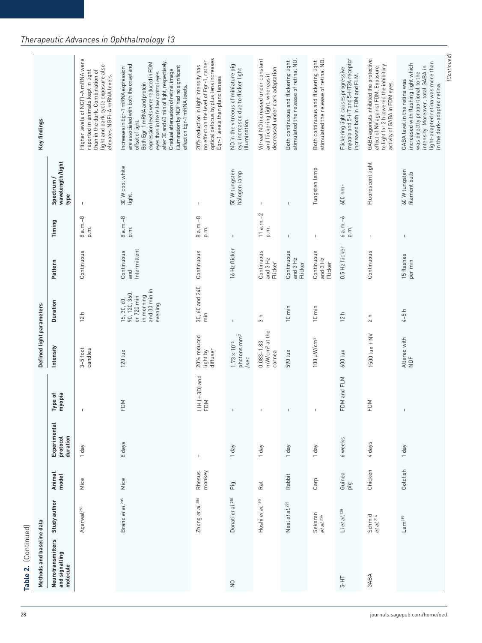| Methods and baseline data                       |                                  |                  |                                      |                            | Defined light parameters                                 |                                                                                      |                                   |                    |                                        | Key findings                                                                                                                                                                                                                                                                                                                                                                      |
|-------------------------------------------------|----------------------------------|------------------|--------------------------------------|----------------------------|----------------------------------------------------------|--------------------------------------------------------------------------------------|-----------------------------------|--------------------|----------------------------------------|-----------------------------------------------------------------------------------------------------------------------------------------------------------------------------------------------------------------------------------------------------------------------------------------------------------------------------------------------------------------------------------|
| Neurotransmitters<br>and signalling<br>molecule | Study author                     | Animal<br>model  | Experimental<br>protocol<br>duration | Type of<br>myopia          | Intensity                                                | Duration                                                                             | Pattern                           | Timing             | wavelength/light<br>Spectrum /<br>type |                                                                                                                                                                                                                                                                                                                                                                                   |
|                                                 | Agarwal <sup>253</sup>           | Mice             | Yep J                                |                            | $3-5$ foot<br>candles                                    | ᅌ<br>$\overline{c}$                                                                  | Continuous                        | $8a.m.-8$<br>p.m.  | $\mathbf{I}$                           | Higher levels of NGFI-A mRNA were<br>light and dark cycle exposure also<br>reported in animals kept in light<br>than in the dark. Combination of<br>elevates NGFI-A mRNA levels.                                                                                                                                                                                                  |
|                                                 | Brand et al. 205                 | Mice             | 8 days                               | FDM                        | 120 lux                                                  | and 30 min in<br>90, 120, 360,<br>or 720 min<br>in morning<br>15, 30, 60,<br>evening | Intermittent<br>Continuous<br>and | $8 a.m.-8$<br>p.m. | 30 W cool white<br>light.              | after 30 and 60 min of light, respectively.<br>expression levels were reduced in FDM<br>are associated with both the onset and<br>illumination by NDF had no significant<br>Increases in Egr-1 mRNA expression<br>Gradual attenuation of retinal image<br>eyes than in the fellow control eyes<br>Both Egr-1 mRNA and protein<br>effect on Egr-1 mRNA levels.<br>offset of light. |
|                                                 | Zhong et al.206                  | monkey<br>Rhesus | $\mathbf{I}$                         | $LHH$ ( $+3D$ ) and<br>FDM | 20% reduced<br>diffuser<br>light by                      | 30, 60 and 240<br>$\frac{1}{E}$                                                      | Continuous                        | $8 a.m.-8$<br>p.m. | $\mathbf{I}$                           | optical defocus by plus lens increases<br>no effect on the level of Egr-1, rather<br>20% reduction in light intensity has<br>Egr-1 levels than plano lenses                                                                                                                                                                                                                       |
| $\frac{1}{2}$                                   | Donati et al. 254                | Pig              | Tday                                 |                            | photons mm <sup>2</sup><br>$1.73 \times 10^{15}$<br>/sec | $\mathbf{I}$                                                                         | 16 Hz flicker                     | $\mathbb{I}$       | 50 W tungsten<br>halogen lamp          | NO in the vitreous of miniature pig<br>eye increased due to flicker light<br>illumination.                                                                                                                                                                                                                                                                                        |
|                                                 | Hoshi et al. <sup>190</sup>      | Rat              | Tday                                 | $\mathbf{I}$               | mW/cm <sup>2</sup> at the<br>$0.083 - 1.83$<br>cornea    | $\mathrel{\mathop{\mathsf{=}}}$<br>$\infty$                                          | Continuous<br>and 3 Hz<br>Flicker | $11a.m.-2$<br>p.m. | $\mathbf{I}$                           | Vitreal NO increased under constant<br>decreased under dark adaptation<br>and flickering light, whereas it                                                                                                                                                                                                                                                                        |
|                                                 | Neal et al. <sup>255</sup>       | Rabbit           | T day                                |                            | 590 lux                                                  | $10 \text{ min}$                                                                     | Continuous<br>and 3 Hz<br>Flicker | I.                 | I.                                     | Both continuous and flickering light<br>stimulated the release of retinal NO.                                                                                                                                                                                                                                                                                                     |
|                                                 | Sekaran<br>et al. <sup>256</sup> | Carp             | Vep <sub>1</sub>                     | $\mathsf I$                | 100 µW/cm <sup>2</sup>                                   | $10 \text{ min}$                                                                     | Continuous<br>and 3 Hz<br>Flicker | $\overline{1}$     | Tungsten lamp                          | stimulated the release of retinal NO.<br>Both continuous and flickering light                                                                                                                                                                                                                                                                                                     |
| ТH-5                                            | $Li$ et al. <sup>128</sup>       | Guinea<br>ig     | 6 weeks                              | FDM and FLM                | 600 lux                                                  | 12 h                                                                                 | 0.5 Hz flicker                    | $6a.m.-6$<br>p.m.  | 600 nm-                                | myopia and 5-HT and 5-HT2A receptor<br>Flickering light causes progressive<br>increased both in FDM and FLM.                                                                                                                                                                                                                                                                      |
| GABA                                            | Schmid<br>et al. <sup>214</sup>  | Chicken          | 4 days                               | FDM                        | $1500$ $\text{lux} + \text{NV}$                          | 2 h                                                                                  | Continuous                        | $\mathsf I$        | Fluorescent light                      | GABA agonists inhibited the protective<br>to light for 2 h lowered the inhibitory<br>effect of NV against FDM. Exposure<br>activity of GABA in FDM eyes.                                                                                                                                                                                                                          |
|                                                 | Lam <sup>215</sup>               | Goldfish         | T day                                | $\mathbf{I}$               | Altered with<br>NDF                                      | $4-5h$                                                                               | 15 flashes<br>per min             | I.                 | 60 W tungsten<br>filament bulb         | light-adapted retina was more than<br>increased with flashing light which<br>intensity. Moreover, total GABA in<br>was directly proportional to the<br>GABA level in the retina was<br>in the dark-adapted retina.                                                                                                                                                                |
|                                                 |                                  |                  |                                      |                            |                                                          |                                                                                      |                                   |                    |                                        | (Continued)                                                                                                                                                                                                                                                                                                                                                                       |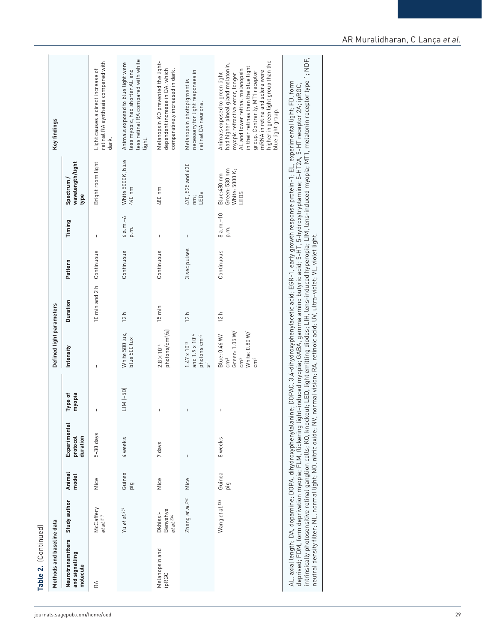| ¢ |
|---|
|   |
|   |
|   |
| α |
|   |
|   |
|   |
|   |
|   |
|   |
|   |

| Study author<br>Neurotransmitters                                                                                                                                                                                                                                                                                                                                                                                               |                 |                                      |                   | Defined light parameters                                                                              |                  |                 |                     |                                                        | Key findings                                                                                                                                                                                                                                                                                                         |
|---------------------------------------------------------------------------------------------------------------------------------------------------------------------------------------------------------------------------------------------------------------------------------------------------------------------------------------------------------------------------------------------------------------------------------|-----------------|--------------------------------------|-------------------|-------------------------------------------------------------------------------------------------------|------------------|-----------------|---------------------|--------------------------------------------------------|----------------------------------------------------------------------------------------------------------------------------------------------------------------------------------------------------------------------------------------------------------------------------------------------------------------------|
| and signalling<br>molecule                                                                                                                                                                                                                                                                                                                                                                                                      | Animal<br>model | Experimental<br>duration<br>protocol | Type of<br>myopia | Intensity                                                                                             | <b>Duration</b>  | Pattern         | Timing              | wavelength/light<br>Spectrum/<br>type                  |                                                                                                                                                                                                                                                                                                                      |
| McCaffery<br>et al. <sup>217</sup><br>RÁ                                                                                                                                                                                                                                                                                                                                                                                        | Mice            | $5-30$ days                          | $\overline{1}$    | $\overline{1}$                                                                                        | 10 min and 2 h   | Continuous      | $\mathbf{I}$        | Bright room light                                      | retinal RA synthesis compared with<br>Light causes a direct increase of<br>dark.                                                                                                                                                                                                                                     |
| Yu et al. <sup>257</sup>                                                                                                                                                                                                                                                                                                                                                                                                        | Guinea<br>ig    | 4 weeks                              | LIM (-5D)         | White 580 lux,<br>blue 500 lux                                                                        | 12h              | Continuous      | $6a.m.-6$<br>p.m.   | White 5000K, blue<br>440 nm                            | less retinal RA compared with white<br>Animals exposed to blue light were<br>less myopic, had shorter AL and<br>light.                                                                                                                                                                                               |
| Benyahya<br>Dkhissi-<br>et al. <sup>234</sup><br>Melanopsin and<br>ipRGC                                                                                                                                                                                                                                                                                                                                                        | Mice            | 7 days                               |                   | photons/cm <sup>2</sup> /s)<br>$2.8\times10^{14}$                                                     | $15 \text{ min}$ | Continuous      | $\overline{1}$      | 480 nm                                                 | Melanopsin KO prevented the light-<br>dependent increase in DA, which<br>comparatively increased in dark.                                                                                                                                                                                                            |
| Zhang et al. 242                                                                                                                                                                                                                                                                                                                                                                                                                | Mice            | $\mathbf{I}$                         | $\mathbf{I}$      | and 1.9 x 10 <sup>14</sup><br>photons cm <sup>-2</sup><br>$1.47\times10^{13}$<br>$\overline{5}$       | 12h              | sec pulses<br>S | $\mathsf I$         | 470, 525 and 630<br>LEDs<br>nm;                        | necessary for light responses in<br>Melanopsin photopigment is<br>retinal DA neurons.                                                                                                                                                                                                                                |
| Wang et al. <sup>138</sup>                                                                                                                                                                                                                                                                                                                                                                                                      | Guinea<br>pig   | 8 weeks                              | $\,$ I            | Green: 1.05 W/<br>White: 0.80 W/<br>Blue: 0.46 W/<br>cm <sup>2</sup><br>$\rm cm^2$<br>cm <sup>2</sup> | 12h              | Continuous      | $8 a.m.-10$<br>p.m. | Green: 530 nm<br>White: 5000 K;<br>Blue:480 nm<br>LEDS | higher in green light group than the<br>blue light group.<br>had higher pineal gland melatonin,<br>in their retinas than the blue light<br>AL and lower retinal melanopsin<br>mRNA in retina and sclera were<br>group. Contrarily, MT1 receptor<br>Animals exposed to green light<br>myopic refractive error, longer |
| intrinsically photosensitive retinal ganglion cells; KO, knockout; LED, light emitting diodes; LIH, lens-induced hyperopia; LIM, lens-induced myopia; MT1, melatonin receptor type 1; NDF,<br>AL, axial length; DA, dopamine; DOPA, dihydroxyphenylalanine; DOPAC, 3,4-dihydroxyphenylacetic acid; EGR-1, early growth response protein-1; EL, experimental light; FD, form<br>deprived; FDM, form deprivation myopia; FLM, fli |                 |                                      |                   |                                                                                                       |                  |                 |                     |                                                        |                                                                                                                                                                                                                                                                                                                      |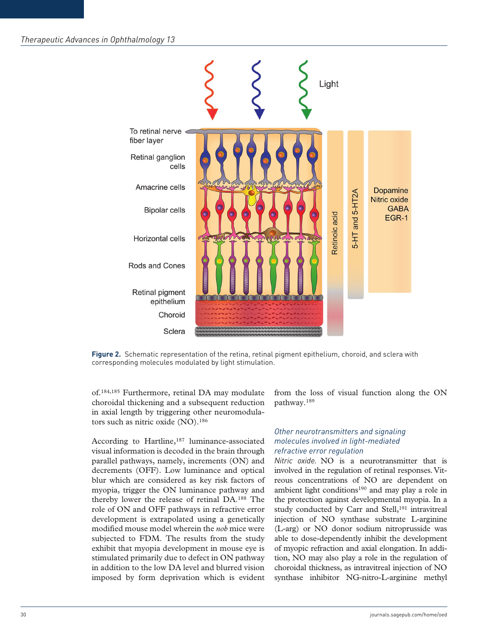

**Figure 2.** Schematic representation of the retina, retinal pigment epithelium, choroid, and sclera with corresponding molecules modulated by light stimulation.

of.184,185 Furthermore, retinal DA may modulate choroidal thickening and a subsequent reduction in axial length by triggering other neuromodulators such as nitric oxide (NO).<sup>186</sup>

According to Hartline,<sup>187</sup> luminance-associated visual information is decoded in the brain through parallel pathways, namely, increments (ON) and decrements (OFF). Low luminance and optical blur which are considered as key risk factors of myopia, trigger the ON luminance pathway and thereby lower the release of retinal DA.188 The role of ON and OFF pathways in refractive error development is extrapolated using a genetically modified mouse model wherein the *nob* mice were subjected to FDM. The results from the study exhibit that myopia development in mouse eye is stimulated primarily due to defect in ON pathway in addition to the low DA level and blurred vision imposed by form deprivation which is evident

from the loss of visual function along the ON pathway.189

## *Other neurotransmitters and signaling molecules involved in light-mediated refractive error regulation*

*Nitric oxide.* NO is a neurotransmitter that is involved in the regulation of retinal responses. Vitreous concentrations of NO are dependent on ambient light conditions190 and may play a role in the protection against developmental myopia. In a study conducted by Carr and Stell,<sup>191</sup> intravitreal injection of NO synthase substrate L-arginine (L-arg) or NO donor sodium nitroprusside was able to dose-dependently inhibit the development of myopic refraction and axial elongation. In addition, NO may also play a role in the regulation of choroidal thickness, as intravitreal injection of NO synthase inhibitor NG-nitro-L-arginine methyl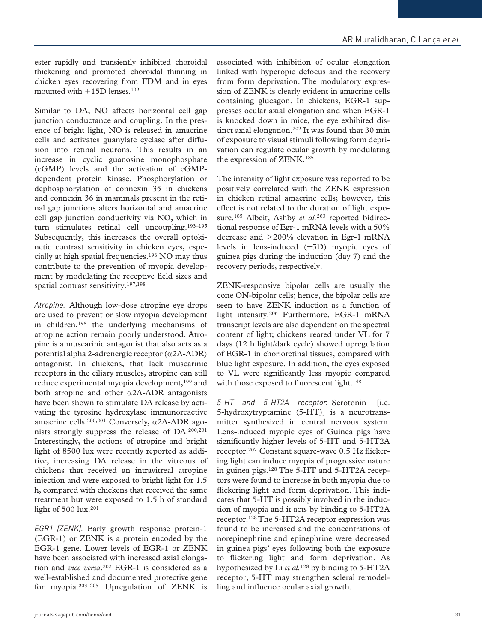ester rapidly and transiently inhibited choroidal thickening and promoted choroidal thinning in chicken eyes recovering from FDM and in eyes mounted with +15D lenses.192

Similar to DA, NO affects horizontal cell gap junction conductance and coupling. In the presence of bright light, NO is released in amacrine cells and activates guanylate cyclase after diffusion into retinal neurons. This results in an increase in cyclic guanosine monophosphate (cGMP) levels and the activation of cGMPdependent protein kinase. Phosphorylation or dephosphorylation of connexin 35 in chickens and connexin 36 in mammals present in the retinal gap junctions alters horizontal and amacrine cell gap junction conductivity via NO, which in turn stimulates retinal cell uncoupling.193–195 Subsequently, this increases the overall optokinetic contrast sensitivity in chicken eyes, especially at high spatial frequencies.196 NO may thus contribute to the prevention of myopia development by modulating the receptive field sizes and spatial contrast sensitivity.197,198

*Atropine.* Although low-dose atropine eye drops are used to prevent or slow myopia development in children, $198$  the underlying mechanisms of atropine action remain poorly understood. Atropine is a muscarinic antagonist that also acts as a potential alpha 2-adrenergic receptor (α2A-ADR) antagonist. In chickens, that lack muscarinic receptors in the ciliary muscles, atropine can still reduce experimental myopia development,<sup>199</sup> and both atropine and other  $\alpha$ 2A-ADR antagonists have been shown to stimulate DA release by activating the tyrosine hydroxylase immunoreactive amacrine cells.<sup>200,201</sup> Conversely,  $\alpha$ 2A-ADR agonists strongly suppress the release of DA.200,201 Interestingly, the actions of atropine and bright light of 8500 lux were recently reported as additive, increasing DA release in the vitreous of chickens that received an intravitreal atropine injection and were exposed to bright light for 1.5 h, compared with chickens that received the same treatment but were exposed to 1.5 h of standard light of 500 lux.<sup>201</sup>

*EGR1 (ZENK).* Early growth response protein-1 (EGR-1) or ZENK is a protein encoded by the EGR-1 gene. Lower levels of EGR-1 or ZENK have been associated with increased axial elongation and *vice versa*.202 EGR-1 is considered as a well-established and documented protective gene for myopia.203–205 Upregulation of ZENK is

associated with inhibition of ocular elongation linked with hyperopic defocus and the recovery from form deprivation. The modulatory expression of ZENK is clearly evident in amacrine cells containing glucagon. In chickens, EGR-1 suppresses ocular axial elongation and when EGR-1 is knocked down in mice, the eye exhibited distinct axial elongation.<sup>202</sup> It was found that 30 min of exposure to visual stimuli following form deprivation can regulate ocular growth by modulating the expression of ZENK.185

The intensity of light exposure was reported to be positively correlated with the ZENK expression in chicken retinal amacrine cells; however, this effect is not related to the duration of light exposure.<sup>185</sup> Albeit, Ashby *et al.*<sup>203</sup> reported bidirectional response of Egr-1 mRNA levels with a 50% decrease and >200% elevation in Egr-1 mRNA levels in lens-induced (−5D) myopic eyes of guinea pigs during the induction (day 7) and the recovery periods, respectively.

ZENK-responsive bipolar cells are usually the cone ON-bipolar cells; hence, the bipolar cells are seen to have ZENK induction as a function of light intensity.206 Furthermore, EGR-1 mRNA transcript levels are also dependent on the spectral content of light; chickens reared under VL for 7 days (12 h light/dark cycle) showed upregulation of EGR-1 in chorioretinal tissues, compared with blue light exposure. In addition, the eyes exposed to VL were significantly less myopic compared with those exposed to fluorescent light.<sup>148</sup>

*5-HT and 5-HT2A receptor.* Serotonin [i.e. 5-hydroxytryptamine (5-HT)] is a neurotransmitter synthesized in central nervous system. Lens-induced myopic eyes of Guinea pigs have significantly higher levels of 5-HT and 5-HT2A receptor.207 Constant square-wave 0.5 Hz flickering light can induce myopia of progressive nature in guinea pigs.128 The 5-HT and 5-HT2A receptors were found to increase in both myopia due to flickering light and form deprivation. This indicates that 5-HT is possibly involved in the induction of myopia and it acts by binding to 5-HT2A receptor.128 The 5-HT2A receptor expression was found to be increased and the concentrations of norepinephrine and epinephrine were decreased in guinea pigs' eyes following both the exposure to flickering light and form deprivation. As hypothesized by Li *et al.*128 by binding to 5-HT2A receptor, 5-HT may strengthen scleral remodelling and influence ocular axial growth.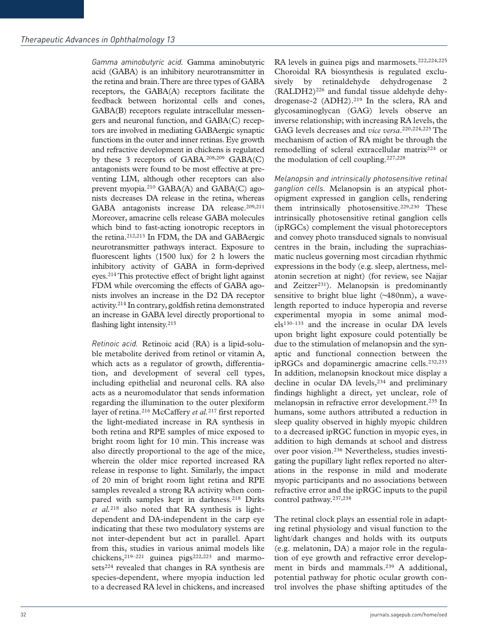*Gamma aminobutyric acid.* Gamma aminobutyric acid (GABA) is an inhibitory neurotransmitter in the retina and brain. There are three types of GABA receptors, the GABA(A) receptors facilitate the feedback between horizontal cells and cones, GABA(B) receptors regulate intracellular messengers and neuronal function, and GABA(C) receptors are involved in mediating GABAergic synaptic functions in the outer and inner retinas. Eye growth and refractive development in chickens is regulated by these 3 receptors of GABA.208,209 GABA(C) antagonists were found to be most effective at preventing LIM, although other receptors can also prevent myopia.210 GABA(A) and GABA(C) agonists decreases DA release in the retina, whereas GABA antagonists increase DA release.<sup>209,211</sup> Moreover, amacrine cells release GABA molecules which bind to fast-acting ionotropic receptors in the retina.212,213 In FDM, the DA and GABAergic neurotransmitter pathways interact. Exposure to fluorescent lights (1500 lux) for 2 h lowers the inhibitory activity of GABA in form-deprived eyes.214 This protective effect of bright light against FDM while overcoming the effects of GABA agonists involves an increase in the D2 DA receptor activity.214 In contrary, goldfish retina demonstrated an increase in GABA level directly proportional to flashing light intensity.<sup>215</sup>

*Retinoic acid.* Retinoic acid (RA) is a lipid-soluble metabolite derived from retinol or vitamin A, which acts as a regulator of growth, differentiation, and development of several cell types, including epithelial and neuronal cells. RA also acts as a neuromodulator that sends information regarding the illumination to the outer plexiform layer of retina.216 McCaffery *et al.*217 first reported the light-mediated increase in RA synthesis in both retina and RPE samples of mice exposed to bright room light for 10 min. This increase was also directly proportional to the age of the mice, wherein the older mice reported increased RA release in response to light. Similarly, the impact of 20 min of bright room light retina and RPE samples revealed a strong RA activity when compared with samples kept in darkness.<sup>218</sup> Dirks *et al.*218 also noted that RA synthesis is lightdependent and DA-independent in the carp eye indicating that these two modulatory systems are not inter-dependent but act in parallel. Apart from this, studies in various animal models like chickens,  $219-221$  guinea pigs<sup>222,223</sup> and marmosets<sup>224</sup> revealed that changes in RA synthesis are species-dependent, where myopia induction led to a decreased RA level in chickens, and increased RA levels in guinea pigs and marmosets.222,224,225 Choroidal RA biosynthesis is regulated exclusively by retinaldehyde dehydrogenase 2 (RALDH2)226 and fundal tissue aldehyde dehydrogenase-2 (ADH2).219 In the sclera, RA and glycosaminoglycan (GAG) levels observe an inverse relationship; with increasing RA levels, the GAG levels decreases and *vice versa*.220,224,225 The mechanism of action of RA might be through the remodelling of scleral extracellular matrix<sup>224</sup> or the modulation of cell coupling.227,228

*Melanopsin and intrinsically photosensitive retinal ganglion cells.* Melanopsin is an atypical photopigment expressed in ganglion cells, rendering them intrinsically photosensitive.<sup>229,230</sup> These intrinsically photosensitive retinal ganglion cells (ipRGCs) complement the visual photoreceptors and convey photo transduced signals to nonvisual centres in the brain, including the suprachiasmatic nucleus governing most circadian rhythmic expressions in the body (e.g. sleep, alertness, melatonin secretion at night) (for review, see Najjar and Zeitzer<sup>231</sup>). Melanopsin is predominantly sensitive to bright blue light (~480nm), a wavelength reported to induce hyperopia and reverse experimental myopia in some animal models130–133 and the increase in ocular DA levels upon bright light exposure could potentially be due to the stimulation of melanopsin and the synaptic and functional connection between the ipRGCs and dopaminergic amacrine cells.232,233 In addition, melanopsin knockout mice display a decline in ocular DA levels,<sup>234</sup> and preliminary findings highlight a direct, yet unclear, role of melanopsin in refractive error development.235 In humans, some authors attributed a reduction in sleep quality observed in highly myopic children to a decreased ipRGC function in myopic eyes, in addition to high demands at school and distress over poor vision.236 Nevertheless, studies investigating the pupillary light reflex reported no alterations in the response in mild and moderate myopic participants and no associations between refractive error and the ipRGC inputs to the pupil control pathway.237,238

The retinal clock plays an essential role in adapting retinal physiology and visual function to the light/dark changes and holds with its outputs (e.g. melatonin, DA) a major role in the regulation of eye growth and refractive error development in birds and mammals.<sup>239</sup> A additional, potential pathway for photic ocular growth control involves the phase shifting aptitudes of the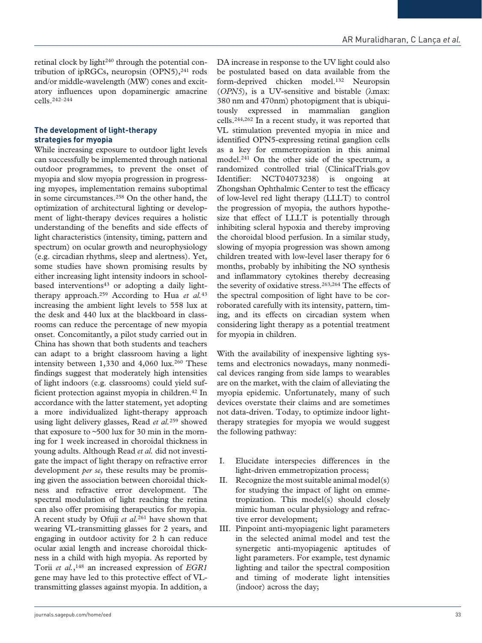retinal clock by light<sup>240</sup> through the potential contribution of ipRGCs, neuropsin  $(OPN5)$ ,<sup>241</sup> rods and/or middle-wavelength (MW) cones and excitatory influences upon dopaminergic amacrine cells.242–244

#### **The development of light-therapy strategies for myopia**

While increasing exposure to outdoor light levels can successfully be implemented through national outdoor programmes, to prevent the onset of myopia and slow myopia progression in progressing myopes, implementation remains suboptimal in some circumstances.258 On the other hand, the optimization of architectural lighting or development of light-therapy devices requires a holistic understanding of the benefits and side effects of light characteristics (intensity, timing, pattern and spectrum) on ocular growth and neurophysiology (e.g. circadian rhythms, sleep and alertness). Yet, some studies have shown promising results by either increasing light intensity indoors in schoolbased interventions<sup>43</sup> or adopting a daily lighttherapy approach.259 According to Hua *et al.*<sup>43</sup> increasing the ambient light levels to 558 lux at the desk and 440 lux at the blackboard in classrooms can reduce the percentage of new myopia onset. Concomitantly, a pilot study carried out in China has shown that both students and teachers can adapt to a bright classroom having a light intensity between 1,330 and 4,060 lux.<sup>260</sup> These findings suggest that moderately high intensities of light indoors (e.g. classrooms) could yield sufficient protection against myopia in children.42 In accordance with the latter statement, yet adopting a more individualized light-therapy approach using light delivery glasses, Read *et al.*259 showed that exposure to ~500 lux for 30 min in the morning for 1 week increased in choroidal thickness in young adults. Although Read *et al.* did not investigate the impact of light therapy on refractive error development *per se*, these results may be promising given the association between choroidal thickness and refractive error development. The spectral modulation of light reaching the retina can also offer promising therapeutics for myopia. A recent study by Ofuji *et al.*261 have shown that wearing VL-transmitting glasses for 2 years, and engaging in outdoor activity for 2 h can reduce ocular axial length and increase choroidal thickness in a child with high myopia. As reported by Torii *et al.*,148 an increased expression of *EGR1* gene may have led to this protective effect of VLtransmitting glasses against myopia. In addition, a

DA increase in response to the UV light could also be postulated based on data available from the form-deprived chicken model.132 Neuropsin (*OPN5*), is a UV-sensitive and bistable (λmax: 380 nm and 470nm) photopigment that is ubiquitously expressed in mammalian ganglion cells.244,262 In a recent study, it was reported that VL stimulation prevented myopia in mice and identified OPN5-expressing retinal ganglion cells as a key for emmetropization in this animal model.241 On the other side of the spectrum, a randomized controlled trial (ClinicalTrials.gov Identifier: NCT04073238) is ongoing at Zhongshan Ophthalmic Center to test the efficacy of low-level red light therapy (LLLT) to control the progression of myopia, the authors hypothesize that effect of LLLT is potentially through inhibiting scleral hypoxia and thereby improving the choroidal blood perfusion. In a similar study, slowing of myopia progression was shown among children treated with low-level laser therapy for 6 months, probably by inhibiting the NO synthesis and inflammatory cytokines thereby decreasing the severity of oxidative stress.263,264 The effects of the spectral composition of light have to be corroborated carefully with its intensity, pattern, timing, and its effects on circadian system when considering light therapy as a potential treatment for myopia in children.

With the availability of inexpensive lighting systems and electronics nowadays, many nonmedical devices ranging from side lamps to wearables are on the market, with the claim of alleviating the myopia epidemic. Unfortunately, many of such devices overstate their claims and are sometimes not data-driven. Today, to optimize indoor lighttherapy strategies for myopia we would suggest the following pathway:

- I. Elucidate interspecies differences in the light-driven emmetropization process;
- II. Recognize the most suitable animal model(s) for studying the impact of light on emmetropization. This model(s) should closely mimic human ocular physiology and refractive error development;
- III. Pinpoint anti-myopiagenic light parameters in the selected animal model and test the synergetic anti-myopiagenic aptitudes of light parameters. For example, test dynamic lighting and tailor the spectral composition and timing of moderate light intensities (indoor) across the day;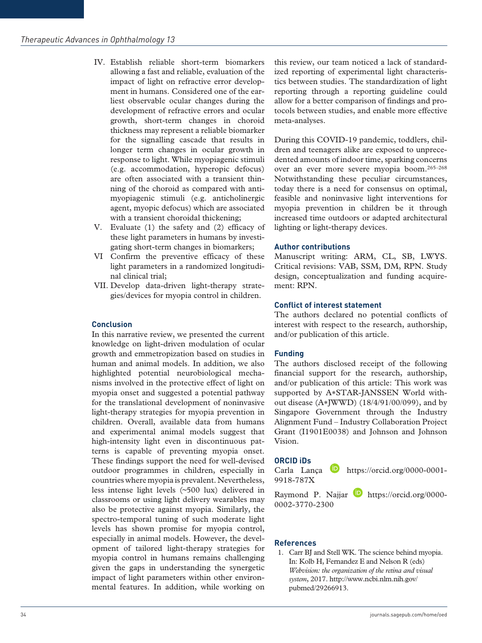- IV. Establish reliable short-term biomarkers allowing a fast and reliable, evaluation of the impact of light on refractive error development in humans. Considered one of the earliest observable ocular changes during the development of refractive errors and ocular growth, short-term changes in choroid thickness may represent a reliable biomarker for the signalling cascade that results in longer term changes in ocular growth in response to light. While myopiagenic stimuli (e.g. accommodation, hyperopic defocus) are often associated with a transient thinning of the choroid as compared with antimyopiagenic stimuli (e.g. anticholinergic agent, myopic defocus) which are associated with a transient choroidal thickening;
- V. Evaluate (1) the safety and (2) efficacy of these light parameters in humans by investigating short-term changes in biomarkers;
- VI Confirm the preventive efficacy of these light parameters in a randomized longitudinal clinical trial;
- VII. Develop data-driven light-therapy strategies/devices for myopia control in children.

## **Conclusion**

In this narrative review, we presented the current knowledge on light-driven modulation of ocular growth and emmetropization based on studies in human and animal models. In addition, we also highlighted potential neurobiological mechanisms involved in the protective effect of light on myopia onset and suggested a potential pathway for the translational development of noninvasive light-therapy strategies for myopia prevention in children. Overall, available data from humans and experimental animal models suggest that high-intensity light even in discontinuous patterns is capable of preventing myopia onset. These findings support the need for well-devised outdoor programmes in children, especially in countries where myopia is prevalent. Nevertheless, less intense light levels (~500 lux) delivered in classrooms or using light delivery wearables may also be protective against myopia. Similarly, the spectro-temporal tuning of such moderate light levels has shown promise for myopia control, especially in animal models. However, the development of tailored light-therapy strategies for myopia control in humans remains challenging given the gaps in understanding the synergetic impact of light parameters within other environmental features. In addition, while working on

this review, our team noticed a lack of standardized reporting of experimental light characteristics between studies. The standardization of light reporting through a reporting guideline could allow for a better comparison of findings and protocols between studies, and enable more effective meta-analyses.

During this COVID-19 pandemic, toddlers, children and teenagers alike are exposed to unprecedented amounts of indoor time, sparking concerns over an ever more severe myopia boom.265–268 Notwithstanding these peculiar circumstances, today there is a need for consensus on optimal, feasible and noninvasive light interventions for myopia prevention in children be it through increased time outdoors or adapted architectural lighting or light-therapy devices.

#### **Author contributions**

Manuscript writing: ARM, CL, SB, LWYS. Critical revisions: VAB, SSM, DM, RPN. Study design, conceptualization and funding acquirement: RPN.

#### **Conflict of interest statement**

The authors declared no potential conflicts of interest with respect to the research, authorship, and/or publication of this article.

## **Funding**

The authors disclosed receipt of the following financial support for the research, authorship, and/or publication of this article: This work was supported by A∗STAR-JANSSEN World without disease (A∗JWWD) (18/4/91/00/099), and by Singapore Government through the Industry Alignment Fund – Industry Collaboration Project Grant (I1901E0038) and Johnson and Johnson Vision.

#### **ORCID iDs**

Carla Lança **b** [https://orcid.org/0000-0001-](https://orcid.org/0000-0001-9918-787X) [9918-787X](https://orcid.org/0000-0001-9918-787X)

Raymond P. Najjar **[https://orcid.org/0000-](https://orcid.org/0000-0002-3770-2300)** [0002-3770-2300](https://orcid.org/0000-0002-3770-2300)

#### **References**

1. Carr BJ and Stell WK. The science behind myopia. In: Kolb H, Fernandez E and Nelson R (eds) *Webvision: the organization of the retina and visual system*, 2017. [http://www.ncbi.nlm.nih.gov/](http://www.ncbi.nlm.nih.gov/pubmed/29266913) [pubmed/29266913](http://www.ncbi.nlm.nih.gov/pubmed/29266913).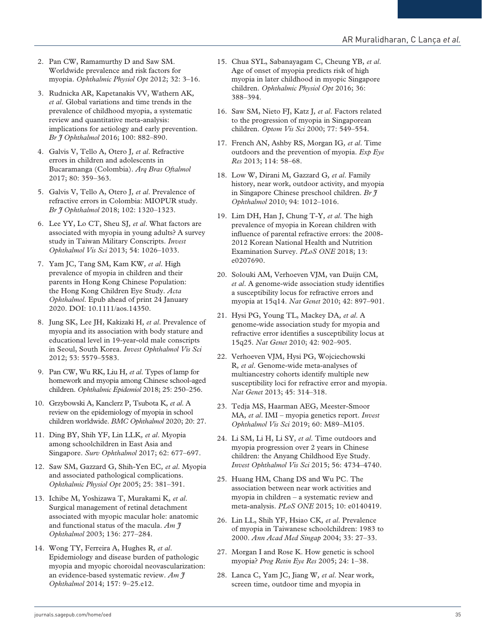- 2. Pan CW, Ramamurthy D and Saw SM. Worldwide prevalence and risk factors for myopia. *Ophthalmic Physiol Opt* 2012; 32: 3–16.
- 3. Rudnicka AR, Kapetanakis VV, Wathern AK*, et al*. Global variations and time trends in the prevalence of childhood myopia, a systematic review and quantitative meta-analysis: implications for aetiology and early prevention. *Br J Ophthalmol* 2016; 100: 882–890.
- 4. Galvis V, Tello A, Otero J*, et al*. Refractive errors in children and adolescents in Bucaramanga (Colombia). *Arq Bras Oftalmol* 2017; 80: 359–363.
- 5. Galvis V, Tello A, Otero J*, et al*. Prevalence of refractive errors in Colombia: MIOPUR study. *Br J Ophthalmol* 2018; 102: 1320–1323.
- 6. Lee YY, Lo CT, Sheu SJ*, et al*. What factors are associated with myopia in young adults? A survey study in Taiwan Military Conscripts. *Invest Ophthalmol Vis Sci* 2013; 54: 1026–1033.
- 7. Yam JC, Tang SM, Kam KW*, et al*. High prevalence of myopia in children and their parents in Hong Kong Chinese Population: the Hong Kong Children Eye Study. *Acta Ophthalmol*. Epub ahead of print 24 January 2020. DOI: 10.1111/aos.14350.
- 8. Jung SK, Lee JH, Kakizaki H*, et al*. Prevalence of myopia and its association with body stature and educational level in 19-year-old male conscripts in Seoul, South Korea. *Invest Ophthalmol Vis Sci* 2012; 53: 5579–5583.
- 9. Pan CW, Wu RK, Liu H*, et al*. Types of lamp for homework and myopia among Chinese school-aged children. *Ophthalmic Epidemiol* 2018; 25: 250–256.
- 10. Grzybowski A, Kanclerz P, Tsubota K*, et al*. A review on the epidemiology of myopia in school children worldwide. *BMC Ophthalmol* 2020; 20: 27.
- 11. Ding BY, Shih YF, Lin LLK*, et al*. Myopia among schoolchildren in East Asia and Singapore. *Surv Ophthalmol* 2017; 62: 677–697.
- 12. Saw SM, Gazzard G, Shih-Yen EC*, et al*. Myopia and associated pathological complications. *Ophthalmic Physiol Opt* 2005; 25: 381–391.
- 13. Ichibe M, Yoshizawa T, Murakami K*, et al*. Surgical management of retinal detachment associated with myopic macular hole: anatomic and functional status of the macula. *Am J Ophthalmol* 2003; 136: 277–284.
- 14. Wong TY, Ferreira A, Hughes R*, et al*. Epidemiology and disease burden of pathologic myopia and myopic choroidal neovascularization: an evidence-based systematic review. *Am J Ophthalmol* 2014; 157: 9–25.e12.
- 15. Chua SYL, Sabanayagam C, Cheung YB*, et al*. Age of onset of myopia predicts risk of high myopia in later childhood in myopic Singapore children. *Ophthalmic Physiol Opt* 2016; 36: 388–394.
- 16. Saw SM, Nieto FJ, Katz J*, et al*. Factors related to the progression of myopia in Singaporean children. *Optom Vis Sci* 2000; 77: 549–554.
- 17. French AN, Ashby RS, Morgan IG*, et al*. Time outdoors and the prevention of myopia. *Exp Eye Res* 2013; 114: 58–68.
- 18. Low W, Dirani M, Gazzard G*, et al*. Family history, near work, outdoor activity, and myopia in Singapore Chinese preschool children. *Br J Ophthalmol* 2010; 94: 1012–1016.
- 19. Lim DH, Han J, Chung T-Y*, et al*. The high prevalence of myopia in Korean children with influence of parental refractive errors: the 2008- 2012 Korean National Health and Nutrition Examination Survey. *PLoS ONE* 2018; 13: e0207690.
- 20. Solouki AM, Verhoeven VJM, van Duijn CM*, et al*. A genome-wide association study identifies a susceptibility locus for refractive errors and myopia at 15q14. *Nat Genet* 2010; 42: 897–901.
- 21. Hysi PG, Young TL, Mackey DA*, et al*. A genome-wide association study for myopia and refractive error identifies a susceptibility locus at 15q25. *Nat Genet* 2010; 42: 902–905.
- 22. Verhoeven VJM, Hysi PG, Wojciechowski R*, et al*. Genome-wide meta-analyses of multiancestry cohorts identify multiple new susceptibility loci for refractive error and myopia. *Nat Genet* 2013; 45: 314–318.
- 23. Tedja MS, Haarman AEG, Meester-Smoor MA*, et al*. IMI – myopia genetics report. *Invest Ophthalmol Vis Sci* 2019; 60: M89–M105.
- 24. Li SM, Li H, Li SY*, et al*. Time outdoors and myopia progression over 2 years in Chinese children: the Anyang Childhood Eye Study. *Invest Ophthalmol Vis Sci* 2015; 56: 4734–4740.
- 25. Huang HM, Chang DS and Wu PC. The association between near work activities and myopia in children – a systematic review and meta-analysis. *PLoS ONE* 2015; 10: e0140419.
- 26. Lin LL, Shih YF, Hsiao CK*, et al*. Prevalence of myopia in Taiwanese schoolchildren: 1983 to 2000. *Ann Acad Med Singap* 2004; 33: 27–33.
- 27. Morgan I and Rose K. How genetic is school myopia? *Prog Retin Eye Res* 2005; 24: 1–38.
- 28. Lanca C, Yam JC, Jiang W*, et al*. Near work, screen time, outdoor time and myopia in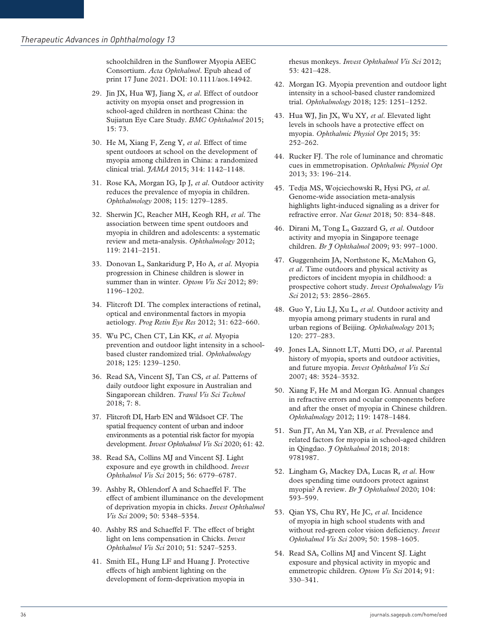schoolchildren in the Sunflower Myopia AEEC Consortium. *Acta Ophthalmol*. Epub ahead of print 17 June 2021. DOI: 10.1111/aos.14942.

- 29. Jin JX, Hua WJ, Jiang X*, et al*. Effect of outdoor activity on myopia onset and progression in school-aged children in northeast China: the Sujiatun Eye Care Study. *BMC Ophthalmol* 2015; 15: 73.
- 30. He M, Xiang F, Zeng Y*, et al*. Effect of time spent outdoors at school on the development of myopia among children in China: a randomized clinical trial. *JAMA* 2015; 314: 1142–1148.
- 31. Rose KA, Morgan IG, Ip J*, et al*. Outdoor activity reduces the prevalence of myopia in children. *Ophthalmology* 2008; 115: 1279–1285.
- 32. Sherwin JC, Reacher MH, Keogh RH*, et al*. The association between time spent outdoors and myopia in children and adolescents: a systematic review and meta-analysis. *Ophthalmology* 2012; 119: 2141–2151.
- 33. Donovan L, Sankaridurg P, Ho A*, et al*. Myopia progression in Chinese children is slower in summer than in winter. *Optom Vis Sci* 2012; 89: 1196–1202.
- 34. Flitcroft DI. The complex interactions of retinal, optical and environmental factors in myopia aetiology. *Prog Retin Eye Res* 2012; 31: 622–660.
- 35. Wu PC, Chen CT, Lin KK*, et al*. Myopia prevention and outdoor light intensity in a schoolbased cluster randomized trial. *Ophthalmology* 2018; 125: 1239–1250.
- 36. Read SA, Vincent SJ, Tan CS*, et al*. Patterns of daily outdoor light exposure in Australian and Singaporean children. *Transl Vis Sci Technol* 2018; 7: 8.
- 37. Flitcroft DI, Harb EN and Wildsoet CF. The spatial frequency content of urban and indoor environments as a potential risk factor for myopia development. *Invest Ophthalmol Vis Sci* 2020; 61: 42.
- 38. Read SA, Collins MJ and Vincent SJ. Light exposure and eye growth in childhood. *Invest Ophthalmol Vis Sci* 2015; 56: 6779–6787.
- 39. Ashby R, Ohlendorf A and Schaeffel F. The effect of ambient illuminance on the development of deprivation myopia in chicks. *Invest Ophthalmol Vis Sci* 2009; 50: 5348–5354.
- 40. Ashby RS and Schaeffel F. The effect of bright light on lens compensation in Chicks. *Invest Ophthalmol Vis Sci* 2010; 51: 5247–5253.
- 41. Smith EL, Hung LF and Huang J. Protective effects of high ambient lighting on the development of form-deprivation myopia in

rhesus monkeys. *Invest Ophthalmol Vis Sci* 2012; 53: 421–428.

- 42. Morgan IG. Myopia prevention and outdoor light intensity in a school-based cluster randomized trial. *Ophthalmology* 2018; 125: 1251–1252.
- 43. Hua WJ, Jin JX, Wu XY*, et al*. Elevated light levels in schools have a protective effect on myopia. *Ophthalmic Physiol Opt* 2015; 35: 252–262.
- 44. Rucker FJ. The role of luminance and chromatic cues in emmetropisation. *Ophthalmic Physiol Opt* 2013; 33: 196–214.
- 45. Tedja MS, Wojciechowski R, Hysi PG*, et al*. Genome-wide association meta-analysis highlights light-induced signaling as a driver for refractive error. *Nat Genet* 2018; 50: 834–848.
- 46. Dirani M, Tong L, Gazzard G*, et al*. Outdoor activity and myopia in Singapore teenage children. *Br J Ophthalmol* 2009; 93: 997–1000.
- 47. Guggenheim JA, Northstone K, McMahon G*, et al*. Time outdoors and physical activity as predictors of incident myopia in childhood: a prospective cohort study. *Invest Opthalmology Vis Sci* 2012; 53: 2856–2865.
- 48. Guo Y, Liu LJ, Xu L*, et al*. Outdoor activity and myopia among primary students in rural and urban regions of Beijing. *Ophthalmology* 2013; 120: 277–283.
- 49. Jones LA, Sinnott LT, Mutti DO*, et al*. Parental history of myopia, sports and outdoor activities, and future myopia. *Invest Ophthalmol Vis Sci* 2007; 48: 3524–3532.
- 50. Xiang F, He M and Morgan IG. Annual changes in refractive errors and ocular components before and after the onset of myopia in Chinese children. *Ophthalmology* 2012; 119: 1478–1484.
- 51. Sun JT, An M, Yan XB*, et al*. Prevalence and related factors for myopia in school-aged children in Qingdao. *J Ophthalmol* 2018; 2018: 9781987.
- 52. Lingham G, Mackey DA, Lucas R*, et al*. How does spending time outdoors protect against myopia? A review. *Br J Ophthalmol* 2020; 104: 593–599.
- 53. Qian YS, Chu RY, He JC*, et al*. Incidence of myopia in high school students with and without red-green color vision deficiency. *Invest Ophthalmol Vis Sci* 2009; 50: 1598–1605.
- 54. Read SA, Collins MJ and Vincent SJ. Light exposure and physical activity in myopic and emmetropic children. *Optom Vis Sci* 2014; 91: 330–341.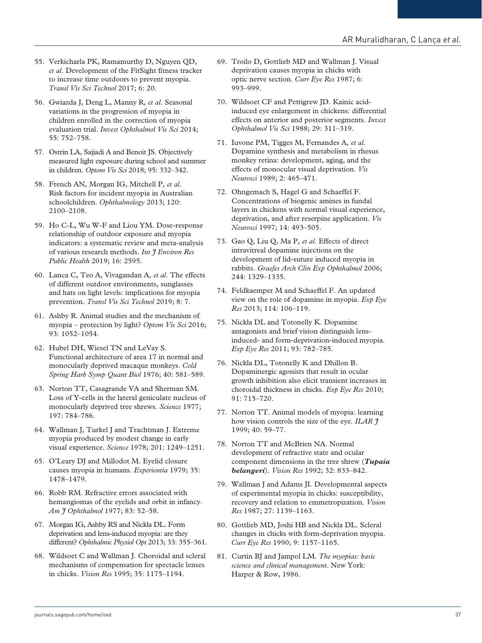- 55. Verkicharla PK, Ramamurthy D, Nguyen QD*, et al*. Development of the FitSight fitness tracker to increase time outdoors to prevent myopia. *Transl Vis Sci Technol* 2017; 6: 20.
- 56. Gwiazda J, Deng L, Manny R*, et al*. Seasonal variations in the progression of myopia in children enrolled in the correction of myopia evaluation trial. *Invest Ophthalmol Vis Sci* 2014; 55: 752–758.
- 57. Ostrin LA, Sajjadi A and Benoit JS. Objectively measured light exposure during school and summer in children. *Optom Vis Sci* 2018; 95: 332–342.
- 58. French AN, Morgan IG, Mitchell P*, et al*. Risk factors for incident myopia in Australian schoolchildren. *Ophthalmology* 2013; 120: 2100–2108.
- 59. Ho C-L, Wu W-F and Liou YM. Dose-response relationship of outdoor exposure and myopia indicators: a systematic review and meta-analysis of various research methods. *Int J Environ Res Public Health* 2019; 16: 2595.
- 60. Lanca C, Teo A, Vivagandan A*, et al*. The effects of different outdoor environments, sunglasses and hats on light levels: implications for myopia prevention. *Transl Vis Sci Technol* 2019; 8: 7.
- 61. Ashby R. Animal studies and the mechanism of myopia – protection by light? *Optom Vis Sci* 2016; 93: 1052–1054.
- 62. Hubel DH, Wiesel TN and LeVay S. Functional architecture of area 17 in normal and monocularly deprived macaque monkeys. *Cold Spring Harb Symp Quant Biol* 1976; 40: 581–589.
- 63. Norton TT, Casagrande VA and Sherman SM. Loss of Y-cells in the lateral geniculate nucleus of monocularly deprived tree shrews. *Science* 1977; 197: 784–786.
- 64. Wallman J, Turkel J and Trachtman J. Extreme myopia produced by modest change in early visual experience. *Science* 1978; 201: 1249–1251.
- 65. O'Leary DJ and Millodot M. Eyelid closure causes myopia in humans. *Experientia* 1979; 35: 1478–1479.
- 66. Robb RM. Refractive errors associated with hemangiomas of the eyelids and orbit in infancy. *Am J Ophthalmol* 1977; 83: 52–58.
- 67. Morgan IG, Ashby RS and Nickla DL. Form deprivation and lens-induced myopia: are they different? *Ophthalmic Physiol Opt* 2013; 33: 355–361.
- 68. Wildsoet C and Wallman J. Choroidal and scleral mechanisms of compensation for spectacle lenses in chicks. *Vision Res* 1995; 35: 1175–1194.
- 69. Troilo D, Gottlieb MD and Wallman J. Visual deprivation causes myopia in chicks with optic nerve section. *Curr Eye Res* 1987; 6: 993–999.
- 70. Wildsoet CF and Pettigrew JD. Kainic acidinduced eye enlargement in chickens: differential effects on anterior and posterior segments. *Invest Ophthalmol Vis Sci* 1988; 29: 311–319.
- 71. Iuvone PM, Tigges M, Fernandes A*, et al*. Dopamine synthesis and metabolism in rhesus monkey retina: development, aging, and the effects of monocular visual deprivation. *Vis Neurosci* 1989; 2: 465–471.
- 72. Ohngemach S, Hagel G and Schaeffel F. Concentrations of biogenic amines in fundal layers in chickens with normal visual experience, deprivation, and after reserpine application. *Vis Neurosci* 1997; 14: 493–505.
- 73. Gao Q, Liu Q, Ma P*, et al*. Effects of direct intravitreal dopamine injections on the development of lid-suture induced myopia in rabbits. *Graefes Arch Clin Exp Ophthalmol* 2006; 244: 1329–1335.
- 74. Feldkaemper M and Schaeffel F. An updated view on the role of dopamine in myopia. *Exp Eye Res* 2013; 114: 106–119.
- 75. Nickla DL and Totonelly K. Dopamine antagonists and brief vision distinguish lensinduced- and form-deprivation-induced myopia. *Exp Eye Res* 2011; 93: 782–785.
- 76. Nickla DL, Totonelly K and Dhillon B. Dopaminergic agonists that result in ocular growth inhibition also elicit transient increases in choroidal thickness in chicks. *Exp Eye Res* 2010; 91: 715–720.
- 77. Norton TT. Animal models of myopia: learning how vision controls the size of the eye. *ILAR J* 1999; 40: 59–77.
- 78. Norton TT and McBrien NA. Normal development of refractive state and ocular component dimensions in the tree shrew (*Tupaia belangeri*). *Vision Res* 1992; 32: 833–842.
- 79. Wallman J and Adams JI. Developmental aspects of experimental myopia in chicks: susceptibility, recovery and relation to emmetropization. *Vision Res* 1987; 27: 1139–1163.
- 80. Gottlieb MD, Joshi HB and Nickla DL. Scleral changes in chicks with form-deprivation myopia. *Curr Eye Res* 1990; 9: 1157–1165.
- 81. Curtin BJ and Jampol LM. *The myopias: basic science and clinical management*. New York: Harper & Row, 1986.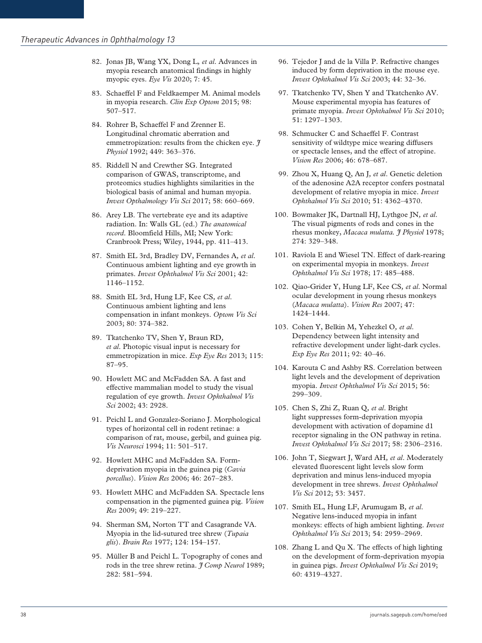- 82. Jonas JB, Wang YX, Dong L*, et al*. Advances in myopia research anatomical findings in highly myopic eyes. *Eye Vis* 2020; 7: 45.
- 83. Schaeffel F and Feldkaemper M. Animal models in myopia research. *Clin Exp Optom* 2015; 98: 507–517.
- 84. Rohrer B, Schaeffel F and Zrenner E. Longitudinal chromatic aberration and emmetropization: results from the chicken eye. *J Physiol* 1992; 449: 363–376.
- 85. Riddell N and Crewther SG. Integrated comparison of GWAS, transcriptome, and proteomics studies highlights similarities in the biological basis of animal and human myopia. *Invest Opthalmology Vis Sci* 2017; 58: 660–669.
- 86. Arey LB. The vertebrate eye and its adaptive radiation. In: Walls GL (ed.) *The anatomical record*. Bloomfield Hills, MI; New York: Cranbrook Press; Wiley, 1944, pp. 411–413.
- 87. Smith EL 3rd, Bradley DV, Fernandes A*, et al*. Continuous ambient lighting and eye growth in primates. *Invest Ophthalmol Vis Sci* 2001; 42: 1146–1152.
- 88. Smith EL 3rd, Hung LF, Kee CS*, et al*. Continuous ambient lighting and lens compensation in infant monkeys. *Optom Vis Sci* 2003; 80: 374–382.
- 89. Tkatchenko TV, Shen Y, Braun RD*, et al*. Photopic visual input is necessary for emmetropization in mice. *Exp Eye Res* 2013; 115: 87–95.
- 90. Howlett MC and McFadden SA. A fast and effective mammalian model to study the visual regulation of eye growth. *Invest Ophthalmol Vis Sci* 2002; 43: 2928.
- 91. Peichl L and Gonzalez-Soriano J. Morphological types of horizontal cell in rodent retinae: a comparison of rat, mouse, gerbil, and guinea pig. *Vis Neurosci* 1994; 11: 501–517.
- 92. Howlett MHC and McFadden SA. Formdeprivation myopia in the guinea pig (*Cavia porcellus*). *Vision Res* 2006; 46: 267–283.
- 93. Howlett MHC and McFadden SA. Spectacle lens compensation in the pigmented guinea pig. *Vision Res* 2009; 49: 219–227.
- 94. Sherman SM, Norton TT and Casagrande VA. Myopia in the lid-sutured tree shrew (*Tupaia glis*). *Brain Res* 1977; 124: 154–157.
- 95. Müller B and Peichl L. Topography of cones and rods in the tree shrew retina. *J Comp Neurol* 1989; 282: 581–594.
- 96. Tejedor J and de la Villa P. Refractive changes induced by form deprivation in the mouse eye. *Invest Ophthalmol Vis Sci* 2003; 44: 32–36.
- 97. Tkatchenko TV, Shen Y and Tkatchenko AV. Mouse experimental myopia has features of primate myopia. *Invest Ophthalmol Vis Sci* 2010; 51: 1297–1303.
- 98. Schmucker C and Schaeffel F. Contrast sensitivity of wildtype mice wearing diffusers or spectacle lenses, and the effect of atropine. *Vision Res* 2006; 46: 678–687.
- 99. Zhou X, Huang Q, An J*, et al*. Genetic deletion of the adenosine A2A receptor confers postnatal development of relative myopia in mice. *Invest Ophthalmol Vis Sci* 2010; 51: 4362–4370.
- 100. Bowmaker JK, Dartnall HJ, Lythgoe JN*, et al*. The visual pigments of rods and cones in the rhesus monkey, *Macaca mulatta. J Physiol* 1978; 274: 329–348.
- 101. Raviola E and Wiesel TN. Effect of dark-rearing on experimental myopia in monkeys. *Invest Ophthalmol Vis Sci* 1978; 17: 485–488.
- 102. Qiao-Grider Y, Hung LF, Kee CS*, et al*. Normal ocular development in young rhesus monkeys (*Macaca mulatta*). *Vision Res* 2007; 47: 1424–1444.
- 103. Cohen Y, Belkin M, Yehezkel O*, et al*. Dependency between light intensity and refractive development under light-dark cycles. *Exp Eye Res* 2011; 92: 40–46.
- 104. Karouta C and Ashby RS. Correlation between light levels and the development of deprivation myopia. *Invest Ophthalmol Vis Sci* 2015; 56: 299–309.
- 105. Chen S, Zhi Z, Ruan Q*, et al*. Bright light suppresses form-deprivation myopia development with activation of dopamine d1 receptor signaling in the ON pathway in retina. *Invest Ophthalmol Vis Sci* 2017; 58: 2306–2316.
- 106. John T, Siegwart J, Ward AH*, et al*. Moderately elevated fluorescent light levels slow form deprivation and minus lens-induced myopia development in tree shrews. *Invest Ophthalmol Vis Sci* 2012; 53: 3457.
- 107. Smith EL, Hung LF, Arumugam B*, et al*. Negative lens-induced myopia in infant monkeys: effects of high ambient lighting. *Invest Ophthalmol Vis Sci* 2013; 54: 2959–2969.
- 108. Zhang L and Qu X. The effects of high lighting on the development of form-deprivation myopia in guinea pigs. *Invest Ophthalmol Vis Sci* 2019; 60: 4319–4327.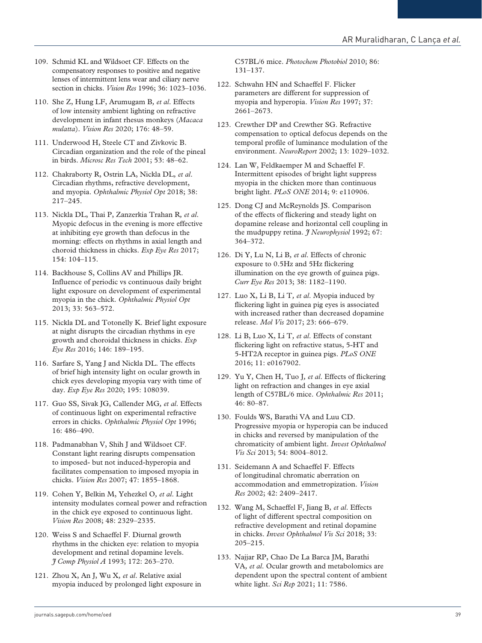- 109. Schmid KL and Wildsoet CF. Effects on the compensatory responses to positive and negative lenses of intermittent lens wear and ciliary nerve section in chicks. *Vision Res* 1996; 36: 1023–1036.
- 110. She Z, Hung LF, Arumugam B*, et al*. Effects of low intensity ambient lighting on refractive development in infant rhesus monkeys (*Macaca mulatta*). *Vision Res* 2020; 176: 48–59.
- 111. Underwood H, Steele CT and Zivkovic B. Circadian organization and the role of the pineal in birds. *Microsc Res Tech* 2001; 53: 48–62.
- 112. Chakraborty R, Ostrin LA, Nickla DL*, et al*. Circadian rhythms, refractive development, and myopia. *Ophthalmic Physiol Opt* 2018; 38: 217–245.
- 113. Nickla DL, Thai P, Zanzerkia Trahan R*, et al*. Myopic defocus in the evening is more effective at inhibiting eye growth than defocus in the morning: effects on rhythms in axial length and choroid thickness in chicks. *Exp Eye Res* 2017; 154: 104–115.
- 114. Backhouse S, Collins AV and Phillips JR. Influence of periodic vs continuous daily bright light exposure on development of experimental myopia in the chick. *Ophthalmic Physiol Opt* 2013; 33: 563–572.
- 115. Nickla DL and Totonelly K. Brief light exposure at night disrupts the circadian rhythms in eye growth and choroidal thickness in chicks. *Exp Eye Res* 2016; 146: 189–195.
- 116. Sarfare S, Yang J and Nickla DL. The effects of brief high intensity light on ocular growth in chick eyes developing myopia vary with time of day. *Exp Eye Res* 2020; 195: 108039.
- 117. Guo SS, Sivak JG, Callender MG*, et al*. Effects of continuous light on experimental refractive errors in chicks. *Ophthalmic Physiol Opt* 1996; 16: 486–490.
- 118. Padmanabhan V, Shih J and Wildsoet CF. Constant light rearing disrupts compensation to imposed- but not induced-hyperopia and facilitates compensation to imposed myopia in chicks. *Vision Res* 2007; 47: 1855–1868.
- 119. Cohen Y, Belkin M, Yehezkel O*, et al*. Light intensity modulates corneal power and refraction in the chick eye exposed to continuous light. *Vision Res* 2008; 48: 2329–2335.
- 120. Weiss S and Schaeffel F. Diurnal growth rhythms in the chicken eye: relation to myopia development and retinal dopamine levels. *J Comp Physiol A* 1993; 172: 263–270.
- 121. Zhou X, An J, Wu X*, et al*. Relative axial myopia induced by prolonged light exposure in

C57BL/6 mice. *Photochem Photobiol* 2010; 86: 131–137.

- 122. Schwahn HN and Schaeffel F. Flicker parameters are different for suppression of myopia and hyperopia. *Vision Res* 1997; 37: 2661–2673.
- 123. Crewther DP and Crewther SG. Refractive compensation to optical defocus depends on the temporal profile of luminance modulation of the environment. *NeuroReport* 2002; 13: 1029–1032.
- 124. Lan W, Feldkaemper M and Schaeffel F. Intermittent episodes of bright light suppress myopia in the chicken more than continuous bright light. *PLoS ONE* 2014; 9: e110906.
- 125. Dong CJ and McReynolds JS. Comparison of the effects of flickering and steady light on dopamine release and horizontal cell coupling in the mudpuppy retina. *J Neurophysiol* 1992; 67: 364–372.
- 126. Di Y, Lu N, Li B*, et al*. Effects of chronic exposure to 0.5Hz and 5Hz flickering illumination on the eye growth of guinea pigs. *Curr Eye Res* 2013; 38: 1182–1190.
- 127. Luo X, Li B, Li T*, et al*. Myopia induced by flickering light in guinea pig eyes is associated with increased rather than decreased dopamine release. *Mol Vis* 2017; 23: 666–679.
- 128. Li B, Luo X, Li T*, et al*. Effects of constant flickering light on refractive status, 5-HT and 5-HT2A receptor in guinea pigs. *PLoS ONE* 2016; 11: e0167902.
- 129. Yu Y, Chen H, Tuo J*, et al*. Effects of flickering light on refraction and changes in eye axial length of C57BL/6 mice. *Ophthalmic Res* 2011; 46: 80–87.
- 130. Foulds WS, Barathi VA and Luu CD. Progressive myopia or hyperopia can be induced in chicks and reversed by manipulation of the chromaticity of ambient light. *Invest Ophthalmol Vis Sci* 2013; 54: 8004–8012.
- 131. Seidemann A and Schaeffel F. Effects of longitudinal chromatic aberration on accommodation and emmetropization. *Vision Res* 2002; 42: 2409–2417.
- 132. Wang M, Schaeffel F, Jiang B*, et al*. Effects of light of different spectral composition on refractive development and retinal dopamine in chicks. *Invest Ophthalmol Vis Sci* 2018; 33: 205–215.
- 133. Najjar RP, Chao De La Barca JM, Barathi VA*, et al*. Ocular growth and metabolomics are dependent upon the spectral content of ambient white light. *Sci Rep* 2021; 11: 7586.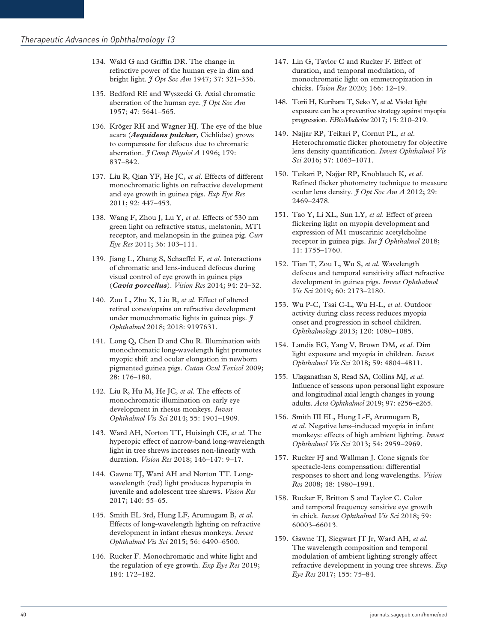- 134. Wald G and Griffin DR. The change in refractive power of the human eye in dim and bright light. *J Opt Soc Am* 1947; 37: 321–336.
- 135. Bedford RE and Wyszecki G. Axial chromatic aberration of the human eye. *J Opt Soc Am* 1957; 47: 5641–565.
- 136. Kröger RH and Wagner HJ. The eye of the blue acara (*Aequidens pulcher*, Cichlidae) grows to compensate for defocus due to chromatic aberration. *J Comp Physiol A* 1996; 179: 837–842.
- 137. Liu R, Qian YF, He JC*, et al*. Effects of different monochromatic lights on refractive development and eye growth in guinea pigs. *Exp Eye Res* 2011; 92: 447–453.
- 138. Wang F, Zhou J, Lu Y*, et al*. Effects of 530 nm green light on refractive status, melatonin, MT1 receptor, and melanopsin in the guinea pig. *Curr Eye Res* 2011; 36: 103–111.
- 139. Jiang L, Zhang S, Schaeffel F*, et al*. Interactions of chromatic and lens-induced defocus during visual control of eye growth in guinea pigs (*Cavia porcellus*). *Vision Res* 2014; 94: 24–32.
- 140. Zou L, Zhu X, Liu R*, et al*. Effect of altered retinal cones/opsins on refractive development under monochromatic lights in guinea pigs. *J Ophthalmol* 2018; 2018: 9197631.
- 141. Long Q, Chen D and Chu R. Illumination with monochromatic long-wavelength light promotes myopic shift and ocular elongation in newborn pigmented guinea pigs. *Cutan Ocul Toxicol* 2009; 28: 176–180.
- 142. Liu R, Hu M, He JC*, et al*. The effects of monochromatic illumination on early eye development in rhesus monkeys. *Invest Ophthalmol Vis Sci* 2014; 55: 1901–1909.
- 143. Ward AH, Norton TT, Huisingh CE*, et al*. The hyperopic effect of narrow-band long-wavelength light in tree shrews increases non-linearly with duration. *Vision Res* 2018; 146–147: 9–17.
- 144. Gawne TJ, Ward AH and Norton TT. Longwavelength (red) light produces hyperopia in juvenile and adolescent tree shrews. *Vision Res* 2017; 140: 55–65.
- 145. Smith EL 3rd, Hung LF, Arumugam B*, et al*. Effects of long-wavelength lighting on refractive development in infant rhesus monkeys. *Invest Ophthalmol Vis Sci* 2015; 56: 6490–6500.
- 146. Rucker F. Monochromatic and white light and the regulation of eye growth. *Exp Eye Res* 2019; 184: 172–182.
- 147. Lin G, Taylor C and Rucker F. Effect of duration, and temporal modulation, of monochromatic light on emmetropization in chicks. *Vision Res* 2020; 166: 12–19.
- 148. Torii H, Kurihara T, Seko Y*, et al*. Violet light exposure can be a preventive strategy against myopia progression. *EBioMedicine* 2017; 15: 210–219.
- 149. Najjar RP, Teikari P, Cornut PL*, et al*. Heterochromatic flicker photometry for objective lens density quantification. *Invest Ophthalmol Vis Sci* 2016; 57: 1063–1071.
- 150. Teikari P, Najjar RP, Knoblauch K*, et al*. Refined flicker photometry technique to measure ocular lens density. *J Opt Soc Am A* 2012; 29: 2469–2478.
- 151. Tao Y, Li XL, Sun LY*, et al*. Effect of green flickering light on myopia development and expression of M1 muscarinic acetylcholine receptor in guinea pigs. *Int J Ophthalmol* 2018; 11: 1755–1760.
- 152. Tian T, Zou L, Wu S*, et al*. Wavelength defocus and temporal sensitivity affect refractive development in guinea pigs. *Invest Ophthalmol Vis Sci* 2019; 60: 2173–2180.
- 153. Wu P-C, Tsai C-L, Wu H-L*, et al*. Outdoor activity during class recess reduces myopia onset and progression in school children. *Ophthalmology* 2013; 120: 1080–1085.
- 154. Landis EG, Yang V, Brown DM*, et al*. Dim light exposure and myopia in children. *Invest Ophthalmol Vis Sci* 2018; 59: 4804–4811.
- 155. Ulaganathan S, Read SA, Collins MJ*, et al*. Influence of seasons upon personal light exposure and longitudinal axial length changes in young adults. *Acta Ophthalmol* 2019; 97: e256–e265.
- 156. Smith III EL, Hung L-F, Arumugam B*, et al*. Negative lens–induced myopia in infant monkeys: effects of high ambient lighting. *Invest Ophthalmol Vis Sci* 2013; 54: 2959–2969.
- 157. Rucker FJ and Wallman J. Cone signals for spectacle-lens compensation: differential responses to short and long wavelengths. *Vision Res* 2008; 48: 1980–1991.
- 158. Rucker F, Britton S and Taylor C. Color and temporal frequency sensitive eye growth in chick. *Invest Ophthalmol Vis Sci* 2018; 59: 60003–66013.
- 159. Gawne TJ, Siegwart JT Jr, Ward AH*, et al*. The wavelength composition and temporal modulation of ambient lighting strongly affect refractive development in young tree shrews. *Exp Eye Res* 2017; 155: 75–84.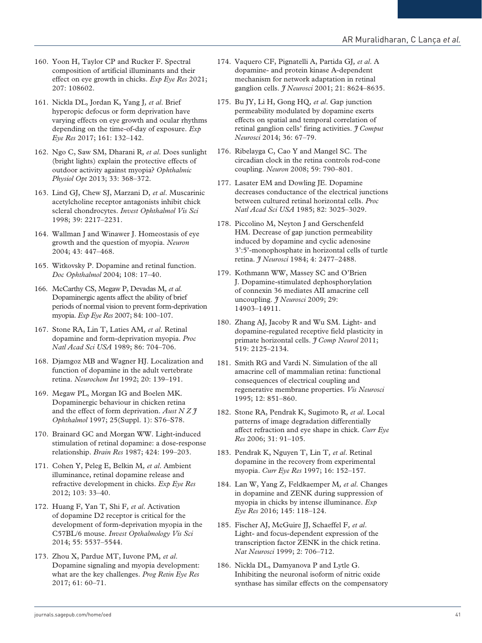- 160. Yoon H, Taylor CP and Rucker F. Spectral composition of artificial illuminants and their effect on eye growth in chicks. *Exp Eye Res* 2021; 207: 108602.
- 161. Nickla DL, Jordan K, Yang J*, et al*. Brief hyperopic defocus or form deprivation have varying effects on eye growth and ocular rhythms depending on the time-of-day of exposure. *Exp Eye Res* 2017; 161: 132–142.
- 162. Ngo C, Saw SM, Dharani R*, et al*. Does sunlight (bright lights) explain the protective effects of outdoor activity against myopia? *Ophthalmic Physiol Opt* 2013; 33: 368–372.
- 163. Lind GJ, Chew SJ, Marzani D*, et al*. Muscarinic acetylcholine receptor antagonists inhibit chick scleral chondrocytes. *Invest Ophthalmol Vis Sci* 1998; 39: 2217–2231.
- 164. Wallman J and Winawer J. Homeostasis of eye growth and the question of myopia. *Neuron* 2004; 43: 447–468.
- 165. Witkovsky P. Dopamine and retinal function. *Doc Ophthalmol* 2004; 108: 17–40.
- 166. McCarthy CS, Megaw P, Devadas M*, et al*. Dopaminergic agents affect the ability of brief periods of normal vision to prevent form-deprivation myopia. *Exp Eye Res* 2007; 84: 100–107.
- 167. Stone RA, Lin T, Laties AM*, et al*. Retinal dopamine and form-deprivation myopia. *Proc Natl Acad Sci USA* 1989; 86: 704–706.
- 168. Djamgoz MB and Wagner HJ. Localization and function of dopamine in the adult vertebrate retina. *Neurochem Int* 1992; 20: 139–191.
- 169. Megaw PL, Morgan IG and Boelen MK. Dopaminergic behaviour in chicken retina and the effect of form deprivation. *Aust N Z J Ophthalmol* 1997; 25(Suppl. 1): S76–S78.
- 170. Brainard GC and Morgan WW. Light-induced stimulation of retinal dopamine: a dose-response relationship. *Brain Res* 1987; 424: 199–203.
- 171. Cohen Y, Peleg E, Belkin M*, et al*. Ambient illuminance, retinal dopamine release and refractive development in chicks. *Exp Eye Res* 2012; 103: 33–40.
- 172. Huang F, Yan T, Shi F*, et al*. Activation of dopamine D2 receptor is critical for the development of form-deprivation myopia in the C57BL/6 mouse. *Invest Opthalmology Vis Sci* 2014; 55: 5537–5544.
- 173. Zhou X, Pardue MT, Iuvone PM*, et al*. Dopamine signaling and myopia development: what are the key challenges. *Prog Retin Eye Res* 2017; 61: 60–71.
- 174. Vaquero CF, Pignatelli A, Partida GJ*, et al*. A dopamine- and protein kinase A-dependent mechanism for network adaptation in retinal ganglion cells. *J Neurosci* 2001; 21: 8624–8635.
- 175. Bu JY, Li H, Gong HQ*, et al*. Gap junction permeability modulated by dopamine exerts effects on spatial and temporal correlation of retinal ganglion cells' firing activities. *J Comput Neurosci* 2014; 36: 67–79.
- 176. Ribelayga C, Cao Y and Mangel SC. The circadian clock in the retina controls rod-cone coupling. *Neuron* 2008; 59: 790–801.
- 177. Lasater EM and Dowling JE. Dopamine decreases conductance of the electrical junctions between cultured retinal horizontal cells. *Proc Natl Acad Sci USA* 1985; 82: 3025–3029.
- 178. Piccolino M, Neyton J and Gerschenfeld HM. Decrease of gap junction permeability induced by dopamine and cyclic adenosine 3':5'-monophosphate in horizontal cells of turtle retina. *J Neurosci* 1984; 4: 2477–2488.
- 179. Kothmann WW, Massey SC and O'Brien J. Dopamine-stimulated dephosphorylation of connexin 36 mediates AII amacrine cell uncoupling. *J Neurosci* 2009; 29: 14903–14911.
- 180. Zhang AJ, Jacoby R and Wu SM. Light- and dopamine-regulated receptive field plasticity in primate horizontal cells. *J Comp Neurol* 2011; 519: 2125–2134.
- 181. Smith RG and Vardi N. Simulation of the all amacrine cell of mammalian retina: functional consequences of electrical coupling and regenerative membrane properties. *Vis Neurosci* 1995; 12: 851–860.
- 182. Stone RA, Pendrak K, Sugimoto R*, et al*. Local patterns of image degradation differentially affect refraction and eye shape in chick. *Curr Eye Res* 2006; 31: 91–105.
- 183. Pendrak K, Nguyen T, Lin T*, et al*. Retinal dopamine in the recovery from experimental myopia. *Curr Eye Res* 1997; 16: 152–157.
- 184. Lan W, Yang Z, Feldkaemper M*, et al*. Changes in dopamine and ZENK during suppression of myopia in chicks by intense illuminance. *Exp Eye Res* 2016; 145: 118–124.
- 185. Fischer AJ, McGuire JJ, Schaeffel F*, et al*. Light- and focus-dependent expression of the transcription factor ZENK in the chick retina. *Nat Neurosci* 1999; 2: 706–712.
- 186. Nickla DL, Damyanova P and Lytle G. Inhibiting the neuronal isoform of nitric oxide synthase has similar effects on the compensatory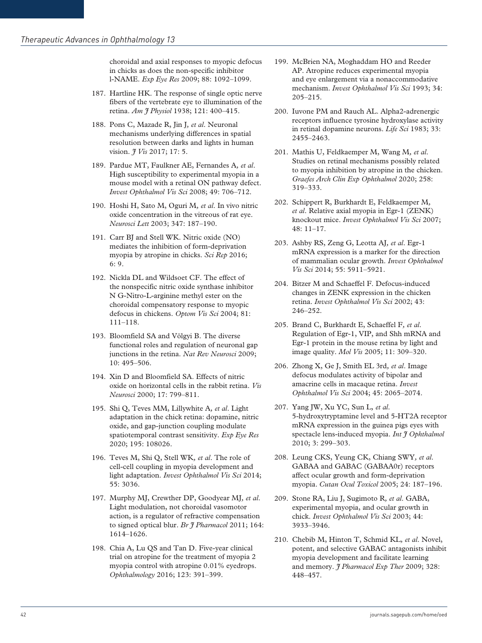choroidal and axial responses to myopic defocus in chicks as does the non-specific inhibitor l-NAME. *Exp Eye Res* 2009; 88: 1092–1099.

- 187. Hartline HK. The response of single optic nerve fibers of the vertebrate eye to illumination of the retina. *Am J Physiol* 1938; 121: 400–415.
- 188. Pons C, Mazade R, Jin J*, et al*. Neuronal mechanisms underlying differences in spatial resolution between darks and lights in human vision. *J Vis* 2017; 17: 5.
- 189. Pardue MT, Faulkner AE, Fernandes A*, et al*. High susceptibility to experimental myopia in a mouse model with a retinal ON pathway defect. *Invest Ophthalmol Vis Sci* 2008; 49: 706–712.
- 190. Hoshi H, Sato M, Oguri M*, et al*. In vivo nitric oxide concentration in the vitreous of rat eye. *Neurosci Lett* 2003; 347: 187–190.
- 191. Carr BJ and Stell WK. Nitric oxide (NO) mediates the inhibition of form-deprivation myopia by atropine in chicks. *Sci Rep* 2016; 6: 9.
- 192. Nickla DL and Wildsoet CF. The effect of the nonspecific nitric oxide synthase inhibitor N G-Nitro-L-arginine methyl ester on the choroidal compensatory response to myopic defocus in chickens. *Optom Vis Sci* 2004; 81: 111–118.
- 193. Bloomfield SA and Völgyi B. The diverse functional roles and regulation of neuronal gap junctions in the retina. *Nat Rev Neurosci* 2009; 10: 495–506.
- 194. Xin D and Bloomfield SA. Effects of nitric oxide on horizontal cells in the rabbit retina. *Vis Neurosci* 2000; 17: 799–811.
- 195. Shi Q, Teves MM, Lillywhite A*, et al*. Light adaptation in the chick retina: dopamine, nitric oxide, and gap-junction coupling modulate spatiotemporal contrast sensitivity. *Exp Eye Res* 2020; 195: 108026.
- 196. Teves M, Shi Q, Stell WK*, et al*. The role of cell-cell coupling in myopia development and light adaptation. *Invest Ophthalmol Vis Sci* 2014; 55: 3036.
- 197. Murphy MJ, Crewther DP, Goodyear MJ*, et al*. Light modulation, not choroidal vasomotor action, is a regulator of refractive compensation to signed optical blur. *Br J Pharmacol* 2011; 164: 1614–1626.
- 198. Chia A, Lu QS and Tan D. Five-year clinical trial on atropine for the treatment of myopia 2 myopia control with atropine 0.01% eyedrops. *Ophthalmology* 2016; 123: 391–399.
- 199. McBrien NA, Moghaddam HO and Reeder AP. Atropine reduces experimental myopia and eye enlargement via a nonaccommodative mechanism. *Invest Ophthalmol Vis Sci* 1993; 34: 205–215.
- 200. Iuvone PM and Rauch AL. Alpha2-adrenergic receptors influence tyrosine hydroxylase activity in retinal dopamine neurons. *Life Sci* 1983; 33: 2455–2463.
- 201. Mathis U, Feldkaemper M, Wang M*, et al*. Studies on retinal mechanisms possibly related to myopia inhibition by atropine in the chicken. *Graefes Arch Clin Exp Ophthalmol* 2020; 258: 319–333.
- 202. Schippert R, Burkhardt E, Feldkaemper M*, et al*. Relative axial myopia in Egr-1 (ZENK) knockout mice. *Invest Ophthalmol Vis Sci* 2007; 48: 11–17.
- 203. Ashby RS, Zeng G, Leotta AJ*, et al*. Egr-1 mRNA expression is a marker for the direction of mammalian ocular growth. *Invest Ophthalmol Vis Sci* 2014; 55: 5911–5921.
- 204. Bitzer M and Schaeffel F. Defocus-induced changes in ZENK expression in the chicken retina. *Invest Ophthalmol Vis Sci* 2002; 43: 246–252.
- 205. Brand C, Burkhardt E, Schaeffel F*, et al*. Regulation of Egr-1, VIP, and Shh mRNA and Egr-1 protein in the mouse retina by light and image quality. *Mol Vis* 2005; 11: 309–320.
- 206. Zhong X, Ge J, Smith EL 3rd*, et al*. Image defocus modulates activity of bipolar and amacrine cells in macaque retina. *Invest Ophthalmol Vis Sci* 2004; 45: 2065–2074.
- 207. Yang JW, Xu YC, Sun L*, et al*. 5-hydroxytryptamine level and 5-HT2A receptor mRNA expression in the guinea pigs eyes with spectacle lens-induced myopia. *Int J Ophthalmol* 2010; 3: 299–303.
- 208. Leung CKS, Yeung CK, Chiang SWY*, et al*. GABAA and GABAC (GABAA0r) receptors affect ocular growth and form-deprivation myopia. *Cutan Ocul Toxicol* 2005; 24: 187–196.
- 209. Stone RA, Liu J, Sugimoto R*, et al*. GABA, experimental myopia, and ocular growth in chick. *Invest Ophthalmol Vis Sci* 2003; 44: 3933–3946.
- 210. Chebib M, Hinton T, Schmid KL*, et al*. Novel, potent, and selective GABAC antagonists inhibit myopia development and facilitate learning and memory. *J Pharmacol Exp Ther* 2009; 328: 448–457.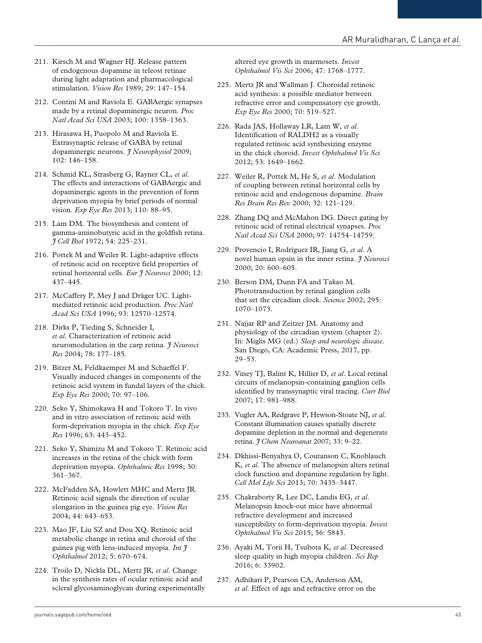- 211. Kirsch M and Wagner HJ. Release pattern of endogenous dopamine in teleost retinae during light adaptation and pharmacological stimulation. *Vision Res* 1989; 29: 147–154.
- 212. Contini M and Raviola E. GABAergic synapses made by a retinal dopaminergic neuron. *Proc Natl Acad Sci USA* 2003; 100: 1358–1363.
- 213. Hirasawa H, Puopolo M and Raviola E. Extrasynaptic release of GABA by retinal dopaminergic neurons. *J Neurophysiol* 2009; 102: 146–158.
- 214. Schmid KL, Strasberg G, Rayner CL*, et al*. The effects and interactions of GABAergic and dopaminergic agents in the prevention of form deprivation myopia by brief periods of normal vision. *Exp Eye Res* 2013; 110: 88–95.
- 215. Lam DM. The biosynthesis and content of gamma-aminobutyric acid in the goldfish retina. *J Cell Biol* 1972; 54: 225–231.
- 216. Pottek M and Weiler R. Light-adaptive effects of retinoic acid on receptive field properties of retinal horizontal cells. *Eur J Neurosci* 2000; 12: 437–445.
- 217. McCaffery P, Mey J and Dräger UC. Lightmediated retinoic acid production. *Proc Natl Acad Sci USA* 1996; 93: 12570–12574.
- 218. Dirks P, Tieding S, Schneider I*, et al*. Characterization of retinoic acid neuromodulation in the carp retina. *J Neurosci Res* 2004; 78: 177–185.
- 219. Bitzer M, Feldkaemper M and Schaeffel F. Visually induced changes in components of the retinoic acid system in fundal layers of the chick. *Exp Eye Res* 2000; 70: 97–106.
- 220. Seko Y, Shimokawa H and Tokoro T. In vivo and in vitro association of retinoic acid with form-deprivation myopia in the chick. *Exp Eye Res* 1996; 63: 443–452.
- 221. Seko Y, Shimizu M and Tokoro T. Retinoic acid increases in the retina of the chick with form deprivation myopia. *Ophthalmic Res* 1998; 30: 361–367.
- 222. McFadden SA, Howlett MHC and Mertz JR. Retinoic acid signals the direction of ocular elongation in the guinea pig eye. *Vision Res* 2004; 44: 643–653.
- 223. Mao JF, Liu SZ and Dou XQ. Retinoic acid metabolic change in retina and choroid of the guinea pig with lens-induced myopia. *Int J Ophthalmol* 2012; 5: 670–674.
- 224. Troilo D, Nickla DL, Mertz JR*, et al*. Change in the synthesis rates of ocular retinoic acid and scleral glycosaminoglycan during experimentally

altered eye growth in marmosets. *Invest Ophthalmol Vis Sci* 2006; 47: 1768–1777.

- 225. Mertz JR and Wallman J. Choroidal retinoic acid synthesis: a possible mediator between refractive error and compensatory eye growth. *Exp Eye Res* 2000; 70: 519–527.
- 226. Rada JAS, Hollaway LR, Lam W*, et al*. Identification of RALDH2 as a visually regulated retinoic acid synthesizing enzyme in the chick choroid. *Invest Ophthalmol Vis Sci* 2012; 53: 1649–1662.
- 227. Weiler R, Pottek M, He S*, et al*. Modulation of coupling between retinal horizontal cells by retinoic acid and endogenous dopamine. *Brain Res Brain Res Rev* 2000; 32: 121–129.
- 228. Zhang DQ and McMahon DG. Direct gating by retinoic acid of retinal electrical synapses. *Proc Natl Acad Sci USA* 2000; 97: 14754–14759.
- 229. Provencio I, Rodriguez IR, Jiang G*, et al*. A novel human opsin in the inner retina. *J Neurosci* 2000; 20: 600–605.
- 230. Berson DM, Dunn FA and Takao M. Phototransduction by retinal ganglion cells that set the circadian clock. *Science* 2002; 295: 1070–1073.
- 231. Najjar RP and Zeitzer JM. Anatomy and physiology of the circadian system (chapter 2). In: Miglis MG (ed.) *Sleep and neurologic disease*. San Diego, CA: Academic Press, 2017, pp. 29–53.
- 232. Viney TJ, Balint K, Hillier D*, et al*. Local retinal circuits of melanopsin-containing ganglion cells identified by transsynaptic viral tracing. *Curr Biol* 2007; 17: 981–988.
- 233. Vugler AA, Redgrave P, Hewson-Stoate NJ*, et al*. Constant illumination causes spatially discrete dopamine depletion in the normal and degenerate retina. *J Chem Neuroanat* 2007; 33: 9–22.
- 234. Dkhissi-Benyahya O, Coutanson C, Knoblauch K*, et al*. The absence of melanopsin alters retinal clock function and dopamine regulation by light. *Cell Mol Life Sci* 2013; 70: 3435–3447.
- 235. Chakraborty R, Lee DC, Landis EG*, et al*. Melanopsin knock-out mice have abnormal refractive development and increased susceptibility to form-deprivation myopia. *Invest Ophthalmol Vis Sci* 2015; 56: 5843.
- 236. Ayaki M, Torii H, Tsubota K*, et al*. Decreased sleep quality in high myopia children. *Sci Rep* 2016; 6: 33902.
- 237. Adhikari P, Pearson CA, Anderson AM*, et al*. Effect of age and refractive error on the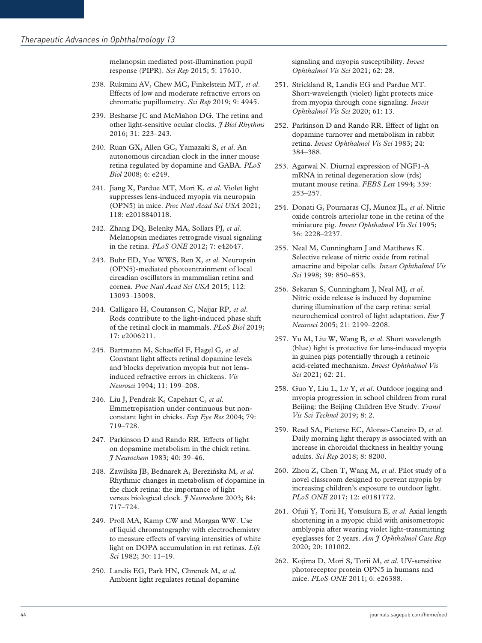melanopsin mediated post-illumination pupil response (PIPR). *Sci Rep* 2015; 5: 17610.

- 238. Rukmini AV, Chew MC, Finkelstein MT*, et al*. Effects of low and moderate refractive errors on chromatic pupillometry. *Sci Rep* 2019; 9: 4945.
- 239. Besharse JC and McMahon DG. The retina and other light-sensitive ocular clocks. *J Biol Rhythms* 2016; 31: 223–243.
- 240. Ruan GX, Allen GC, Yamazaki S*, et al*. An autonomous circadian clock in the inner mouse retina regulated by dopamine and GABA. *PLoS Biol* 2008; 6: e249.
- 241. Jiang X, Pardue MT, Mori K*, et al*. Violet light suppresses lens-induced myopia via neuropsin (OPN5) in mice. *Proc Natl Acad Sci USA* 2021; 118: e2018840118.
- 242. Zhang DQ, Belenky MA, Sollars PJ*, et al*. Melanopsin mediates retrograde visual signaling in the retina. *PLoS ONE* 2012; 7: e42647.
- 243. Buhr ED, Yue WWS, Ren X*, et al*. Neuropsin (OPN5)-mediated photoentrainment of local circadian oscillators in mammalian retina and cornea. *Proc Natl Acad Sci USA* 2015; 112: 13093–13098.
- 244. Calligaro H, Coutanson C, Najjar RP*, et al*. Rods contribute to the light-induced phase shift of the retinal clock in mammals. *PLoS Biol* 2019; 17: e2006211.
- 245. Bartmann M, Schaeffel F, Hagel G*, et al*. Constant light affects retinal dopamine levels and blocks deprivation myopia but not lensinduced refractive errors in chickens. *Vis Neurosci* 1994; 11: 199–208.
- 246. Liu J, Pendrak K, Capehart C*, et al*. Emmetropisation under continuous but nonconstant light in chicks. *Exp Eye Res* 2004; 79: 719–728.
- 247. Parkinson D and Rando RR. Effects of light on dopamine metabolism in the chick retina. *J Neurochem* 1983; 40: 39–46.
- 248. Zawilska JB, Bednarek A, Berezin´ska M*, et al*. Rhythmic changes in metabolism of dopamine in the chick retina: the importance of light versus biological clock. *J Neurochem* 2003; 84: 717–724.
- 249. Proll MA, Kamp CW and Morgan WW. Use of liquid chromatography with electrochemistry to measure effects of varying intensities of white light on DOPA accumulation in rat retinas. *Life Sci* 1982; 30: 11–19.
- 250. Landis EG, Park HN, Chrenek M*, et al*. Ambient light regulates retinal dopamine

signaling and myopia susceptibility. *Invest Ophthalmol Vis Sci* 2021; 62: 28.

- 251. Strickland R, Landis EG and Pardue MT. Short-wavelength (violet) light protects mice from myopia through cone signaling. *Invest Ophthalmol Vis Sci* 2020; 61: 13.
- 252. Parkinson D and Rando RR. Effect of light on dopamine turnover and metabolism in rabbit retina. *Invest Ophthalmol Vis Sci* 1983; 24: 384–388.
- 253. Agarwal N. Diurnal expression of NGF1-A mRNA in retinal degeneration slow (rds) mutant mouse retina. *FEBS Lett* 1994; 339: 253–257.
- 254. Donati G, Pournaras CJ, Munoz JL*, et al*. Nitric oxide controls arteriolar tone in the retina of the miniature pig. *Invest Ophthalmol Vis Sci* 1995; 36: 2228–2237.
- 255. Neal M, Cunningham J and Matthews K. Selective release of nitric oxide from retinal amacrine and bipolar cells. *Invest Ophthalmol Vis Sci* 1998; 39: 850–853.
- 256. Sekaran S, Cunningham J, Neal MJ*, et al*. Nitric oxide release is induced by dopamine during illumination of the carp retina: serial neurochemical control of light adaptation. *Eur J Neurosci* 2005; 21: 2199–2208.
- 257. Yu M, Liu W, Wang B*, et al*. Short wavelength (blue) light is protective for lens-induced myopia in guinea pigs potentially through a retinoic acid-related mechanism. *Invest Ophthalmol Vis Sci* 2021; 62: 21.
- 258. Guo Y, Liu L, Lv Y*, et al*. Outdoor jogging and myopia progression in school children from rural Beijing: the Beijing Children Eye Study. *Transl Vis Sci Technol* 2019; 8: 2.
- 259. Read SA, Pieterse EC, Alonso-Caneiro D*, et al*. Daily morning light therapy is associated with an increase in choroidal thickness in healthy young adults. *Sci Rep* 2018; 8: 8200.
- 260. Zhou Z, Chen T, Wang M*, et al*. Pilot study of a novel classroom designed to prevent myopia by increasing children's exposure to outdoor light. *PLoS ONE* 2017; 12: e0181772.
- 261. Ofuji Y, Torii H, Yotsukura E*, et al*. Axial length shortening in a myopic child with anisometropic amblyopia after wearing violet light-transmitting eyeglasses for 2 years. *Am J Ophthalmol Case Rep* 2020; 20: 101002.
- 262. Kojima D, Mori S, Torii M*, et al*. UV-sensitive photoreceptor protein OPN5 in humans and mice. *PLoS ONE* 2011; 6: e26388.